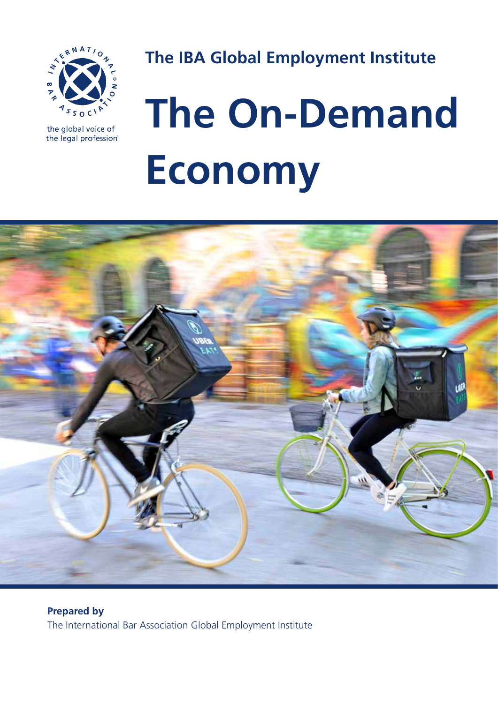

the global voice of the legal profession® **The IBA Global Employment Institute**

# **The On-Demand Economy**



**Prepared by** The International Bar Association Global Employment Institute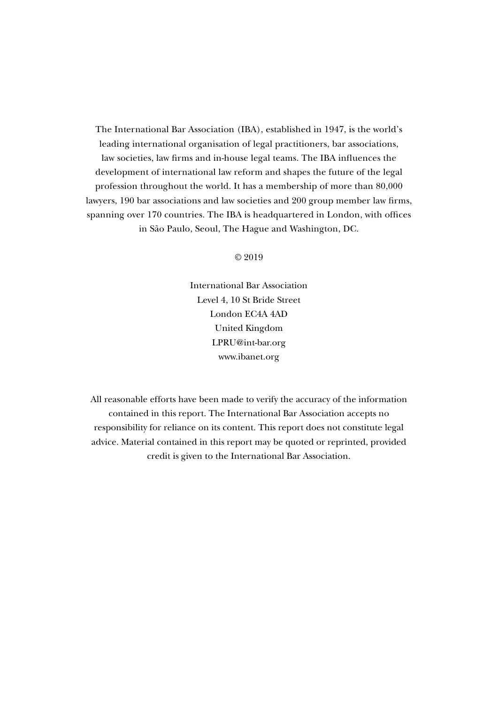The International Bar Association (IBA), established in 1947, is the world's leading international organisation of legal practitioners, bar associations, law societies, law firms and in-house legal teams. The IBA influences the development of international law reform and shapes the future of the legal profession throughout the world. It has a membership of more than 80,000 lawyers, 190 bar associations and law societies and 200 group member law firms, spanning over 170 countries. The IBA is headquartered in London, with offices in São Paulo, Seoul, The Hague and Washington, DC.

© 2019

International Bar Association Level 4, 10 St Bride Street London EC4A 4AD United Kingdom LPRU@int-bar.org www.ibanet.org

All reasonable efforts have been made to verify the accuracy of the information contained in this report. The International Bar Association accepts no responsibility for reliance on its content. This report does not constitute legal advice. Material contained in this report may be quoted or reprinted, provided credit is given to the International Bar Association.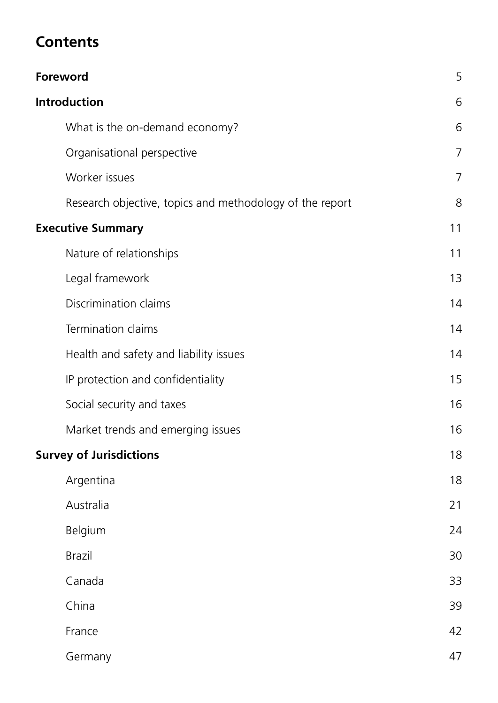# **Contents**

| <b>Foreword</b>                                          | 5  |
|----------------------------------------------------------|----|
| <b>Introduction</b>                                      | 6  |
| What is the on-demand economy?                           | 6  |
| Organisational perspective                               | 7  |
| Worker issues                                            | 7  |
| Research objective, topics and methodology of the report | 8  |
| <b>Executive Summary</b>                                 | 11 |
| Nature of relationships                                  | 11 |
| Legal framework                                          | 13 |
| Discrimination claims                                    | 14 |
| Termination claims                                       | 14 |
| Health and safety and liability issues                   | 14 |
| IP protection and confidentiality                        | 15 |
| Social security and taxes                                | 16 |
| Market trends and emerging issues                        | 16 |
| <b>Survey of Jurisdictions</b>                           | 18 |
| Argentina                                                | 18 |
| Australia                                                | 21 |
| Belgium                                                  | 24 |
| <b>Brazil</b>                                            | 30 |
| Canada                                                   | 33 |
| China                                                    | 39 |
| France                                                   | 42 |
| Germany                                                  | 47 |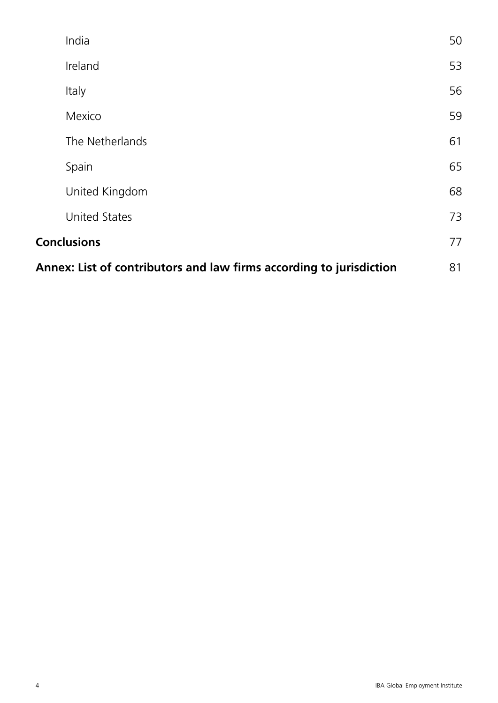| India                                                               | 50 |
|---------------------------------------------------------------------|----|
| Ireland                                                             | 53 |
| Italy                                                               | 56 |
| Mexico                                                              | 59 |
| The Netherlands                                                     | 61 |
| Spain                                                               | 65 |
| United Kingdom                                                      | 68 |
| <b>United States</b>                                                | 73 |
| <b>Conclusions</b>                                                  | 77 |
| Annex: List of contributors and law firms according to jurisdiction | 81 |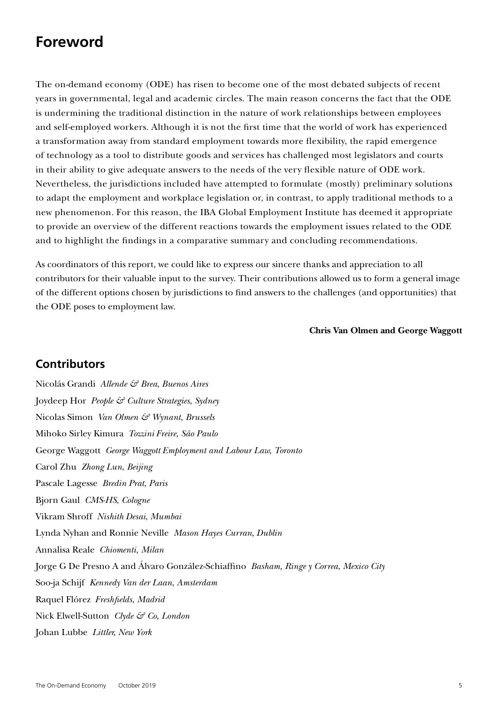# **Foreword**

The on-demand economy (ODE) has risen to become one of the most debated subjects of recent years in governmental, legal and academic circles. The main reason concerns the fact that the ODE is undermining the traditional distinction in the nature of work relationships between employees and self-employed workers. Although it is not the first time that the world of work has experienced a transformation away from standard employment towards more flexibility, the rapid emergence of technology as a tool to distribute goods and services has challenged most legislators and courts in their ability to give adequate answers to the needs of the very flexible nature of ODE work. Nevertheless, the jurisdictions included have attempted to formulate (mostly) preliminary solutions to adapt the employment and workplace legislation or, in contrast, to apply traditional methods to a new phenomenon. For this reason, the IBA Global Employment Institute has deemed it appropriate to provide an overview of the different reactions towards the employment issues related to the ODE and to highlight the findings in a comparative summary and concluding recommendations.

As coordinators of this report, we could like to express our sincere thanks and appreciation to all contributors for their valuable input to the survey. Their contributions allowed us to form a general image of the different options chosen by jurisdictions to find answers to the challenges (and opportunities) that the ODE poses to employment law.

#### **Chris Van Olmen and George Waggott**

#### **Contributors**

Nicolás Grandi *Allende & Brea*, *Buenos Aires* Joydeep Hor *People & Culture Strategies*, *Sydney* Nicolas Simon *Van Olmen & Wynant*, *Brussels* Mihoko Sirley Kimura *Tozzini Freire, São Paulo* George Waggott *George Waggott Employment and Labour Law, Toronto* Carol Zhu *Zhong Lun*, *Beijing* Pascale Lagesse *Bredin Prat*, *Paris* Bjorn Gaul *CMS-HS*, *Cologne* Vikram Shroff *Nishith Desai*, *Mumbai* Lynda Nyhan and Ronnie Neville *Mason Hayes Curran*, *Dublin* Annalisa Reale *Chiomenti, Milan* Jorge G De Presno A and Álvaro González-Schiaffino *Basham, Ringe y Correa*, *Mexico City* Soo-ja Schijf *Kennedy Van der Laan*, *Amsterdam* Raquel Flórez *Freshfields*, *Madrid* Nick Elwell-Sutton *Clyde & Co*, *London* Johan Lubbe *Littler, New York*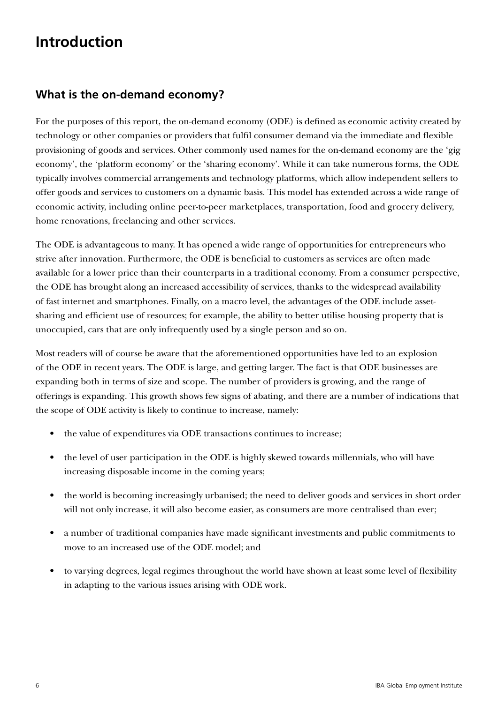# **Introduction**

# **What is the on-demand economy?**

For the purposes of this report, the on-demand economy (ODE) is defined as economic activity created by technology or other companies or providers that fulfil consumer demand via the immediate and flexible provisioning of goods and services. Other commonly used names for the on-demand economy are the 'gig economy', the 'platform economy' or the 'sharing economy'. While it can take numerous forms, the ODE typically involves commercial arrangements and technology platforms, which allow independent sellers to offer goods and services to customers on a dynamic basis. This model has extended across a wide range of economic activity, including online peer-to-peer marketplaces, transportation, food and grocery delivery, home renovations, freelancing and other services.

The ODE is advantageous to many. It has opened a wide range of opportunities for entrepreneurs who strive after innovation. Furthermore, the ODE is beneficial to customers as services are often made available for a lower price than their counterparts in a traditional economy. From a consumer perspective, the ODE has brought along an increased accessibility of services, thanks to the widespread availability of fast internet and smartphones. Finally, on a macro level, the advantages of the ODE include assetsharing and efficient use of resources; for example, the ability to better utilise housing property that is unoccupied, cars that are only infrequently used by a single person and so on.

Most readers will of course be aware that the aforementioned opportunities have led to an explosion of the ODE in recent years. The ODE is large, and getting larger. The fact is that ODE businesses are expanding both in terms of size and scope. The number of providers is growing, and the range of offerings is expanding. This growth shows few signs of abating, and there are a number of indications that the scope of ODE activity is likely to continue to increase, namely:

- the value of expenditures via ODE transactions continues to increase;
- the level of user participation in the ODE is highly skewed towards millennials, who will have increasing disposable income in the coming years;
- the world is becoming increasingly urbanised; the need to deliver goods and services in short order will not only increase, it will also become easier, as consumers are more centralised than ever;
- a number of traditional companies have made significant investments and public commitments to move to an increased use of the ODE model; and
- to varying degrees, legal regimes throughout the world have shown at least some level of flexibility in adapting to the various issues arising with ODE work.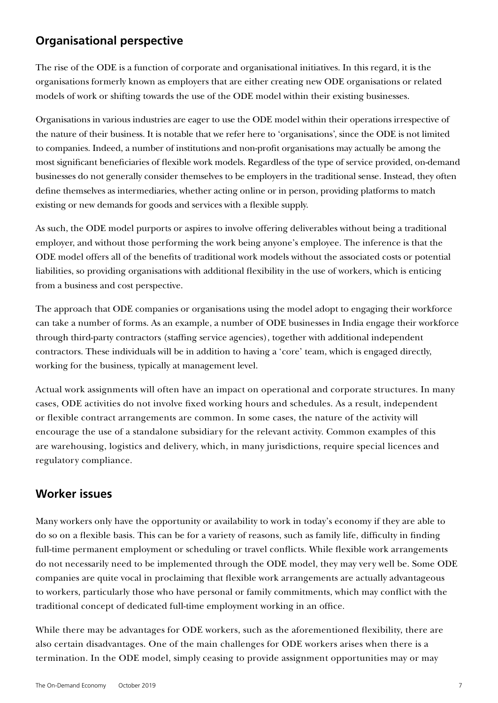# **Organisational perspective**

The rise of the ODE is a function of corporate and organisational initiatives. In this regard, it is the organisations formerly known as employers that are either creating new ODE organisations or related models of work or shifting towards the use of the ODE model within their existing businesses.

Organisations in various industries are eager to use the ODE model within their operations irrespective of the nature of their business. It is notable that we refer here to 'organisations', since the ODE is not limited to companies. Indeed, a number of institutions and non-profit organisations may actually be among the most significant beneficiaries of flexible work models. Regardless of the type of service provided, on-demand businesses do not generally consider themselves to be employers in the traditional sense. Instead, they often define themselves as intermediaries, whether acting online or in person, providing platforms to match existing or new demands for goods and services with a flexible supply.

As such, the ODE model purports or aspires to involve offering deliverables without being a traditional employer, and without those performing the work being anyone's employee. The inference is that the ODE model offers all of the benefits of traditional work models without the associated costs or potential liabilities, so providing organisations with additional flexibility in the use of workers, which is enticing from a business and cost perspective.

The approach that ODE companies or organisations using the model adopt to engaging their workforce can take a number of forms. As an example, a number of ODE businesses in India engage their workforce through third-party contractors (staffing service agencies), together with additional independent contractors. These individuals will be in addition to having a 'core' team, which is engaged directly, working for the business, typically at management level.

Actual work assignments will often have an impact on operational and corporate structures. In many cases, ODE activities do not involve fixed working hours and schedules. As a result, independent or flexible contract arrangements are common. In some cases, the nature of the activity will encourage the use of a standalone subsidiary for the relevant activity. Common examples of this are warehousing, logistics and delivery, which, in many jurisdictions, require special licences and regulatory compliance.

#### **Worker issues**

Many workers only have the opportunity or availability to work in today's economy if they are able to do so on a flexible basis. This can be for a variety of reasons, such as family life, difficulty in finding full-time permanent employment or scheduling or travel conflicts. While flexible work arrangements do not necessarily need to be implemented through the ODE model, they may very well be. Some ODE companies are quite vocal in proclaiming that flexible work arrangements are actually advantageous to workers, particularly those who have personal or family commitments, which may conflict with the traditional concept of dedicated full-time employment working in an office.

While there may be advantages for ODE workers, such as the aforementioned flexibility, there are also certain disadvantages. One of the main challenges for ODE workers arises when there is a termination. In the ODE model, simply ceasing to provide assignment opportunities may or may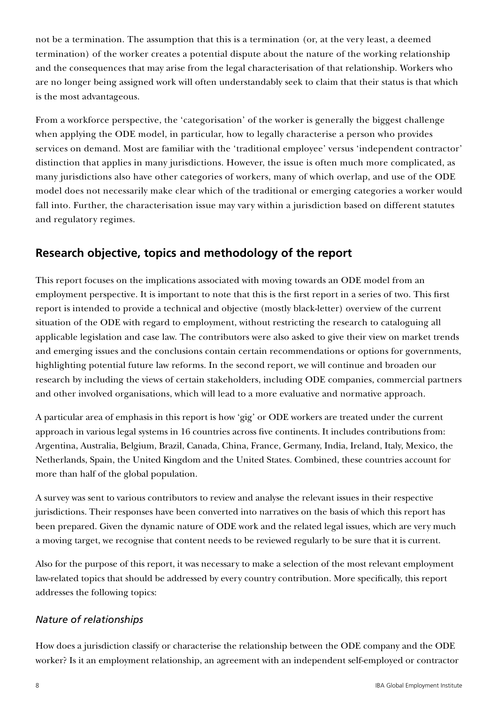not be a termination. The assumption that this is a termination (or, at the very least, a deemed termination) of the worker creates a potential dispute about the nature of the working relationship and the consequences that may arise from the legal characterisation of that relationship. Workers who are no longer being assigned work will often understandably seek to claim that their status is that which is the most advantageous.

From a workforce perspective, the 'categorisation' of the worker is generally the biggest challenge when applying the ODE model, in particular, how to legally characterise a person who provides services on demand. Most are familiar with the 'traditional employee' versus 'independent contractor' distinction that applies in many jurisdictions. However, the issue is often much more complicated, as many jurisdictions also have other categories of workers, many of which overlap, and use of the ODE model does not necessarily make clear which of the traditional or emerging categories a worker would fall into. Further, the characterisation issue may vary within a jurisdiction based on different statutes and regulatory regimes.

# **Research objective, topics and methodology of the report**

This report focuses on the implications associated with moving towards an ODE model from an employment perspective. It is important to note that this is the first report in a series of two. This first report is intended to provide a technical and objective (mostly black-letter) overview of the current situation of the ODE with regard to employment, without restricting the research to cataloguing all applicable legislation and case law. The contributors were also asked to give their view on market trends and emerging issues and the conclusions contain certain recommendations or options for governments, highlighting potential future law reforms. In the second report, we will continue and broaden our research by including the views of certain stakeholders, including ODE companies, commercial partners and other involved organisations, which will lead to a more evaluative and normative approach.

A particular area of emphasis in this report is how 'gig' or ODE workers are treated under the current approach in various legal systems in 16 countries across five continents. It includes contributions from: Argentina, Australia, Belgium, Brazil, Canada, China, France, Germany, India, Ireland, Italy, Mexico, the Netherlands, Spain, the United Kingdom and the United States. Combined, these countries account for more than half of the global population.

A survey was sent to various contributors to review and analyse the relevant issues in their respective jurisdictions. Their responses have been converted into narratives on the basis of which this report has been prepared. Given the dynamic nature of ODE work and the related legal issues, which are very much a moving target, we recognise that content needs to be reviewed regularly to be sure that it is current.

Also for the purpose of this report, it was necessary to make a selection of the most relevant employment law-related topics that should be addressed by every country contribution. More specifically, this report addresses the following topics:

#### *Nature of relationships*

How does a jurisdiction classify or characterise the relationship between the ODE company and the ODE worker? Is it an employment relationship, an agreement with an independent self-employed or contractor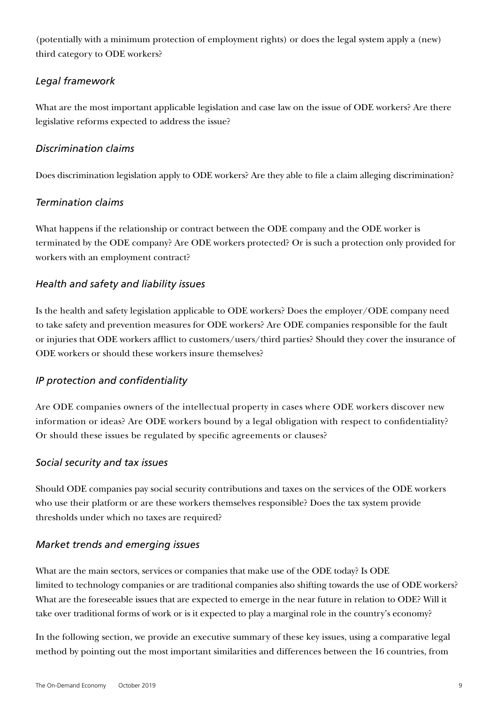(potentially with a minimum protection of employment rights) or does the legal system apply a (new) third category to ODE workers?

#### *Legal framework*

What are the most important applicable legislation and case law on the issue of ODE workers? Are there legislative reforms expected to address the issue?

#### *Discrimination claims*

Does discrimination legislation apply to ODE workers? Are they able to file a claim alleging discrimination?

#### *Termination claims*

What happens if the relationship or contract between the ODE company and the ODE worker is terminated by the ODE company? Are ODE workers protected? Or is such a protection only provided for workers with an employment contract?

#### *Health and safety and liability issues*

Is the health and safety legislation applicable to ODE workers? Does the employer/ODE company need to take safety and prevention measures for ODE workers? Are ODE companies responsible for the fault or injuries that ODE workers afflict to customers/users/third parties? Should they cover the insurance of ODE workers or should these workers insure themselves?

#### *IP protection and confidentiality*

Are ODE companies owners of the intellectual property in cases where ODE workers discover new information or ideas? Are ODE workers bound by a legal obligation with respect to confidentiality? Or should these issues be regulated by specific agreements or clauses?

#### *Social security and tax issues*

Should ODE companies pay social security contributions and taxes on the services of the ODE workers who use their platform or are these workers themselves responsible? Does the tax system provide thresholds under which no taxes are required?

#### *Market trends and emerging issues*

What are the main sectors, services or companies that make use of the ODE today? Is ODE limited to technology companies or are traditional companies also shifting towards the use of ODE workers? What are the foreseeable issues that are expected to emerge in the near future in relation to ODE? Will it take over traditional forms of work or is it expected to play a marginal role in the country's economy?

In the following section, we provide an executive summary of these key issues, using a comparative legal method by pointing out the most important similarities and differences between the 16 countries, from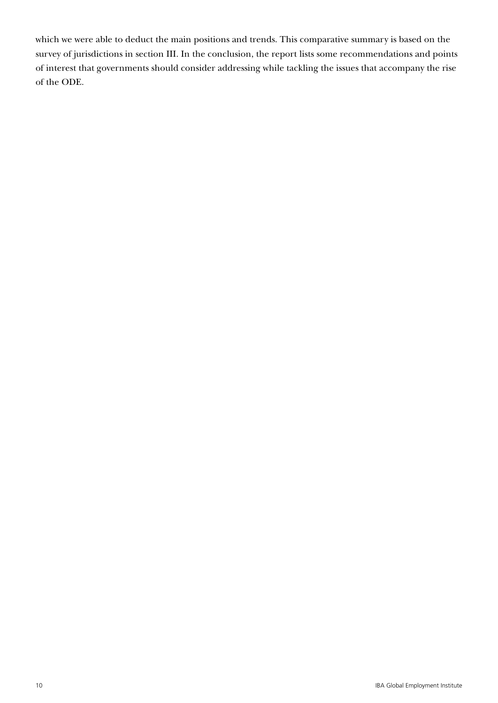which we were able to deduct the main positions and trends. This comparative summary is based on the survey of jurisdictions in section III. In the conclusion, the report lists some recommendations and points of interest that governments should consider addressing while tackling the issues that accompany the rise of the ODE.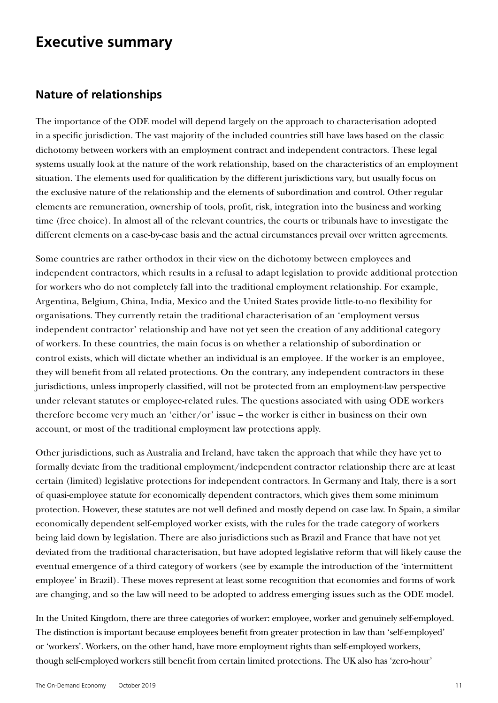# **Executive summary**

#### **Nature of relationships**

The importance of the ODE model will depend largely on the approach to characterisation adopted in a specific jurisdiction. The vast majority of the included countries still have laws based on the classic dichotomy between workers with an employment contract and independent contractors. These legal systems usually look at the nature of the work relationship, based on the characteristics of an employment situation. The elements used for qualification by the different jurisdictions vary, but usually focus on the exclusive nature of the relationship and the elements of subordination and control. Other regular elements are remuneration, ownership of tools, profit, risk, integration into the business and working time (free choice). In almost all of the relevant countries, the courts or tribunals have to investigate the different elements on a case-by-case basis and the actual circumstances prevail over written agreements.

Some countries are rather orthodox in their view on the dichotomy between employees and independent contractors, which results in a refusal to adapt legislation to provide additional protection for workers who do not completely fall into the traditional employment relationship. For example, Argentina, Belgium, China, India, Mexico and the United States provide little-to-no flexibility for organisations. They currently retain the traditional characterisation of an 'employment versus independent contractor' relationship and have not yet seen the creation of any additional category of workers. In these countries, the main focus is on whether a relationship of subordination or control exists, which will dictate whether an individual is an employee. If the worker is an employee, they will benefit from all related protections. On the contrary, any independent contractors in these jurisdictions, unless improperly classified, will not be protected from an employment-law perspective under relevant statutes or employee-related rules. The questions associated with using ODE workers therefore become very much an 'either/or' issue – the worker is either in business on their own account, or most of the traditional employment law protections apply.

Other jurisdictions, such as Australia and Ireland, have taken the approach that while they have yet to formally deviate from the traditional employment/independent contractor relationship there are at least certain (limited) legislative protections for independent contractors. In Germany and Italy, there is a sort of quasi-employee statute for economically dependent contractors, which gives them some minimum protection. However, these statutes are not well defined and mostly depend on case law. In Spain, a similar economically dependent self-employed worker exists, with the rules for the trade category of workers being laid down by legislation. There are also jurisdictions such as Brazil and France that have not yet deviated from the traditional characterisation, but have adopted legislative reform that will likely cause the eventual emergence of a third category of workers (see by example the introduction of the 'intermittent employee' in Brazil). These moves represent at least some recognition that economies and forms of work are changing, and so the law will need to be adopted to address emerging issues such as the ODE model.

In the United Kingdom, there are three categories of worker: employee, worker and genuinely self-employed. The distinction is important because employees benefit from greater protection in law than 'self-employed' or 'workers'. Workers, on the other hand, have more employment rights than self-employed workers, though self-employed workers still benefit from certain limited protections. The UK also has 'zero-hour'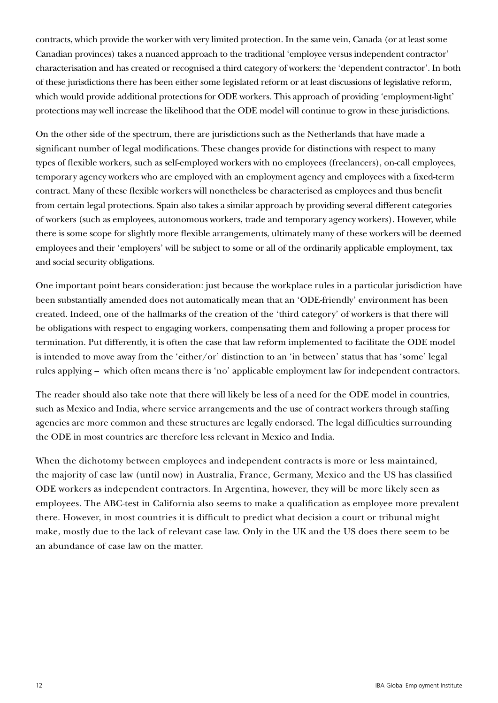contracts, which provide the worker with very limited protection. In the same vein, Canada (or at least some Canadian provinces) takes a nuanced approach to the traditional 'employee versus independent contractor' characterisation and has created or recognised a third category of workers: the 'dependent contractor'. In both of these jurisdictions there has been either some legislated reform or at least discussions of legislative reform, which would provide additional protections for ODE workers. This approach of providing 'employment-light' protections may well increase the likelihood that the ODE model will continue to grow in these jurisdictions.

On the other side of the spectrum, there are jurisdictions such as the Netherlands that have made a significant number of legal modifications. These changes provide for distinctions with respect to many types of flexible workers, such as self-employed workers with no employees (freelancers), on-call employees, temporary agency workers who are employed with an employment agency and employees with a fixed-term contract. Many of these flexible workers will nonetheless be characterised as employees and thus benefit from certain legal protections. Spain also takes a similar approach by providing several different categories of workers (such as employees, autonomous workers, trade and temporary agency workers). However, while there is some scope for slightly more flexible arrangements, ultimately many of these workers will be deemed employees and their 'employers' will be subject to some or all of the ordinarily applicable employment, tax and social security obligations.

One important point bears consideration: just because the workplace rules in a particular jurisdiction have been substantially amended does not automatically mean that an 'ODE-friendly' environment has been created. Indeed, one of the hallmarks of the creation of the 'third category' of workers is that there will be obligations with respect to engaging workers, compensating them and following a proper process for termination. Put differently, it is often the case that law reform implemented to facilitate the ODE model is intended to move away from the 'either/or' distinction to an 'in between' status that has 'some' legal rules applying – which often means there is 'no' applicable employment law for independent contractors.

The reader should also take note that there will likely be less of a need for the ODE model in countries, such as Mexico and India, where service arrangements and the use of contract workers through staffing agencies are more common and these structures are legally endorsed. The legal difficulties surrounding the ODE in most countries are therefore less relevant in Mexico and India.

When the dichotomy between employees and independent contracts is more or less maintained, the majority of case law (until now) in Australia, France, Germany, Mexico and the US has classified ODE workers as independent contractors. In Argentina, however, they will be more likely seen as employees. The ABC-test in California also seems to make a qualification as employee more prevalent there. However, in most countries it is difficult to predict what decision a court or tribunal might make, mostly due to the lack of relevant case law. Only in the UK and the US does there seem to be an abundance of case law on the matter.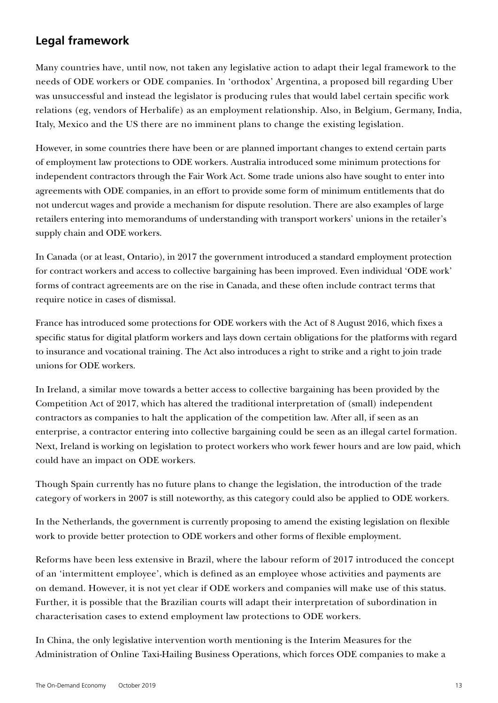# **Legal framework**

Many countries have, until now, not taken any legislative action to adapt their legal framework to the needs of ODE workers or ODE companies. In 'orthodox' Argentina, a proposed bill regarding Uber was unsuccessful and instead the legislator is producing rules that would label certain specific work relations (eg, vendors of Herbalife) as an employment relationship. Also, in Belgium, Germany, India, Italy, Mexico and the US there are no imminent plans to change the existing legislation.

However, in some countries there have been or are planned important changes to extend certain parts of employment law protections to ODE workers. Australia introduced some minimum protections for independent contractors through the Fair Work Act. Some trade unions also have sought to enter into agreements with ODE companies, in an effort to provide some form of minimum entitlements that do not undercut wages and provide a mechanism for dispute resolution. There are also examples of large retailers entering into memorandums of understanding with transport workers' unions in the retailer's supply chain and ODE workers.

In Canada (or at least, Ontario), in 2017 the government introduced a standard employment protection for contract workers and access to collective bargaining has been improved. Even individual 'ODE work' forms of contract agreements are on the rise in Canada, and these often include contract terms that require notice in cases of dismissal.

France has introduced some protections for ODE workers with the Act of 8 August 2016, which fixes a specific status for digital platform workers and lays down certain obligations for the platforms with regard to insurance and vocational training. The Act also introduces a right to strike and a right to join trade unions for ODE workers.

In Ireland, a similar move towards a better access to collective bargaining has been provided by the Competition Act of 2017, which has altered the traditional interpretation of (small) independent contractors as companies to halt the application of the competition law. After all, if seen as an enterprise, a contractor entering into collective bargaining could be seen as an illegal cartel formation. Next, Ireland is working on legislation to protect workers who work fewer hours and are low paid, which could have an impact on ODE workers.

Though Spain currently has no future plans to change the legislation, the introduction of the trade category of workers in 2007 is still noteworthy, as this category could also be applied to ODE workers.

In the Netherlands, the government is currently proposing to amend the existing legislation on flexible work to provide better protection to ODE workers and other forms of flexible employment.

Reforms have been less extensive in Brazil, where the labour reform of 2017 introduced the concept of an 'intermittent employee', which is defined as an employee whose activities and payments are on demand. However, it is not yet clear if ODE workers and companies will make use of this status. Further, it is possible that the Brazilian courts will adapt their interpretation of subordination in characterisation cases to extend employment law protections to ODE workers.

In China, the only legislative intervention worth mentioning is the Interim Measures for the Administration of Online Taxi-Hailing Business Operations, which forces ODE companies to make a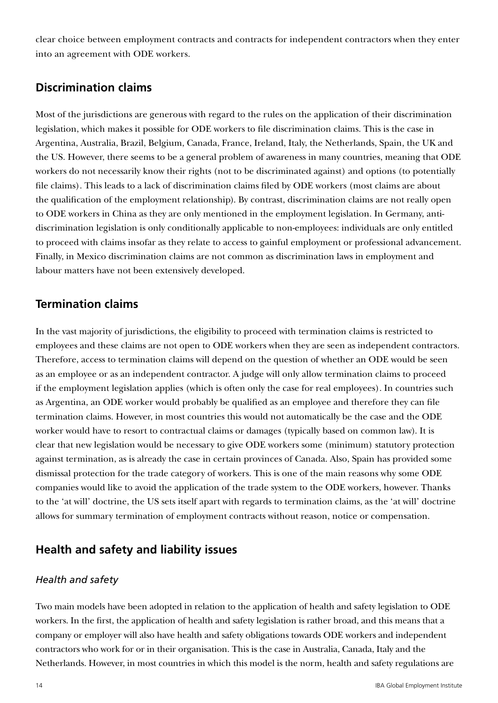clear choice between employment contracts and contracts for independent contractors when they enter into an agreement with ODE workers.

# **Discrimination claims**

Most of the jurisdictions are generous with regard to the rules on the application of their discrimination legislation, which makes it possible for ODE workers to file discrimination claims. This is the case in Argentina, Australia, Brazil, Belgium, Canada, France, Ireland, Italy, the Netherlands, Spain, the UK and the US. However, there seems to be a general problem of awareness in many countries, meaning that ODE workers do not necessarily know their rights (not to be discriminated against) and options (to potentially file claims). This leads to a lack of discrimination claims filed by ODE workers (most claims are about the qualification of the employment relationship). By contrast, discrimination claims are not really open to ODE workers in China as they are only mentioned in the employment legislation. In Germany, antidiscrimination legislation is only conditionally applicable to non-employees: individuals are only entitled to proceed with claims insofar as they relate to access to gainful employment or professional advancement. Finally, in Mexico discrimination claims are not common as discrimination laws in employment and labour matters have not been extensively developed.

## **Termination claims**

In the vast majority of jurisdictions, the eligibility to proceed with termination claims is restricted to employees and these claims are not open to ODE workers when they are seen as independent contractors. Therefore, access to termination claims will depend on the question of whether an ODE would be seen as an employee or as an independent contractor. A judge will only allow termination claims to proceed if the employment legislation applies (which is often only the case for real employees). In countries such as Argentina, an ODE worker would probably be qualified as an employee and therefore they can file termination claims. However, in most countries this would not automatically be the case and the ODE worker would have to resort to contractual claims or damages (typically based on common law). It is clear that new legislation would be necessary to give ODE workers some (minimum) statutory protection against termination, as is already the case in certain provinces of Canada. Also, Spain has provided some dismissal protection for the trade category of workers. This is one of the main reasons why some ODE companies would like to avoid the application of the trade system to the ODE workers, however. Thanks to the 'at will' doctrine, the US sets itself apart with regards to termination claims, as the 'at will' doctrine allows for summary termination of employment contracts without reason, notice or compensation.

# **Health and safety and liability issues**

#### *Health and safety*

Two main models have been adopted in relation to the application of health and safety legislation to ODE workers. In the first, the application of health and safety legislation is rather broad, and this means that a company or employer will also have health and safety obligations towards ODE workers and independent contractors who work for or in their organisation. This is the case in Australia, Canada, Italy and the Netherlands. However, in most countries in which this model is the norm, health and safety regulations are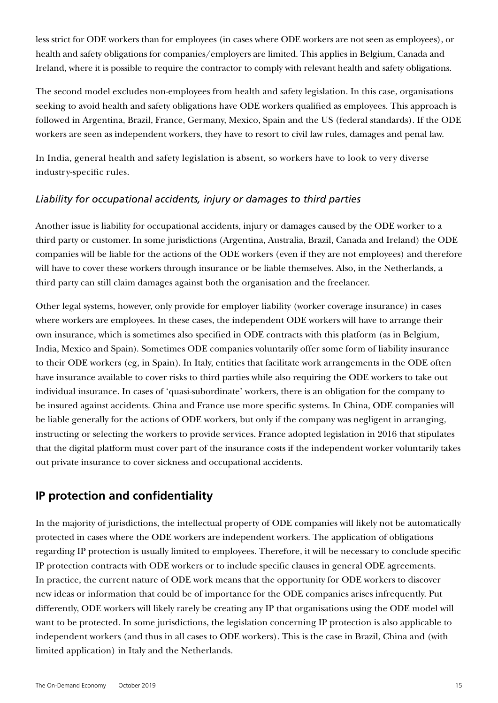less strict for ODE workers than for employees (in cases where ODE workers are not seen as employees), or health and safety obligations for companies/employers are limited. This applies in Belgium, Canada and Ireland, where it is possible to require the contractor to comply with relevant health and safety obligations.

The second model excludes non-employees from health and safety legislation. In this case, organisations seeking to avoid health and safety obligations have ODE workers qualified as employees. This approach is followed in Argentina, Brazil, France, Germany, Mexico, Spain and the US (federal standards). If the ODE workers are seen as independent workers, they have to resort to civil law rules, damages and penal law.

In India, general health and safety legislation is absent, so workers have to look to very diverse industry-specific rules.

#### *Liability for occupational accidents, injury or damages to third parties*

Another issue is liability for occupational accidents, injury or damages caused by the ODE worker to a third party or customer. In some jurisdictions (Argentina, Australia, Brazil, Canada and Ireland) the ODE companies will be liable for the actions of the ODE workers (even if they are not employees) and therefore will have to cover these workers through insurance or be liable themselves. Also, in the Netherlands, a third party can still claim damages against both the organisation and the freelancer.

Other legal systems, however, only provide for employer liability (worker coverage insurance) in cases where workers are employees. In these cases, the independent ODE workers will have to arrange their own insurance, which is sometimes also specified in ODE contracts with this platform (as in Belgium, India, Mexico and Spain). Sometimes ODE companies voluntarily offer some form of liability insurance to their ODE workers (eg, in Spain). In Italy, entities that facilitate work arrangements in the ODE often have insurance available to cover risks to third parties while also requiring the ODE workers to take out individual insurance. In cases of 'quasi-subordinate' workers, there is an obligation for the company to be insured against accidents. China and France use more specific systems. In China, ODE companies will be liable generally for the actions of ODE workers, but only if the company was negligent in arranging, instructing or selecting the workers to provide services. France adopted legislation in 2016 that stipulates that the digital platform must cover part of the insurance costs if the independent worker voluntarily takes out private insurance to cover sickness and occupational accidents.

# **IP protection and confidentiality**

In the majority of jurisdictions, the intellectual property of ODE companies will likely not be automatically protected in cases where the ODE workers are independent workers. The application of obligations regarding IP protection is usually limited to employees. Therefore, it will be necessary to conclude specific IP protection contracts with ODE workers or to include specific clauses in general ODE agreements. In practice, the current nature of ODE work means that the opportunity for ODE workers to discover new ideas or information that could be of importance for the ODE companies arises infrequently. Put differently, ODE workers will likely rarely be creating any IP that organisations using the ODE model will want to be protected. In some jurisdictions, the legislation concerning IP protection is also applicable to independent workers (and thus in all cases to ODE workers). This is the case in Brazil, China and (with limited application) in Italy and the Netherlands.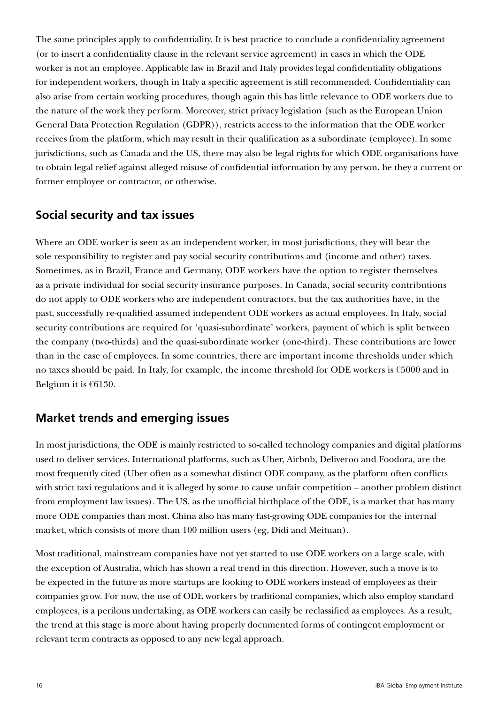The same principles apply to confidentiality. It is best practice to conclude a confidentiality agreement (or to insert a confidentiality clause in the relevant service agreement) in cases in which the ODE worker is not an employee. Applicable law in Brazil and Italy provides legal confidentiality obligations for independent workers, though in Italy a specific agreement is still recommended. Confidentiality can also arise from certain working procedures, though again this has little relevance to ODE workers due to the nature of the work they perform. Moreover, strict privacy legislation (such as the European Union General Data Protection Regulation (GDPR)), restricts access to the information that the ODE worker receives from the platform, which may result in their qualification as a subordinate (employee). In some jurisdictions, such as Canada and the US, there may also be legal rights for which ODE organisations have to obtain legal relief against alleged misuse of confidential information by any person, be they a current or former employee or contractor, or otherwise.

## **Social security and tax issues**

Where an ODE worker is seen as an independent worker, in most jurisdictions, they will bear the sole responsibility to register and pay social security contributions and (income and other) taxes. Sometimes, as in Brazil, France and Germany, ODE workers have the option to register themselves as a private individual for social security insurance purposes. In Canada, social security contributions do not apply to ODE workers who are independent contractors, but the tax authorities have, in the past, successfully re-qualified assumed independent ODE workers as actual employees. In Italy, social security contributions are required for 'quasi-subordinate' workers, payment of which is split between the company (two-thirds) and the quasi-subordinate worker (one-third). These contributions are lower than in the case of employees. In some countries, there are important income thresholds under which no taxes should be paid. In Italy, for example, the income threshold for ODE workers is €5000 and in Belgium it is  $€6130$ .

# **Market trends and emerging issues**

In most jurisdictions, the ODE is mainly restricted to so-called technology companies and digital platforms used to deliver services. International platforms, such as Uber, Airbnb, Deliveroo and Foodora, are the most frequently cited (Uber often as a somewhat distinct ODE company, as the platform often conflicts with strict taxi regulations and it is alleged by some to cause unfair competition – another problem distinct from employment law issues). The US, as the unofficial birthplace of the ODE, is a market that has many more ODE companies than most. China also has many fast-growing ODE companies for the internal market, which consists of more than 100 million users (eg, Didi and Meituan).

Most traditional, mainstream companies have not yet started to use ODE workers on a large scale, with the exception of Australia, which has shown a real trend in this direction. However, such a move is to be expected in the future as more startups are looking to ODE workers instead of employees as their companies grow. For now, the use of ODE workers by traditional companies, which also employ standard employees, is a perilous undertaking, as ODE workers can easily be reclassified as employees. As a result, the trend at this stage is more about having properly documented forms of contingent employment or relevant term contracts as opposed to any new legal approach.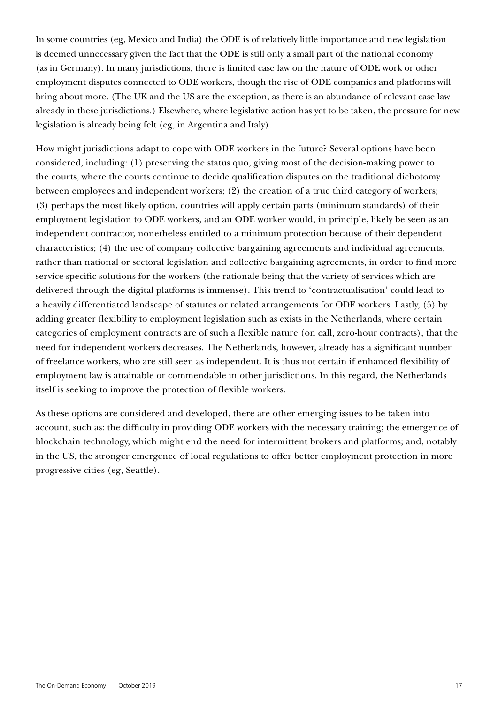In some countries (eg, Mexico and India) the ODE is of relatively little importance and new legislation is deemed unnecessary given the fact that the ODE is still only a small part of the national economy (as in Germany). In many jurisdictions, there is limited case law on the nature of ODE work or other employment disputes connected to ODE workers, though the rise of ODE companies and platforms will bring about more. (The UK and the US are the exception, as there is an abundance of relevant case law already in these jurisdictions.) Elsewhere, where legislative action has yet to be taken, the pressure for new legislation is already being felt (eg, in Argentina and Italy).

How might jurisdictions adapt to cope with ODE workers in the future? Several options have been considered, including: (1) preserving the status quo, giving most of the decision-making power to the courts, where the courts continue to decide qualification disputes on the traditional dichotomy between employees and independent workers; (2) the creation of a true third category of workers; (3) perhaps the most likely option, countries will apply certain parts (minimum standards) of their employment legislation to ODE workers, and an ODE worker would, in principle, likely be seen as an independent contractor, nonetheless entitled to a minimum protection because of their dependent characteristics; (4) the use of company collective bargaining agreements and individual agreements, rather than national or sectoral legislation and collective bargaining agreements, in order to find more service-specific solutions for the workers (the rationale being that the variety of services which are delivered through the digital platforms is immense). This trend to 'contractualisation' could lead to a heavily differentiated landscape of statutes or related arrangements for ODE workers. Lastly, (5) by adding greater flexibility to employment legislation such as exists in the Netherlands, where certain categories of employment contracts are of such a flexible nature (on call, zero-hour contracts), that the need for independent workers decreases. The Netherlands, however, already has a significant number of freelance workers, who are still seen as independent. It is thus not certain if enhanced flexibility of employment law is attainable or commendable in other jurisdictions. In this regard, the Netherlands itself is seeking to improve the protection of flexible workers.

As these options are considered and developed, there are other emerging issues to be taken into account, such as: the difficulty in providing ODE workers with the necessary training; the emergence of blockchain technology, which might end the need for intermittent brokers and platforms; and, notably in the US, the stronger emergence of local regulations to offer better employment protection in more progressive cities (eg, Seattle).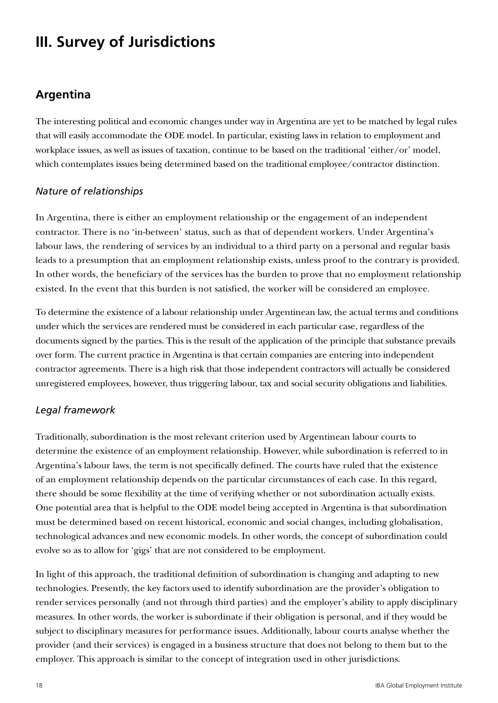# **III. Survey of Jurisdictions**

# **Argentina**

The interesting political and economic changes under way in Argentina are yet to be matched by legal rules that will easily accommodate the ODE model. In particular, existing laws in relation to employment and workplace issues, as well as issues of taxation, continue to be based on the traditional 'either/or' model, which contemplates issues being determined based on the traditional employee/contractor distinction.

#### *Nature of relationships*

In Argentina, there is either an employment relationship or the engagement of an independent contractor. There is no 'in-between' status, such as that of dependent workers. Under Argentina's labour laws, the rendering of services by an individual to a third party on a personal and regular basis leads to a presumption that an employment relationship exists, unless proof to the contrary is provided. In other words, the beneficiary of the services has the burden to prove that no employment relationship existed. In the event that this burden is not satisfied, the worker will be considered an employee.

To determine the existence of a labour relationship under Argentinean law, the actual terms and conditions under which the services are rendered must be considered in each particular case, regardless of the documents signed by the parties. This is the result of the application of the principle that substance prevails over form. The current practice in Argentina is that certain companies are entering into independent contractor agreements. There is a high risk that those independent contractors will actually be considered unregistered employees, however, thus triggering labour, tax and social security obligations and liabilities.

#### *Legal framework*

Traditionally, subordination is the most relevant criterion used by Argentinean labour courts to determine the existence of an employment relationship. However, while subordination is referred to in Argentina's labour laws, the term is not specifically defined. The courts have ruled that the existence of an employment relationship depends on the particular circumstances of each case. In this regard, there should be some flexibility at the time of verifying whether or not subordination actually exists. One potential area that is helpful to the ODE model being accepted in Argentina is that subordination must be determined based on recent historical, economic and social changes, including globalisation, technological advances and new economic models. In other words, the concept of subordination could evolve so as to allow for 'gigs' that are not considered to be employment.

In light of this approach, the traditional definition of subordination is changing and adapting to new technologies. Presently, the key factors used to identify subordination are the provider's obligation to render services personally (and not through third parties) and the employer's ability to apply disciplinary measures. In other words, the worker is subordinate if their obligation is personal, and if they would be subject to disciplinary measures for performance issues. Additionally, labour courts analyse whether the provider (and their services) is engaged in a business structure that does not belong to them but to the employer. This approach is similar to the concept of integration used in other jurisdictions.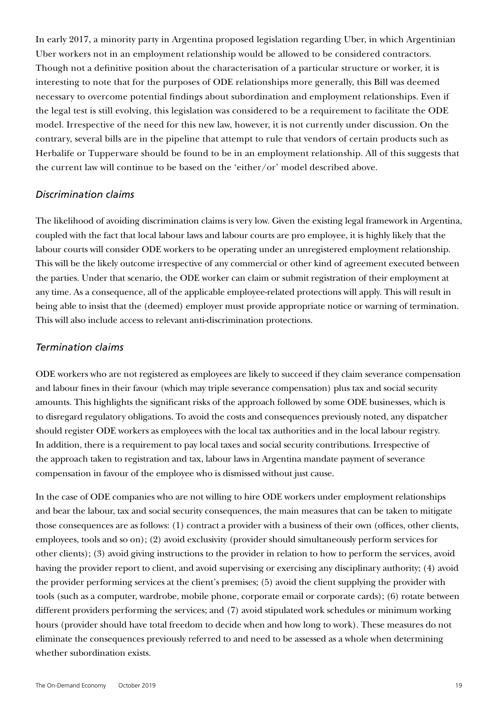In early 2017, a minority party in Argentina proposed legislation regarding Uber, in which Argentinian Uber workers not in an employment relationship would be allowed to be considered contractors. Though not a definitive position about the characterisation of a particular structure or worker, it is interesting to note that for the purposes of ODE relationships more generally, this Bill was deemed necessary to overcome potential findings about subordination and employment relationships. Even if the legal test is still evolving, this legislation was considered to be a requirement to facilitate the ODE model. Irrespective of the need for this new law, however, it is not currently under discussion. On the contrary, several bills are in the pipeline that attempt to rule that vendors of certain products such as Herbalife or Tupperware should be found to be in an employment relationship. All of this suggests that the current law will continue to be based on the 'either/or' model described above.

#### *Discrimination claims*

The likelihood of avoiding discrimination claims is very low. Given the existing legal framework in Argentina, coupled with the fact that local labour laws and labour courts are pro employee, it is highly likely that the labour courts will consider ODE workers to be operating under an unregistered employment relationship. This will be the likely outcome irrespective of any commercial or other kind of agreement executed between the parties. Under that scenario, the ODE worker can claim or submit registration of their employment at any time. As a consequence, all of the applicable employee-related protections will apply. This will result in being able to insist that the (deemed) employer must provide appropriate notice or warning of termination. This will also include access to relevant anti-discrimination protections.

#### *Termination claims*

ODE workers who are not registered as employees are likely to succeed if they claim severance compensation and labour fines in their favour (which may triple severance compensation) plus tax and social security amounts. This highlights the significant risks of the approach followed by some ODE businesses, which is to disregard regulatory obligations. To avoid the costs and consequences previously noted, any dispatcher should register ODE workers as employees with the local tax authorities and in the local labour registry. In addition, there is a requirement to pay local taxes and social security contributions. Irrespective of the approach taken to registration and tax, labour laws in Argentina mandate payment of severance compensation in favour of the employee who is dismissed without just cause.

In the case of ODE companies who are not willing to hire ODE workers under employment relationships and bear the labour, tax and social security consequences, the main measures that can be taken to mitigate those consequences are as follows: (1) contract a provider with a business of their own (offices, other clients, employees, tools and so on); (2) avoid exclusivity (provider should simultaneously perform services for other clients); (3) avoid giving instructions to the provider in relation to how to perform the services, avoid having the provider report to client, and avoid supervising or exercising any disciplinary authority; (4) avoid the provider performing services at the client's premises; (5) avoid the client supplying the provider with tools (such as a computer, wardrobe, mobile phone, corporate email or corporate cards); (6) rotate between different providers performing the services; and (7) avoid stipulated work schedules or minimum working hours (provider should have total freedom to decide when and how long to work). These measures do not eliminate the consequences previously referred to and need to be assessed as a whole when determining whether subordination exists.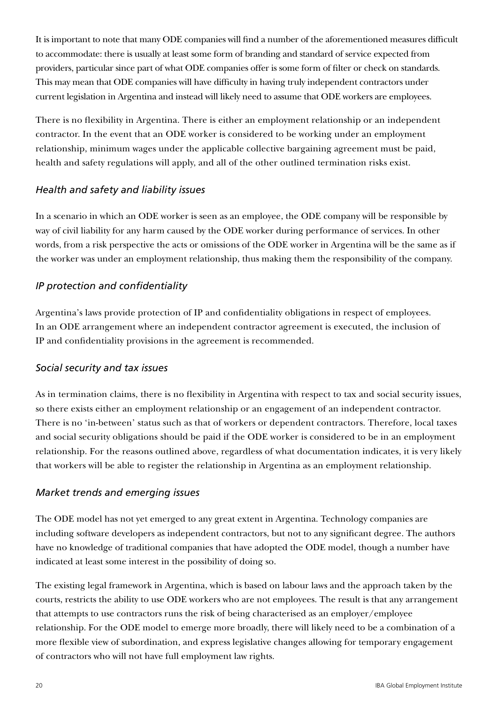It is important to note that many ODE companies will find a number of the aforementioned measures difficult to accommodate: there is usually at least some form of branding and standard of service expected from providers, particular since part of what ODE companies offer is some form of filter or check on standards. This may mean that ODE companies will have difficulty in having truly independent contractors under current legislation in Argentina and instead will likely need to assume that ODE workers are employees.

There is no flexibility in Argentina. There is either an employment relationship or an independent contractor. In the event that an ODE worker is considered to be working under an employment relationship, minimum wages under the applicable collective bargaining agreement must be paid, health and safety regulations will apply, and all of the other outlined termination risks exist.

#### *Health and safety and liability issues*

In a scenario in which an ODE worker is seen as an employee, the ODE company will be responsible by way of civil liability for any harm caused by the ODE worker during performance of services. In other words, from a risk perspective the acts or omissions of the ODE worker in Argentina will be the same as if the worker was under an employment relationship, thus making them the responsibility of the company.

## *IP protection and confidentiality*

Argentina's laws provide protection of IP and confidentiality obligations in respect of employees. In an ODE arrangement where an independent contractor agreement is executed, the inclusion of IP and confidentiality provisions in the agreement is recommended.

#### *Social security and tax issues*

As in termination claims, there is no flexibility in Argentina with respect to tax and social security issues, so there exists either an employment relationship or an engagement of an independent contractor. There is no 'in-between' status such as that of workers or dependent contractors. Therefore, local taxes and social security obligations should be paid if the ODE worker is considered to be in an employment relationship. For the reasons outlined above, regardless of what documentation indicates, it is very likely that workers will be able to register the relationship in Argentina as an employment relationship.

#### *Market trends and emerging issues*

The ODE model has not yet emerged to any great extent in Argentina. Technology companies are including software developers as independent contractors, but not to any significant degree. The authors have no knowledge of traditional companies that have adopted the ODE model, though a number have indicated at least some interest in the possibility of doing so.

The existing legal framework in Argentina, which is based on labour laws and the approach taken by the courts, restricts the ability to use ODE workers who are not employees. The result is that any arrangement that attempts to use contractors runs the risk of being characterised as an employer/employee relationship. For the ODE model to emerge more broadly, there will likely need to be a combination of a more flexible view of subordination, and express legislative changes allowing for temporary engagement of contractors who will not have full employment law rights.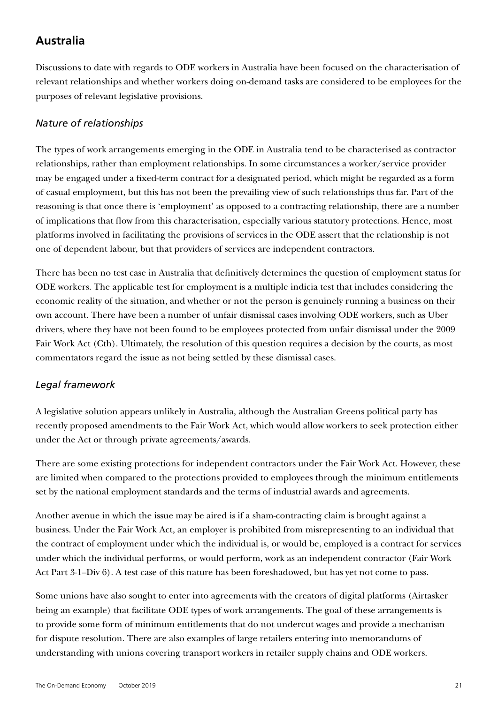# **Australia**

Discussions to date with regards to ODE workers in Australia have been focused on the characterisation of relevant relationships and whether workers doing on-demand tasks are considered to be employees for the purposes of relevant legislative provisions.

#### *Nature of relationships*

The types of work arrangements emerging in the ODE in Australia tend to be characterised as contractor relationships, rather than employment relationships. In some circumstances a worker/service provider may be engaged under a fixed-term contract for a designated period, which might be regarded as a form of casual employment, but this has not been the prevailing view of such relationships thus far. Part of the reasoning is that once there is 'employment' as opposed to a contracting relationship, there are a number of implications that flow from this characterisation, especially various statutory protections. Hence, most platforms involved in facilitating the provisions of services in the ODE assert that the relationship is not one of dependent labour, but that providers of services are independent contractors.

There has been no test case in Australia that definitively determines the question of employment status for ODE workers. The applicable test for employment is a multiple indicia test that includes considering the economic reality of the situation, and whether or not the person is genuinely running a business on their own account. There have been a number of unfair dismissal cases involving ODE workers, such as Uber drivers, where they have not been found to be employees protected from unfair dismissal under the 2009 Fair Work Act (Cth). Ultimately, the resolution of this question requires a decision by the courts, as most commentators regard the issue as not being settled by these dismissal cases.

#### *Legal framework*

A legislative solution appears unlikely in Australia, although the Australian Greens political party has recently proposed amendments to the Fair Work Act, which would allow workers to seek protection either under the Act or through private agreements/awards.

There are some existing protections for independent contractors under the Fair Work Act. However, these are limited when compared to the protections provided to employees through the minimum entitlements set by the national employment standards and the terms of industrial awards and agreements.

Another avenue in which the issue may be aired is if a sham-contracting claim is brought against a business. Under the Fair Work Act, an employer is prohibited from misrepresenting to an individual that the contract of employment under which the individual is, or would be, employed is a contract for services under which the individual performs, or would perform, work as an independent contractor (Fair Work Act Part 3-1–Div 6). A test case of this nature has been foreshadowed, but has yet not come to pass.

Some unions have also sought to enter into agreements with the creators of digital platforms (Airtasker being an example) that facilitate ODE types of work arrangements. The goal of these arrangements is to provide some form of minimum entitlements that do not undercut wages and provide a mechanism for dispute resolution. There are also examples of large retailers entering into memorandums of understanding with unions covering transport workers in retailer supply chains and ODE workers.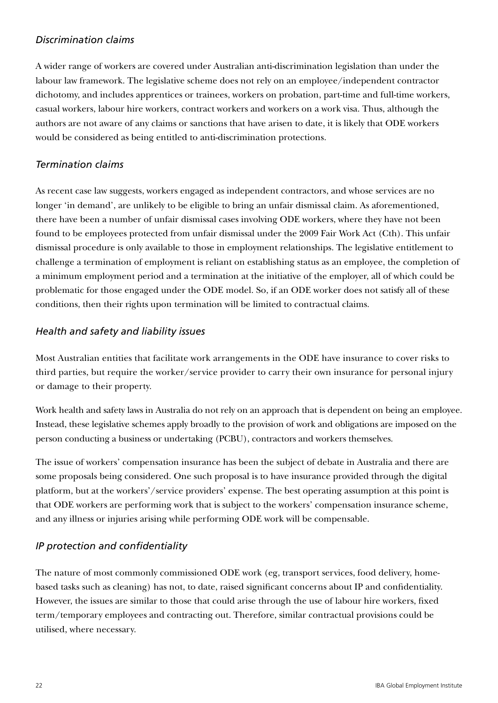#### *Discrimination claims*

A wider range of workers are covered under Australian anti-discrimination legislation than under the labour law framework. The legislative scheme does not rely on an employee/independent contractor dichotomy, and includes apprentices or trainees, workers on probation, part-time and full-time workers, casual workers, labour hire workers, contract workers and workers on a work visa. Thus, although the authors are not aware of any claims or sanctions that have arisen to date, it is likely that ODE workers would be considered as being entitled to anti-discrimination protections.

#### *Termination claims*

As recent case law suggests, workers engaged as independent contractors, and whose services are no longer 'in demand', are unlikely to be eligible to bring an unfair dismissal claim. As aforementioned, there have been a number of unfair dismissal cases involving ODE workers, where they have not been found to be employees protected from unfair dismissal under the 2009 Fair Work Act (Cth). This unfair dismissal procedure is only available to those in employment relationships. The legislative entitlement to challenge a termination of employment is reliant on establishing status as an employee, the completion of a minimum employment period and a termination at the initiative of the employer, all of which could be problematic for those engaged under the ODE model. So, if an ODE worker does not satisfy all of these conditions, then their rights upon termination will be limited to contractual claims.

#### *Health and safety and liability issues*

Most Australian entities that facilitate work arrangements in the ODE have insurance to cover risks to third parties, but require the worker/service provider to carry their own insurance for personal injury or damage to their property.

Work health and safety laws in Australia do not rely on an approach that is dependent on being an employee. Instead, these legislative schemes apply broadly to the provision of work and obligations are imposed on the person conducting a business or undertaking (PCBU), contractors and workers themselves.

The issue of workers' compensation insurance has been the subject of debate in Australia and there are some proposals being considered. One such proposal is to have insurance provided through the digital platform, but at the workers'/service providers' expense. The best operating assumption at this point is that ODE workers are performing work that is subject to the workers' compensation insurance scheme, and any illness or injuries arising while performing ODE work will be compensable.

#### *IP protection and confidentiality*

The nature of most commonly commissioned ODE work (eg, transport services, food delivery, homebased tasks such as cleaning) has not, to date, raised significant concerns about IP and confidentiality. However, the issues are similar to those that could arise through the use of labour hire workers, fixed term/temporary employees and contracting out. Therefore, similar contractual provisions could be utilised, where necessary.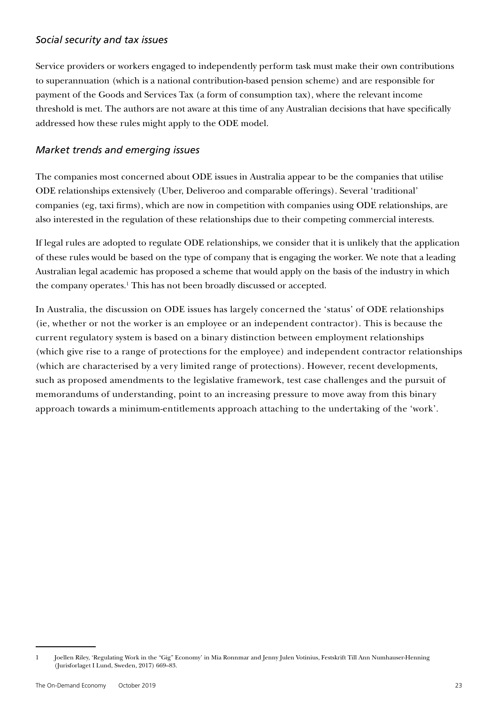#### *Social security and tax issues*

Service providers or workers engaged to independently perform task must make their own contributions to superannuation (which is a national contribution-based pension scheme) and are responsible for payment of the Goods and Services Tax (a form of consumption tax), where the relevant income threshold is met. The authors are not aware at this time of any Australian decisions that have specifically addressed how these rules might apply to the ODE model.

#### *Market trends and emerging issues*

The companies most concerned about ODE issues in Australia appear to be the companies that utilise ODE relationships extensively (Uber, Deliveroo and comparable offerings). Several 'traditional' companies (eg, taxi firms), which are now in competition with companies using ODE relationships, are also interested in the regulation of these relationships due to their competing commercial interests.

If legal rules are adopted to regulate ODE relationships, we consider that it is unlikely that the application of these rules would be based on the type of company that is engaging the worker. We note that a leading Australian legal academic has proposed a scheme that would apply on the basis of the industry in which the company operates.<sup>1</sup> This has not been broadly discussed or accepted.

In Australia, the discussion on ODE issues has largely concerned the 'status' of ODE relationships (ie, whether or not the worker is an employee or an independent contractor). This is because the current regulatory system is based on a binary distinction between employment relationships (which give rise to a range of protections for the employee) and independent contractor relationships (which are characterised by a very limited range of protections). However, recent developments, such as proposed amendments to the legislative framework, test case challenges and the pursuit of memorandums of understanding, point to an increasing pressure to move away from this binary approach towards a minimum-entitlements approach attaching to the undertaking of the 'work'.

<sup>1</sup> Joellen Riley, 'Regulating Work in the "Gig" Economy' in Mia Ronnmar and Jenny Julen Votinius, Festskrift Till Ann Numhauser-Henning (Jurisforlaget I Lund, Sweden, 2017) 669–83.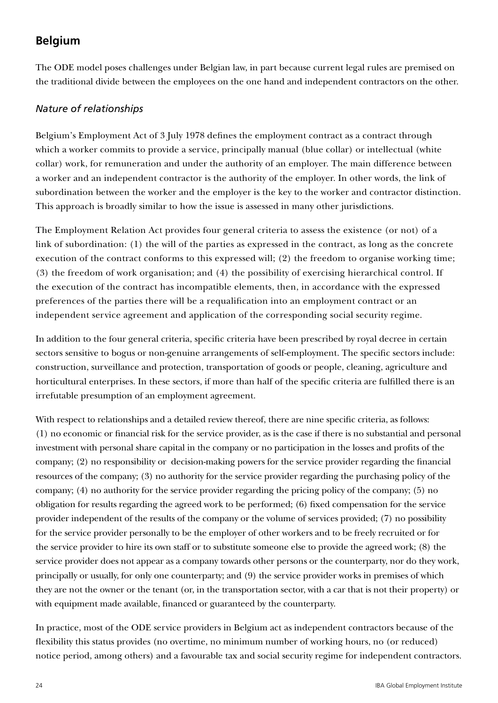# **Belgium**

The ODE model poses challenges under Belgian law, in part because current legal rules are premised on the traditional divide between the employees on the one hand and independent contractors on the other.

#### *Nature of relationships*

Belgium's Employment Act of 3 July 1978 defines the employment contract as a contract through which a worker commits to provide a service, principally manual (blue collar) or intellectual (white collar) work, for remuneration and under the authority of an employer. The main difference between a worker and an independent contractor is the authority of the employer. In other words, the link of subordination between the worker and the employer is the key to the worker and contractor distinction. This approach is broadly similar to how the issue is assessed in many other jurisdictions.

The Employment Relation Act provides four general criteria to assess the existence (or not) of a link of subordination: (1) the will of the parties as expressed in the contract, as long as the concrete execution of the contract conforms to this expressed will; (2) the freedom to organise working time; (3) the freedom of work organisation; and (4) the possibility of exercising hierarchical control. If the execution of the contract has incompatible elements, then, in accordance with the expressed preferences of the parties there will be a requalification into an employment contract or an independent service agreement and application of the corresponding social security regime.

In addition to the four general criteria, specific criteria have been prescribed by royal decree in certain sectors sensitive to bogus or non-genuine arrangements of self-employment. The specific sectors include: construction, surveillance and protection, transportation of goods or people, cleaning, agriculture and horticultural enterprises. In these sectors, if more than half of the specific criteria are fulfilled there is an irrefutable presumption of an employment agreement.

With respect to relationships and a detailed review thereof, there are nine specific criteria, as follows: (1) no economic or financial risk for the service provider, as is the case if there is no substantial and personal investment with personal share capital in the company or no participation in the losses and profits of the company; (2) no responsibility or decision-making powers for the service provider regarding the financial resources of the company; (3) no authority for the service provider regarding the purchasing policy of the company; (4) no authority for the service provider regarding the pricing policy of the company; (5) no obligation for results regarding the agreed work to be performed; (6) fixed compensation for the service provider independent of the results of the company or the volume of services provided; (7) no possibility for the service provider personally to be the employer of other workers and to be freely recruited or for the service provider to hire its own staff or to substitute someone else to provide the agreed work; (8) the service provider does not appear as a company towards other persons or the counterparty, nor do they work, principally or usually, for only one counterparty; and (9) the service provider works in premises of which they are not the owner or the tenant (or, in the transportation sector, with a car that is not their property) or with equipment made available, financed or guaranteed by the counterparty.

In practice, most of the ODE service providers in Belgium act as independent contractors because of the flexibility this status provides (no overtime, no minimum number of working hours, no (or reduced) notice period, among others) and a favourable tax and social security regime for independent contractors.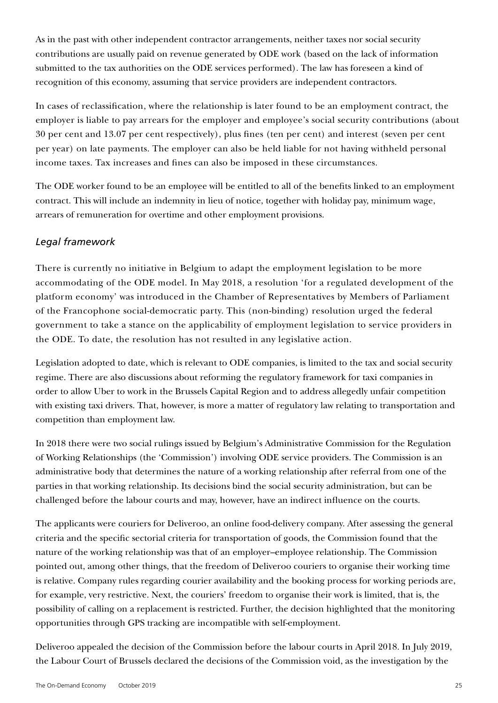As in the past with other independent contractor arrangements, neither taxes nor social security contributions are usually paid on revenue generated by ODE work (based on the lack of information submitted to the tax authorities on the ODE services performed). The law has foreseen a kind of recognition of this economy, assuming that service providers are independent contractors.

In cases of reclassification, where the relationship is later found to be an employment contract, the employer is liable to pay arrears for the employer and employee's social security contributions (about 30 per cent and 13.07 per cent respectively), plus fines (ten per cent) and interest (seven per cent per year) on late payments. The employer can also be held liable for not having withheld personal income taxes. Tax increases and fines can also be imposed in these circumstances.

The ODE worker found to be an employee will be entitled to all of the benefits linked to an employment contract. This will include an indemnity in lieu of notice, together with holiday pay, minimum wage, arrears of remuneration for overtime and other employment provisions.

#### *Legal framework*

There is currently no initiative in Belgium to adapt the employment legislation to be more accommodating of the ODE model. In May 2018, a resolution 'for a regulated development of the platform economy' was introduced in the Chamber of Representatives by Members of Parliament of the Francophone social-democratic party. This (non-binding) resolution urged the federal government to take a stance on the applicability of employment legislation to service providers in the ODE. To date, the resolution has not resulted in any legislative action.

Legislation adopted to date, which is relevant to ODE companies, is limited to the tax and social security regime. There are also discussions about reforming the regulatory framework for taxi companies in order to allow Uber to work in the Brussels Capital Region and to address allegedly unfair competition with existing taxi drivers. That, however, is more a matter of regulatory law relating to transportation and competition than employment law.

In 2018 there were two social rulings issued by Belgium's Administrative Commission for the Regulation of Working Relationships (the 'Commission') involving ODE service providers. The Commission is an administrative body that determines the nature of a working relationship after referral from one of the parties in that working relationship. Its decisions bind the social security administration, but can be challenged before the labour courts and may, however, have an indirect influence on the courts.

The applicants were couriers for Deliveroo, an online food-delivery company. After assessing the general criteria and the specific sectorial criteria for transportation of goods, the Commission found that the nature of the working relationship was that of an employer–employee relationship. The Commission pointed out, among other things, that the freedom of Deliveroo couriers to organise their working time is relative. Company rules regarding courier availability and the booking process for working periods are, for example, very restrictive. Next, the couriers' freedom to organise their work is limited, that is, the possibility of calling on a replacement is restricted. Further, the decision highlighted that the monitoring opportunities through GPS tracking are incompatible with self-employment.

Deliveroo appealed the decision of the Commission before the labour courts in April 2018. In July 2019, the Labour Court of Brussels declared the decisions of the Commission void, as the investigation by the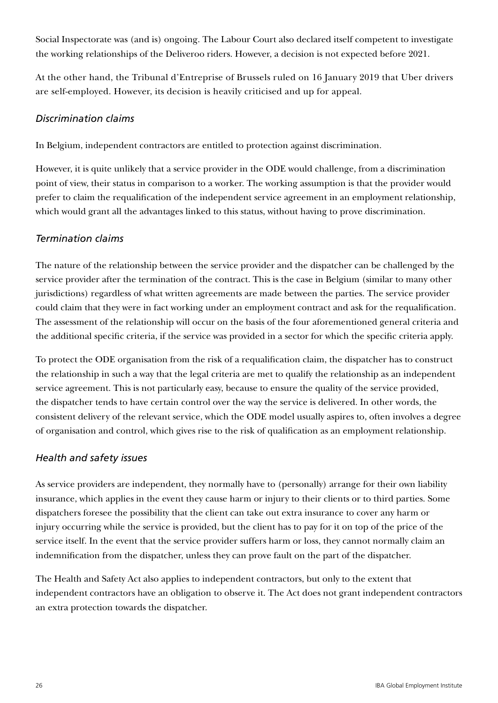Social Inspectorate was (and is) ongoing. The Labour Court also declared itself competent to investigate the working relationships of the Deliveroo riders. However, a decision is not expected before 2021.

At the other hand, the Tribunal d'Entreprise of Brussels ruled on 16 January 2019 that Uber drivers are self-employed. However, its decision is heavily criticised and up for appeal.

#### *Discrimination claims*

In Belgium, independent contractors are entitled to protection against discrimination.

However, it is quite unlikely that a service provider in the ODE would challenge, from a discrimination point of view, their status in comparison to a worker. The working assumption is that the provider would prefer to claim the requalification of the independent service agreement in an employment relationship, which would grant all the advantages linked to this status, without having to prove discrimination.

#### *Termination claims*

The nature of the relationship between the service provider and the dispatcher can be challenged by the service provider after the termination of the contract. This is the case in Belgium (similar to many other jurisdictions) regardless of what written agreements are made between the parties. The service provider could claim that they were in fact working under an employment contract and ask for the requalification. The assessment of the relationship will occur on the basis of the four aforementioned general criteria and the additional specific criteria, if the service was provided in a sector for which the specific criteria apply.

To protect the ODE organisation from the risk of a requalification claim, the dispatcher has to construct the relationship in such a way that the legal criteria are met to qualify the relationship as an independent service agreement. This is not particularly easy, because to ensure the quality of the service provided, the dispatcher tends to have certain control over the way the service is delivered. In other words, the consistent delivery of the relevant service, which the ODE model usually aspires to, often involves a degree of organisation and control, which gives rise to the risk of qualification as an employment relationship.

#### *Health and safety issues*

As service providers are independent, they normally have to (personally) arrange for their own liability insurance, which applies in the event they cause harm or injury to their clients or to third parties. Some dispatchers foresee the possibility that the client can take out extra insurance to cover any harm or injury occurring while the service is provided, but the client has to pay for it on top of the price of the service itself. In the event that the service provider suffers harm or loss, they cannot normally claim an indemnification from the dispatcher, unless they can prove fault on the part of the dispatcher.

The Health and Safety Act also applies to independent contractors, but only to the extent that independent contractors have an obligation to observe it. The Act does not grant independent contractors an extra protection towards the dispatcher.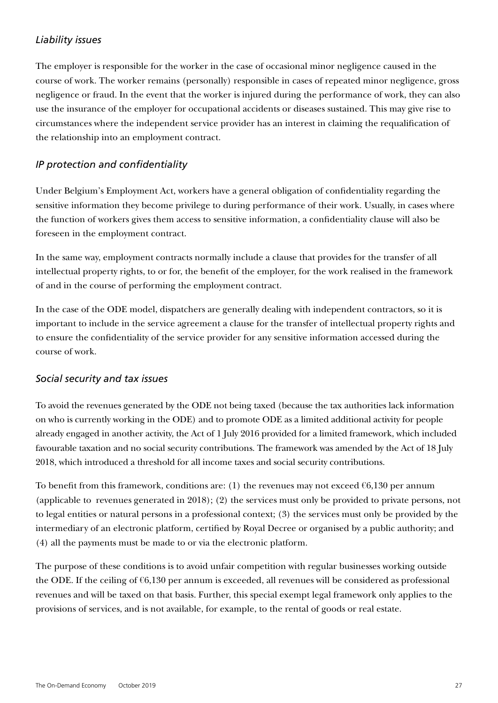#### *Liability issues*

The employer is responsible for the worker in the case of occasional minor negligence caused in the course of work. The worker remains (personally) responsible in cases of repeated minor negligence, gross negligence or fraud. In the event that the worker is injured during the performance of work, they can also use the insurance of the employer for occupational accidents or diseases sustained. This may give rise to circumstances where the independent service provider has an interest in claiming the requalification of the relationship into an employment contract.

#### *IP protection and confidentiality*

Under Belgium's Employment Act, workers have a general obligation of confidentiality regarding the sensitive information they become privilege to during performance of their work. Usually, in cases where the function of workers gives them access to sensitive information, a confidentiality clause will also be foreseen in the employment contract.

In the same way, employment contracts normally include a clause that provides for the transfer of all intellectual property rights, to or for, the benefit of the employer, for the work realised in the framework of and in the course of performing the employment contract.

In the case of the ODE model, dispatchers are generally dealing with independent contractors, so it is important to include in the service agreement a clause for the transfer of intellectual property rights and to ensure the confidentiality of the service provider for any sensitive information accessed during the course of work.

#### *Social security and tax issues*

To avoid the revenues generated by the ODE not being taxed (because the tax authorities lack information on who is currently working in the ODE) and to promote ODE as a limited additional activity for people already engaged in another activity, the Act of 1 July 2016 provided for a limited framework, which included favourable taxation and no social security contributions. The framework was amended by the Act of 18 July 2018, which introduced a threshold for all income taxes and social security contributions.

To benefit from this framework, conditions are: (1) the revenues may not exceed  $\epsilon$ 6,130 per annum (applicable to revenues generated in 2018); (2) the services must only be provided to private persons, not to legal entities or natural persons in a professional context; (3) the services must only be provided by the intermediary of an electronic platform, certified by Royal Decree or organised by a public authority; and (4) all the payments must be made to or via the electronic platform.

The purpose of these conditions is to avoid unfair competition with regular businesses working outside the ODE. If the ceiling of  $6,130$  per annum is exceeded, all revenues will be considered as professional revenues and will be taxed on that basis. Further, this special exempt legal framework only applies to the provisions of services, and is not available, for example, to the rental of goods or real estate.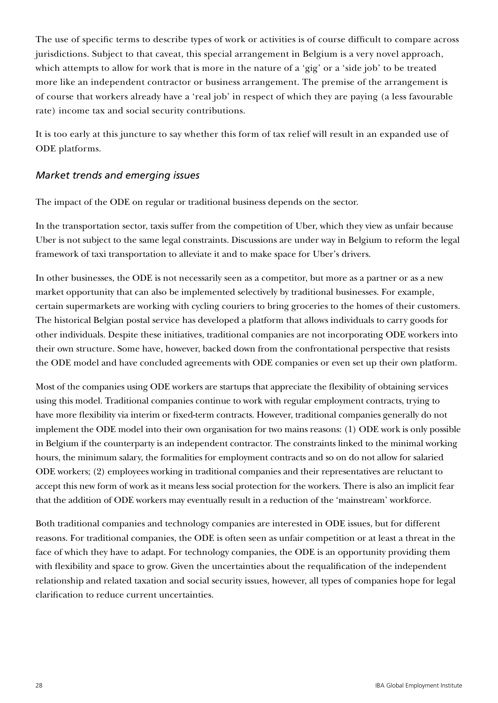The use of specific terms to describe types of work or activities is of course difficult to compare across jurisdictions. Subject to that caveat, this special arrangement in Belgium is a very novel approach, which attempts to allow for work that is more in the nature of a 'gig' or a 'side job' to be treated more like an independent contractor or business arrangement. The premise of the arrangement is of course that workers already have a 'real job' in respect of which they are paying (a less favourable rate) income tax and social security contributions.

It is too early at this juncture to say whether this form of tax relief will result in an expanded use of ODE platforms.

#### *Market trends and emerging issues*

The impact of the ODE on regular or traditional business depends on the sector.

In the transportation sector, taxis suffer from the competition of Uber, which they view as unfair because Uber is not subject to the same legal constraints. Discussions are under way in Belgium to reform the legal framework of taxi transportation to alleviate it and to make space for Uber's drivers.

In other businesses, the ODE is not necessarily seen as a competitor, but more as a partner or as a new market opportunity that can also be implemented selectively by traditional businesses. For example, certain supermarkets are working with cycling couriers to bring groceries to the homes of their customers. The historical Belgian postal service has developed a platform that allows individuals to carry goods for other individuals. Despite these initiatives, traditional companies are not incorporating ODE workers into their own structure. Some have, however, backed down from the confrontational perspective that resists the ODE model and have concluded agreements with ODE companies or even set up their own platform.

Most of the companies using ODE workers are startups that appreciate the flexibility of obtaining services using this model. Traditional companies continue to work with regular employment contracts, trying to have more flexibility via interim or fixed-term contracts. However, traditional companies generally do not implement the ODE model into their own organisation for two mains reasons: (1) ODE work is only possible in Belgium if the counterparty is an independent contractor. The constraints linked to the minimal working hours, the minimum salary, the formalities for employment contracts and so on do not allow for salaried ODE workers; (2) employees working in traditional companies and their representatives are reluctant to accept this new form of work as it means less social protection for the workers. There is also an implicit fear that the addition of ODE workers may eventually result in a reduction of the 'mainstream' workforce.

Both traditional companies and technology companies are interested in ODE issues, but for different reasons. For traditional companies, the ODE is often seen as unfair competition or at least a threat in the face of which they have to adapt. For technology companies, the ODE is an opportunity providing them with flexibility and space to grow. Given the uncertainties about the requalification of the independent relationship and related taxation and social security issues, however, all types of companies hope for legal clarification to reduce current uncertainties.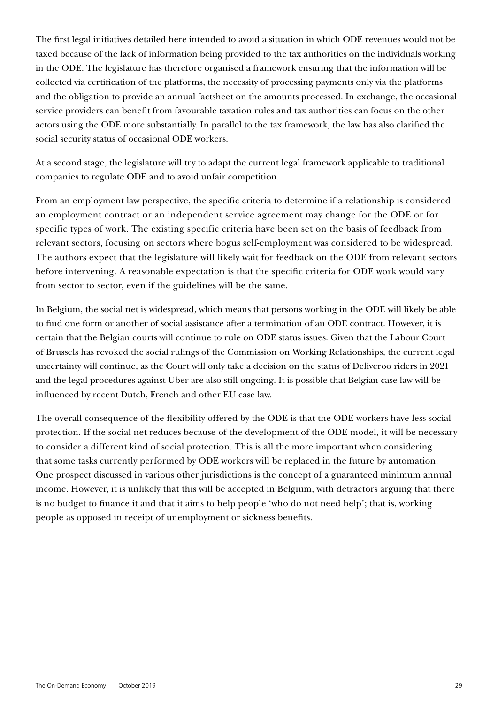The first legal initiatives detailed here intended to avoid a situation in which ODE revenues would not be taxed because of the lack of information being provided to the tax authorities on the individuals working in the ODE. The legislature has therefore organised a framework ensuring that the information will be collected via certification of the platforms, the necessity of processing payments only via the platforms and the obligation to provide an annual factsheet on the amounts processed. In exchange, the occasional service providers can benefit from favourable taxation rules and tax authorities can focus on the other actors using the ODE more substantially. In parallel to the tax framework, the law has also clarified the social security status of occasional ODE workers.

At a second stage, the legislature will try to adapt the current legal framework applicable to traditional companies to regulate ODE and to avoid unfair competition.

From an employment law perspective, the specific criteria to determine if a relationship is considered an employment contract or an independent service agreement may change for the ODE or for specific types of work. The existing specific criteria have been set on the basis of feedback from relevant sectors, focusing on sectors where bogus self-employment was considered to be widespread. The authors expect that the legislature will likely wait for feedback on the ODE from relevant sectors before intervening. A reasonable expectation is that the specific criteria for ODE work would vary from sector to sector, even if the guidelines will be the same.

In Belgium, the social net is widespread, which means that persons working in the ODE will likely be able to find one form or another of social assistance after a termination of an ODE contract. However, it is certain that the Belgian courts will continue to rule on ODE status issues. Given that the Labour Court of Brussels has revoked the social rulings of the Commission on Working Relationships, the current legal uncertainty will continue, as the Court will only take a decision on the status of Deliveroo riders in 2021 and the legal procedures against Uber are also still ongoing. It is possible that Belgian case law will be influenced by recent Dutch, French and other EU case law.

The overall consequence of the flexibility offered by the ODE is that the ODE workers have less social protection. If the social net reduces because of the development of the ODE model, it will be necessary to consider a different kind of social protection. This is all the more important when considering that some tasks currently performed by ODE workers will be replaced in the future by automation. One prospect discussed in various other jurisdictions is the concept of a guaranteed minimum annual income. However, it is unlikely that this will be accepted in Belgium, with detractors arguing that there is no budget to finance it and that it aims to help people 'who do not need help'; that is, working people as opposed in receipt of unemployment or sickness benefits.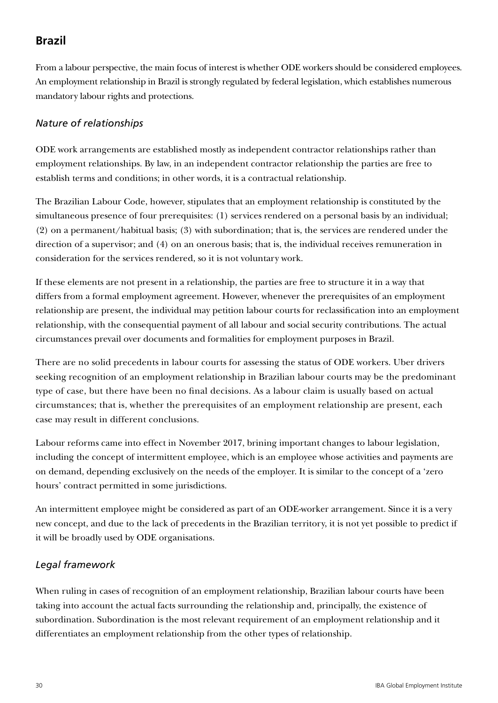# **Brazil**

From a labour perspective, the main focus of interest is whether ODE workers should be considered employees. An employment relationship in Brazil is strongly regulated by federal legislation, which establishes numerous mandatory labour rights and protections.

#### *Nature of relationships*

ODE work arrangements are established mostly as independent contractor relationships rather than employment relationships. By law, in an independent contractor relationship the parties are free to establish terms and conditions; in other words, it is a contractual relationship.

The Brazilian Labour Code, however, stipulates that an employment relationship is constituted by the simultaneous presence of four prerequisites: (1) services rendered on a personal basis by an individual; (2) on a permanent/habitual basis; (3) with subordination; that is, the services are rendered under the direction of a supervisor; and (4) on an onerous basis; that is, the individual receives remuneration in consideration for the services rendered, so it is not voluntary work.

If these elements are not present in a relationship, the parties are free to structure it in a way that differs from a formal employment agreement. However, whenever the prerequisites of an employment relationship are present, the individual may petition labour courts for reclassification into an employment relationship, with the consequential payment of all labour and social security contributions. The actual circumstances prevail over documents and formalities for employment purposes in Brazil.

There are no solid precedents in labour courts for assessing the status of ODE workers. Uber drivers seeking recognition of an employment relationship in Brazilian labour courts may be the predominant type of case, but there have been no final decisions. As a labour claim is usually based on actual circumstances; that is, whether the prerequisites of an employment relationship are present, each case may result in different conclusions.

Labour reforms came into effect in November 2017, brining important changes to labour legislation, including the concept of intermittent employee, which is an employee whose activities and payments are on demand, depending exclusively on the needs of the employer. It is similar to the concept of a 'zero hours' contract permitted in some jurisdictions.

An intermittent employee might be considered as part of an ODE-worker arrangement. Since it is a very new concept, and due to the lack of precedents in the Brazilian territory, it is not yet possible to predict if it will be broadly used by ODE organisations.

#### *Legal framework*

When ruling in cases of recognition of an employment relationship, Brazilian labour courts have been taking into account the actual facts surrounding the relationship and, principally, the existence of subordination. Subordination is the most relevant requirement of an employment relationship and it differentiates an employment relationship from the other types of relationship.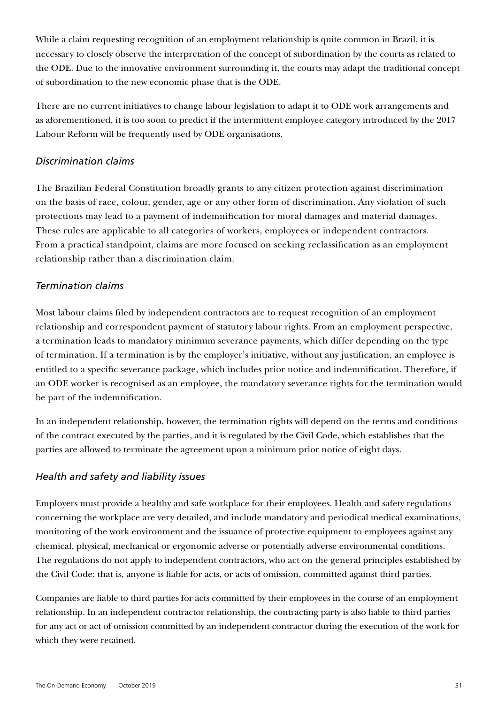While a claim requesting recognition of an employment relationship is quite common in Brazil, it is necessary to closely observe the interpretation of the concept of subordination by the courts as related to the ODE. Due to the innovative environment surrounding it, the courts may adapt the traditional concept of subordination to the new economic phase that is the ODE.

There are no current initiatives to change labour legislation to adapt it to ODE work arrangements and as aforementioned, it is too soon to predict if the intermittent employee category introduced by the 2017 Labour Reform will be frequently used by ODE organisations.

#### *Discrimination claims*

The Brazilian Federal Constitution broadly grants to any citizen protection against discrimination on the basis of race, colour, gender, age or any other form of discrimination. Any violation of such protections may lead to a payment of indemnification for moral damages and material damages. These rules are applicable to all categories of workers, employees or independent contractors. From a practical standpoint, claims are more focused on seeking reclassification as an employment relationship rather than a discrimination claim.

#### *Termination claims*

Most labour claims filed by independent contractors are to request recognition of an employment relationship and correspondent payment of statutory labour rights. From an employment perspective, a termination leads to mandatory minimum severance payments, which differ depending on the type of termination. If a termination is by the employer's initiative, without any justification, an employee is entitled to a specific severance package, which includes prior notice and indemnification. Therefore, if an ODE worker is recognised as an employee, the mandatory severance rights for the termination would be part of the indemnification.

In an independent relationship, however, the termination rights will depend on the terms and conditions of the contract executed by the parties, and it is regulated by the Civil Code, which establishes that the parties are allowed to terminate the agreement upon a minimum prior notice of eight days.

#### *Health and safety and liability issues*

Employers must provide a healthy and safe workplace for their employees. Health and safety regulations concerning the workplace are very detailed, and include mandatory and periodical medical examinations, monitoring of the work environment and the issuance of protective equipment to employees against any chemical, physical, mechanical or ergonomic adverse or potentially adverse environmental conditions. The regulations do not apply to independent contractors, who act on the general principles established by the Civil Code; that is, anyone is liable for acts, or acts of omission, committed against third parties.

Companies are liable to third parties for acts committed by their employees in the course of an employment relationship. In an independent contractor relationship, the contracting party is also liable to third parties for any act or act of omission committed by an independent contractor during the execution of the work for which they were retained.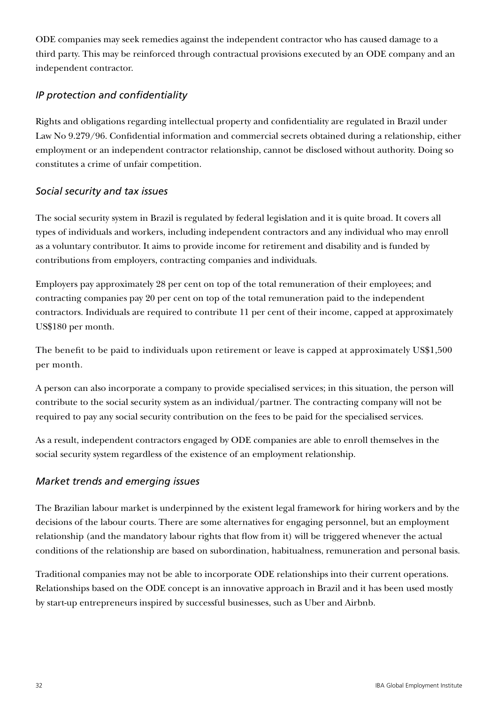ODE companies may seek remedies against the independent contractor who has caused damage to a third party. This may be reinforced through contractual provisions executed by an ODE company and an independent contractor.

#### *IP protection and confidentiality*

Rights and obligations regarding intellectual property and confidentiality are regulated in Brazil under Law No 9.279/96. Confidential information and commercial secrets obtained during a relationship, either employment or an independent contractor relationship, cannot be disclosed without authority. Doing so constitutes a crime of unfair competition.

#### *Social security and tax issues*

The social security system in Brazil is regulated by federal legislation and it is quite broad. It covers all types of individuals and workers, including independent contractors and any individual who may enroll as a voluntary contributor. It aims to provide income for retirement and disability and is funded by contributions from employers, contracting companies and individuals.

Employers pay approximately 28 per cent on top of the total remuneration of their employees; and contracting companies pay 20 per cent on top of the total remuneration paid to the independent contractors. Individuals are required to contribute 11 per cent of their income, capped at approximately US\$180 per month.

The benefit to be paid to individuals upon retirement or leave is capped at approximately US\$1,500 per month.

A person can also incorporate a company to provide specialised services; in this situation, the person will contribute to the social security system as an individual/partner. The contracting company will not be required to pay any social security contribution on the fees to be paid for the specialised services.

As a result, independent contractors engaged by ODE companies are able to enroll themselves in the social security system regardless of the existence of an employment relationship.

#### *Market trends and emerging issues*

The Brazilian labour market is underpinned by the existent legal framework for hiring workers and by the decisions of the labour courts. There are some alternatives for engaging personnel, but an employment relationship (and the mandatory labour rights that flow from it) will be triggered whenever the actual conditions of the relationship are based on subordination, habitualness, remuneration and personal basis.

Traditional companies may not be able to incorporate ODE relationships into their current operations. Relationships based on the ODE concept is an innovative approach in Brazil and it has been used mostly by start-up entrepreneurs inspired by successful businesses, such as Uber and Airbnb.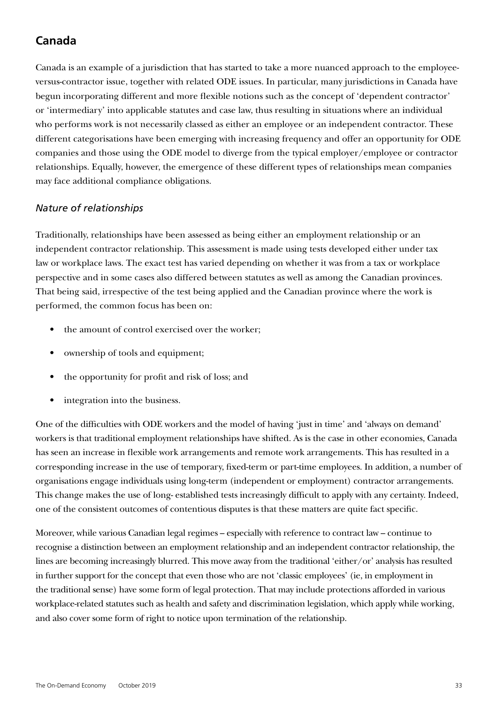# **Canada**

Canada is an example of a jurisdiction that has started to take a more nuanced approach to the employeeversus-contractor issue, together with related ODE issues. In particular, many jurisdictions in Canada have begun incorporating different and more flexible notions such as the concept of 'dependent contractor' or 'intermediary' into applicable statutes and case law, thus resulting in situations where an individual who performs work is not necessarily classed as either an employee or an independent contractor. These different categorisations have been emerging with increasing frequency and offer an opportunity for ODE companies and those using the ODE model to diverge from the typical employer/employee or contractor relationships. Equally, however, the emergence of these different types of relationships mean companies may face additional compliance obligations.

#### *Nature of relationships*

Traditionally, relationships have been assessed as being either an employment relationship or an independent contractor relationship. This assessment is made using tests developed either under tax law or workplace laws. The exact test has varied depending on whether it was from a tax or workplace perspective and in some cases also differed between statutes as well as among the Canadian provinces. That being said, irrespective of the test being applied and the Canadian province where the work is performed, the common focus has been on:

- the amount of control exercised over the worker;
- ownership of tools and equipment;
- the opportunity for profit and risk of loss; and
- integration into the business.

One of the difficulties with ODE workers and the model of having 'just in time' and 'always on demand' workers is that traditional employment relationships have shifted. As is the case in other economies, Canada has seen an increase in flexible work arrangements and remote work arrangements. This has resulted in a corresponding increase in the use of temporary, fixed-term or part-time employees. In addition, a number of organisations engage individuals using long-term (independent or employment) contractor arrangements. This change makes the use of long- established tests increasingly difficult to apply with any certainty. Indeed, one of the consistent outcomes of contentious disputes is that these matters are quite fact specific.

Moreover, while various Canadian legal regimes – especially with reference to contract law – continue to recognise a distinction between an employment relationship and an independent contractor relationship, the lines are becoming increasingly blurred. This move away from the traditional 'either/or' analysis has resulted in further support for the concept that even those who are not 'classic employees' (ie, in employment in the traditional sense) have some form of legal protection. That may include protections afforded in various workplace-related statutes such as health and safety and discrimination legislation, which apply while working, and also cover some form of right to notice upon termination of the relationship.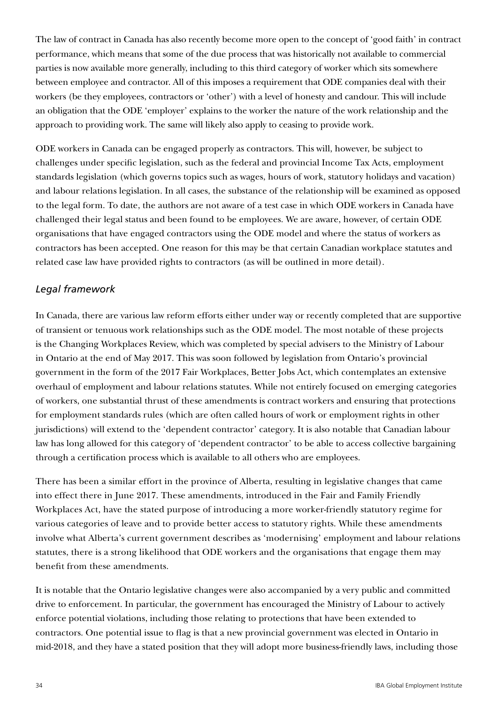The law of contract in Canada has also recently become more open to the concept of 'good faith' in contract performance, which means that some of the due process that was historically not available to commercial parties is now available more generally, including to this third category of worker which sits somewhere between employee and contractor. All of this imposes a requirement that ODE companies deal with their workers (be they employees, contractors or 'other') with a level of honesty and candour. This will include an obligation that the ODE 'employer' explains to the worker the nature of the work relationship and the approach to providing work. The same will likely also apply to ceasing to provide work.

ODE workers in Canada can be engaged properly as contractors. This will, however, be subject to challenges under specific legislation, such as the federal and provincial Income Tax Acts, employment standards legislation (which governs topics such as wages, hours of work, statutory holidays and vacation) and labour relations legislation. In all cases, the substance of the relationship will be examined as opposed to the legal form. To date, the authors are not aware of a test case in which ODE workers in Canada have challenged their legal status and been found to be employees. We are aware, however, of certain ODE organisations that have engaged contractors using the ODE model and where the status of workers as contractors has been accepted. One reason for this may be that certain Canadian workplace statutes and related case law have provided rights to contractors (as will be outlined in more detail).

#### *Legal framework*

In Canada, there are various law reform efforts either under way or recently completed that are supportive of transient or tenuous work relationships such as the ODE model. The most notable of these projects is the Changing Workplaces Review, which was completed by special advisers to the Ministry of Labour in Ontario at the end of May 2017. This was soon followed by legislation from Ontario's provincial government in the form of the 2017 Fair Workplaces, Better Jobs Act, which contemplates an extensive overhaul of employment and labour relations statutes. While not entirely focused on emerging categories of workers, one substantial thrust of these amendments is contract workers and ensuring that protections for employment standards rules (which are often called hours of work or employment rights in other jurisdictions) will extend to the 'dependent contractor' category. It is also notable that Canadian labour law has long allowed for this category of 'dependent contractor' to be able to access collective bargaining through a certification process which is available to all others who are employees.

There has been a similar effort in the province of Alberta, resulting in legislative changes that came into effect there in June 2017. These amendments, introduced in the Fair and Family Friendly Workplaces Act, have the stated purpose of introducing a more worker-friendly statutory regime for various categories of leave and to provide better access to statutory rights. While these amendments involve what Alberta's current government describes as 'modernising' employment and labour relations statutes, there is a strong likelihood that ODE workers and the organisations that engage them may benefit from these amendments.

It is notable that the Ontario legislative changes were also accompanied by a very public and committed drive to enforcement. In particular, the government has encouraged the Ministry of Labour to actively enforce potential violations, including those relating to protections that have been extended to contractors. One potential issue to flag is that a new provincial government was elected in Ontario in mid-2018, and they have a stated position that they will adopt more business-friendly laws, including those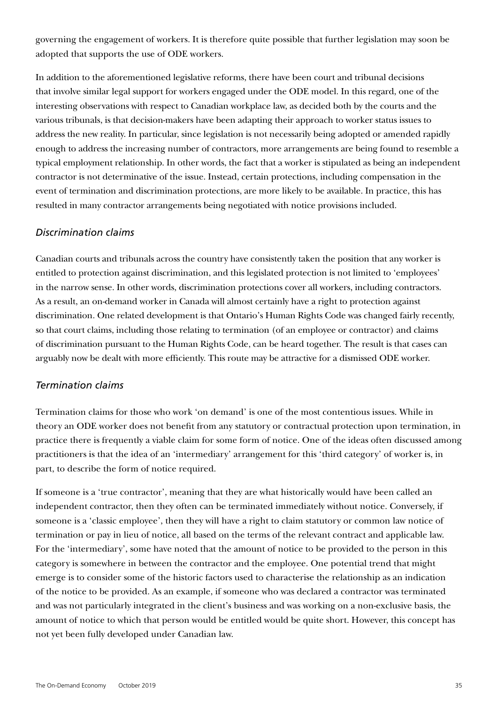governing the engagement of workers. It is therefore quite possible that further legislation may soon be adopted that supports the use of ODE workers.

In addition to the aforementioned legislative reforms, there have been court and tribunal decisions that involve similar legal support for workers engaged under the ODE model. In this regard, one of the interesting observations with respect to Canadian workplace law, as decided both by the courts and the various tribunals, is that decision-makers have been adapting their approach to worker status issues to address the new reality. In particular, since legislation is not necessarily being adopted or amended rapidly enough to address the increasing number of contractors, more arrangements are being found to resemble a typical employment relationship. In other words, the fact that a worker is stipulated as being an independent contractor is not determinative of the issue. Instead, certain protections, including compensation in the event of termination and discrimination protections, are more likely to be available. In practice, this has resulted in many contractor arrangements being negotiated with notice provisions included.

#### *Discrimination claims*

Canadian courts and tribunals across the country have consistently taken the position that any worker is entitled to protection against discrimination, and this legislated protection is not limited to 'employees' in the narrow sense. In other words, discrimination protections cover all workers, including contractors. As a result, an on-demand worker in Canada will almost certainly have a right to protection against discrimination. One related development is that Ontario's Human Rights Code was changed fairly recently, so that court claims, including those relating to termination (of an employee or contractor) and claims of discrimination pursuant to the Human Rights Code, can be heard together. The result is that cases can arguably now be dealt with more efficiently. This route may be attractive for a dismissed ODE worker.

#### *Termination claims*

Termination claims for those who work 'on demand' is one of the most contentious issues. While in theory an ODE worker does not benefit from any statutory or contractual protection upon termination, in practice there is frequently a viable claim for some form of notice. One of the ideas often discussed among practitioners is that the idea of an 'intermediary' arrangement for this 'third category' of worker is, in part, to describe the form of notice required.

If someone is a 'true contractor', meaning that they are what historically would have been called an independent contractor, then they often can be terminated immediately without notice. Conversely, if someone is a 'classic employee', then they will have a right to claim statutory or common law notice of termination or pay in lieu of notice, all based on the terms of the relevant contract and applicable law. For the 'intermediary', some have noted that the amount of notice to be provided to the person in this category is somewhere in between the contractor and the employee. One potential trend that might emerge is to consider some of the historic factors used to characterise the relationship as an indication of the notice to be provided. As an example, if someone who was declared a contractor was terminated and was not particularly integrated in the client's business and was working on a non-exclusive basis, the amount of notice to which that person would be entitled would be quite short. However, this concept has not yet been fully developed under Canadian law.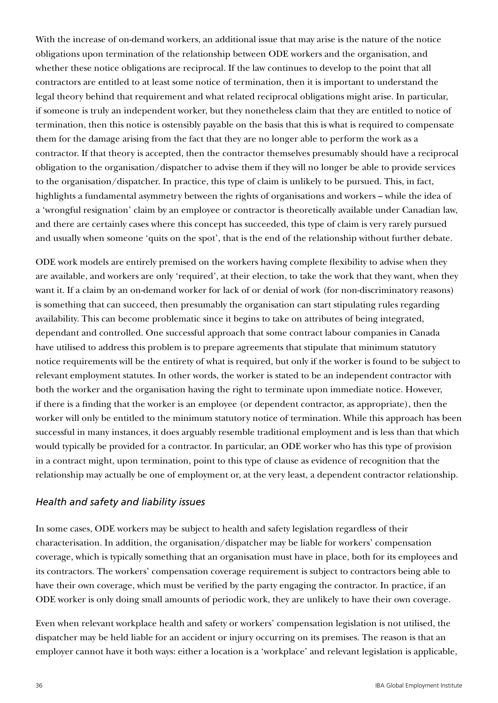With the increase of on-demand workers, an additional issue that may arise is the nature of the notice obligations upon termination of the relationship between ODE workers and the organisation, and whether these notice obligations are reciprocal. If the law continues to develop to the point that all contractors are entitled to at least some notice of termination, then it is important to understand the legal theory behind that requirement and what related reciprocal obligations might arise. In particular, if someone is truly an independent worker, but they nonetheless claim that they are entitled to notice of termination, then this notice is ostensibly payable on the basis that this is what is required to compensate them for the damage arising from the fact that they are no longer able to perform the work as a contractor. If that theory is accepted, then the contractor themselves presumably should have a reciprocal obligation to the organisation/dispatcher to advise them if they will no longer be able to provide services to the organisation/dispatcher. In practice, this type of claim is unlikely to be pursued. This, in fact, highlights a fundamental asymmetry between the rights of organisations and workers – while the idea of a 'wrongful resignation' claim by an employee or contractor is theoretically available under Canadian law, and there are certainly cases where this concept has succeeded, this type of claim is very rarely pursued and usually when someone 'quits on the spot', that is the end of the relationship without further debate.

ODE work models are entirely premised on the workers having complete flexibility to advise when they are available, and workers are only 'required', at their election, to take the work that they want, when they want it. If a claim by an on-demand worker for lack of or denial of work (for non-discriminatory reasons) is something that can succeed, then presumably the organisation can start stipulating rules regarding availability. This can become problematic since it begins to take on attributes of being integrated, dependant and controlled. One successful approach that some contract labour companies in Canada have utilised to address this problem is to prepare agreements that stipulate that minimum statutory notice requirements will be the entirety of what is required, but only if the worker is found to be subject to relevant employment statutes. In other words, the worker is stated to be an independent contractor with both the worker and the organisation having the right to terminate upon immediate notice. However, if there is a finding that the worker is an employee (or dependent contractor, as appropriate), then the worker will only be entitled to the minimum statutory notice of termination. While this approach has been successful in many instances, it does arguably resemble traditional employment and is less than that which would typically be provided for a contractor. In particular, an ODE worker who has this type of provision in a contract might, upon termination, point to this type of clause as evidence of recognition that the relationship may actually be one of employment or, at the very least, a dependent contractor relationship.

#### *Health and safety and liability issues*

In some cases, ODE workers may be subject to health and safety legislation regardless of their characterisation. In addition, the organisation/dispatcher may be liable for workers' compensation coverage, which is typically something that an organisation must have in place, both for its employees and its contractors. The workers' compensation coverage requirement is subject to contractors being able to have their own coverage, which must be verified by the party engaging the contractor. In practice, if an ODE worker is only doing small amounts of periodic work, they are unlikely to have their own coverage.

Even when relevant workplace health and safety or workers' compensation legislation is not utilised, the dispatcher may be held liable for an accident or injury occurring on its premises. The reason is that an employer cannot have it both ways: either a location is a 'workplace' and relevant legislation is applicable,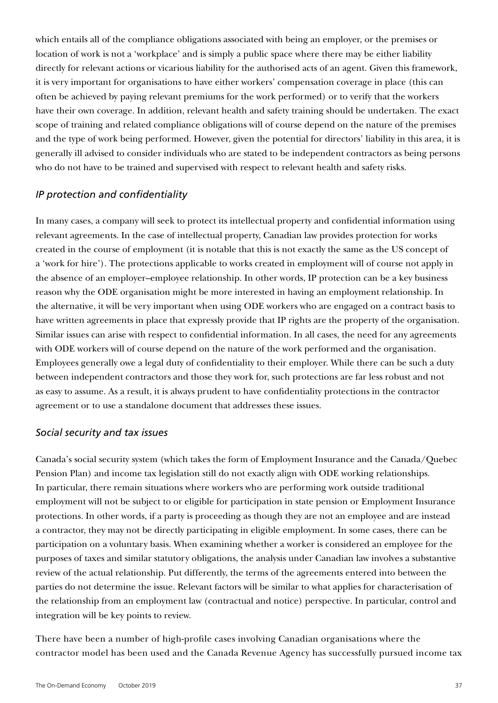which entails all of the compliance obligations associated with being an employer, or the premises or location of work is not a 'workplace' and is simply a public space where there may be either liability directly for relevant actions or vicarious liability for the authorised acts of an agent. Given this framework, it is very important for organisations to have either workers' compensation coverage in place (this can often be achieved by paying relevant premiums for the work performed) or to verify that the workers have their own coverage. In addition, relevant health and safety training should be undertaken. The exact scope of training and related compliance obligations will of course depend on the nature of the premises and the type of work being performed. However, given the potential for directors' liability in this area, it is generally ill advised to consider individuals who are stated to be independent contractors as being persons who do not have to be trained and supervised with respect to relevant health and safety risks.

#### *IP protection and confidentiality*

In many cases, a company will seek to protect its intellectual property and confidential information using relevant agreements. In the case of intellectual property, Canadian law provides protection for works created in the course of employment (it is notable that this is not exactly the same as the US concept of a 'work for hire'). The protections applicable to works created in employment will of course not apply in the absence of an employer–employee relationship. In other words, IP protection can be a key business reason why the ODE organisation might be more interested in having an employment relationship. In the alternative, it will be very important when using ODE workers who are engaged on a contract basis to have written agreements in place that expressly provide that IP rights are the property of the organisation. Similar issues can arise with respect to confidential information. In all cases, the need for any agreements with ODE workers will of course depend on the nature of the work performed and the organisation. Employees generally owe a legal duty of confidentiality to their employer. While there can be such a duty between independent contractors and those they work for, such protections are far less robust and not as easy to assume. As a result, it is always prudent to have confidentiality protections in the contractor agreement or to use a standalone document that addresses these issues.

#### *Social security and tax issues*

Canada's social security system (which takes the form of Employment Insurance and the Canada/Quebec Pension Plan) and income tax legislation still do not exactly align with ODE working relationships. In particular, there remain situations where workers who are performing work outside traditional employment will not be subject to or eligible for participation in state pension or Employment Insurance protections. In other words, if a party is proceeding as though they are not an employee and are instead a contractor, they may not be directly participating in eligible employment. In some cases, there can be participation on a voluntary basis. When examining whether a worker is considered an employee for the purposes of taxes and similar statutory obligations, the analysis under Canadian law involves a substantive review of the actual relationship. Put differently, the terms of the agreements entered into between the parties do not determine the issue. Relevant factors will be similar to what applies for characterisation of the relationship from an employment law (contractual and notice) perspective. In particular, control and integration will be key points to review.

There have been a number of high-profile cases involving Canadian organisations where the contractor model has been used and the Canada Revenue Agency has successfully pursued income tax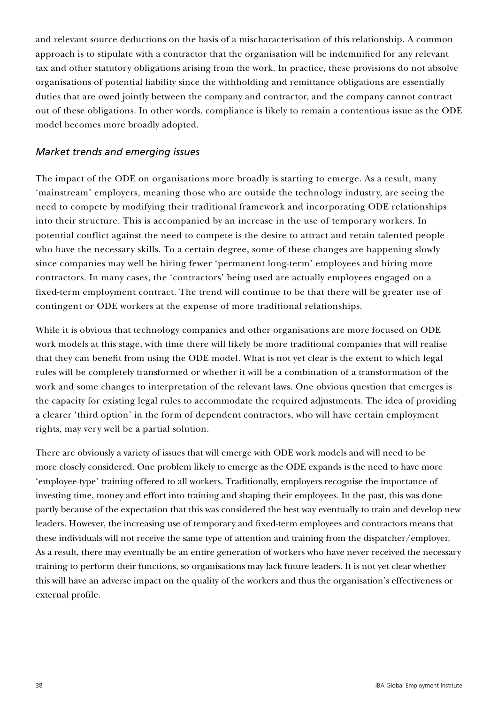and relevant source deductions on the basis of a mischaracterisation of this relationship. A common approach is to stipulate with a contractor that the organisation will be indemnified for any relevant tax and other statutory obligations arising from the work. In practice, these provisions do not absolve organisations of potential liability since the withholding and remittance obligations are essentially duties that are owed jointly between the company and contractor, and the company cannot contract out of these obligations. In other words, compliance is likely to remain a contentious issue as the ODE model becomes more broadly adopted.

#### *Market trends and emerging issues*

The impact of the ODE on organisations more broadly is starting to emerge. As a result, many 'mainstream' employers, meaning those who are outside the technology industry, are seeing the need to compete by modifying their traditional framework and incorporating ODE relationships into their structure. This is accompanied by an increase in the use of temporary workers. In potential conflict against the need to compete is the desire to attract and retain talented people who have the necessary skills. To a certain degree, some of these changes are happening slowly since companies may well be hiring fewer 'permanent long-term' employees and hiring more contractors. In many cases, the 'contractors' being used are actually employees engaged on a fixed-term employment contract. The trend will continue to be that there will be greater use of contingent or ODE workers at the expense of more traditional relationships.

While it is obvious that technology companies and other organisations are more focused on ODE work models at this stage, with time there will likely be more traditional companies that will realise that they can benefit from using the ODE model. What is not yet clear is the extent to which legal rules will be completely transformed or whether it will be a combination of a transformation of the work and some changes to interpretation of the relevant laws. One obvious question that emerges is the capacity for existing legal rules to accommodate the required adjustments. The idea of providing a clearer 'third option' in the form of dependent contractors, who will have certain employment rights, may very well be a partial solution.

There are obviously a variety of issues that will emerge with ODE work models and will need to be more closely considered. One problem likely to emerge as the ODE expands is the need to have more 'employee-type' training offered to all workers. Traditionally, employers recognise the importance of investing time, money and effort into training and shaping their employees. In the past, this was done partly because of the expectation that this was considered the best way eventually to train and develop new leaders. However, the increasing use of temporary and fixed-term employees and contractors means that these individuals will not receive the same type of attention and training from the dispatcher/employer. As a result, there may eventually be an entire generation of workers who have never received the necessary training to perform their functions, so organisations may lack future leaders. It is not yet clear whether this will have an adverse impact on the quality of the workers and thus the organisation's effectiveness or external profile.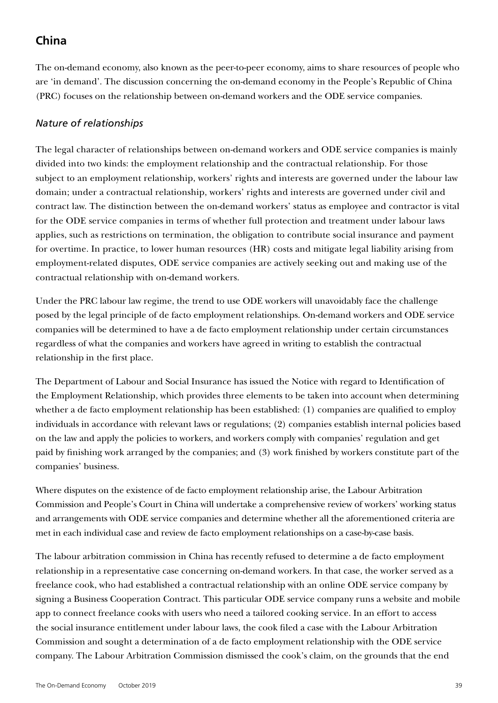# **China**

The on-demand economy, also known as the peer-to-peer economy, aims to share resources of people who are 'in demand'. The discussion concerning the on-demand economy in the People's Republic of China (PRC) focuses on the relationship between on-demand workers and the ODE service companies.

### *Nature of relationships*

The legal character of relationships between on-demand workers and ODE service companies is mainly divided into two kinds: the employment relationship and the contractual relationship. For those subject to an employment relationship, workers' rights and interests are governed under the labour law domain; under a contractual relationship, workers' rights and interests are governed under civil and contract law. The distinction between the on-demand workers' status as employee and contractor is vital for the ODE service companies in terms of whether full protection and treatment under labour laws applies, such as restrictions on termination, the obligation to contribute social insurance and payment for overtime. In practice, to lower human resources (HR) costs and mitigate legal liability arising from employment-related disputes, ODE service companies are actively seeking out and making use of the contractual relationship with on-demand workers.

Under the PRC labour law regime, the trend to use ODE workers will unavoidably face the challenge posed by the legal principle of de facto employment relationships. On-demand workers and ODE service companies will be determined to have a de facto employment relationship under certain circumstances regardless of what the companies and workers have agreed in writing to establish the contractual relationship in the first place.

The Department of Labour and Social Insurance has issued the Notice with regard to Identification of the Employment Relationship, which provides three elements to be taken into account when determining whether a de facto employment relationship has been established: (1) companies are qualified to employ individuals in accordance with relevant laws or regulations; (2) companies establish internal policies based on the law and apply the policies to workers, and workers comply with companies' regulation and get paid by finishing work arranged by the companies; and (3) work finished by workers constitute part of the companies' business.

Where disputes on the existence of de facto employment relationship arise, the Labour Arbitration Commission and People's Court in China will undertake a comprehensive review of workers' working status and arrangements with ODE service companies and determine whether all the aforementioned criteria are met in each individual case and review de facto employment relationships on a case-by-case basis.

The labour arbitration commission in China has recently refused to determine a de facto employment relationship in a representative case concerning on-demand workers. In that case, the worker served as a freelance cook, who had established a contractual relationship with an online ODE service company by signing a Business Cooperation Contract. This particular ODE service company runs a website and mobile app to connect freelance cooks with users who need a tailored cooking service. In an effort to access the social insurance entitlement under labour laws, the cook filed a case with the Labour Arbitration Commission and sought a determination of a de facto employment relationship with the ODE service company. The Labour Arbitration Commission dismissed the cook's claim, on the grounds that the end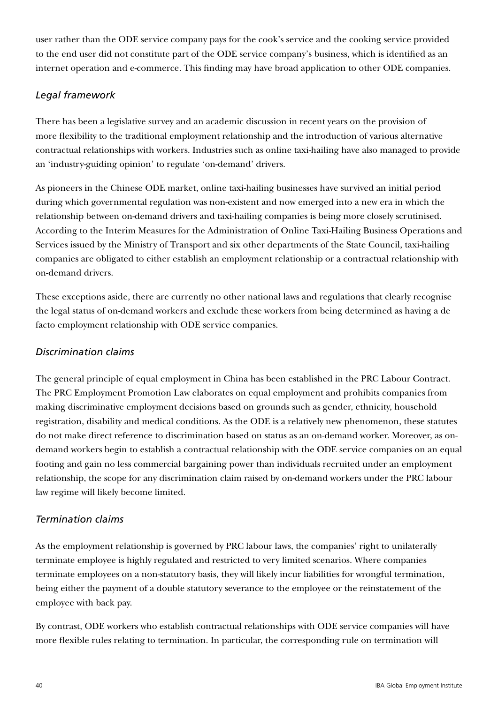user rather than the ODE service company pays for the cook's service and the cooking service provided to the end user did not constitute part of the ODE service company's business, which is identified as an internet operation and e-commerce. This finding may have broad application to other ODE companies.

### *Legal framework*

There has been a legislative survey and an academic discussion in recent years on the provision of more flexibility to the traditional employment relationship and the introduction of various alternative contractual relationships with workers. Industries such as online taxi-hailing have also managed to provide an 'industry-guiding opinion' to regulate 'on-demand' drivers.

As pioneers in the Chinese ODE market, online taxi-hailing businesses have survived an initial period during which governmental regulation was non-existent and now emerged into a new era in which the relationship between on-demand drivers and taxi-hailing companies is being more closely scrutinised. According to the Interim Measures for the Administration of Online Taxi-Hailing Business Operations and Services issued by the Ministry of Transport and six other departments of the State Council, taxi-hailing companies are obligated to either establish an employment relationship or a contractual relationship with on-demand drivers.

These exceptions aside, there are currently no other national laws and regulations that clearly recognise the legal status of on-demand workers and exclude these workers from being determined as having a de facto employment relationship with ODE service companies.

### *Discrimination claims*

The general principle of equal employment in China has been established in the PRC Labour Contract. The PRC Employment Promotion Law elaborates on equal employment and prohibits companies from making discriminative employment decisions based on grounds such as gender, ethnicity, household registration, disability and medical conditions. As the ODE is a relatively new phenomenon, these statutes do not make direct reference to discrimination based on status as an on-demand worker. Moreover, as ondemand workers begin to establish a contractual relationship with the ODE service companies on an equal footing and gain no less commercial bargaining power than individuals recruited under an employment relationship, the scope for any discrimination claim raised by on-demand workers under the PRC labour law regime will likely become limited.

#### *Termination claims*

As the employment relationship is governed by PRC labour laws, the companies' right to unilaterally terminate employee is highly regulated and restricted to very limited scenarios. Where companies terminate employees on a non-statutory basis, they will likely incur liabilities for wrongful termination, being either the payment of a double statutory severance to the employee or the reinstatement of the employee with back pay.

By contrast, ODE workers who establish contractual relationships with ODE service companies will have more flexible rules relating to termination. In particular, the corresponding rule on termination will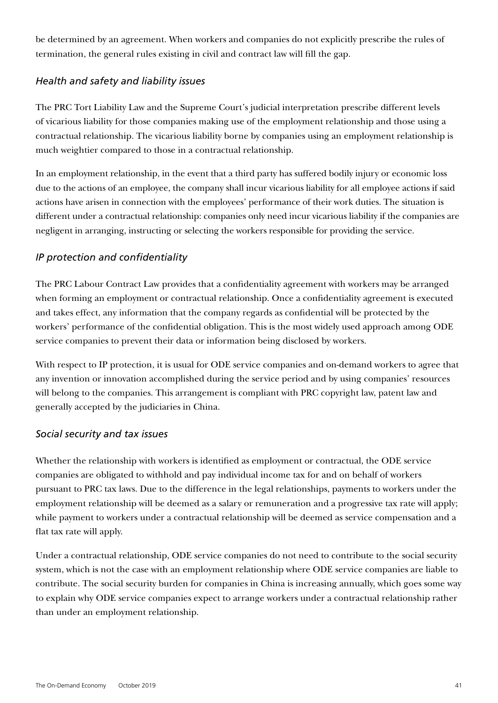be determined by an agreement. When workers and companies do not explicitly prescribe the rules of termination, the general rules existing in civil and contract law will fill the gap.

#### *Health and safety and liability issues*

The PRC Tort Liability Law and the Supreme Court's judicial interpretation prescribe different levels of vicarious liability for those companies making use of the employment relationship and those using a contractual relationship. The vicarious liability borne by companies using an employment relationship is much weightier compared to those in a contractual relationship.

In an employment relationship, in the event that a third party has suffered bodily injury or economic loss due to the actions of an employee, the company shall incur vicarious liability for all employee actions if said actions have arisen in connection with the employees' performance of their work duties. The situation is different under a contractual relationship: companies only need incur vicarious liability if the companies are negligent in arranging, instructing or selecting the workers responsible for providing the service.

#### *IP protection and confidentiality*

The PRC Labour Contract Law provides that a confidentiality agreement with workers may be arranged when forming an employment or contractual relationship. Once a confidentiality agreement is executed and takes effect, any information that the company regards as confidential will be protected by the workers' performance of the confidential obligation. This is the most widely used approach among ODE service companies to prevent their data or information being disclosed by workers.

With respect to IP protection, it is usual for ODE service companies and on-demand workers to agree that any invention or innovation accomplished during the service period and by using companies' resources will belong to the companies. This arrangement is compliant with PRC copyright law, patent law and generally accepted by the judiciaries in China.

#### *Social security and tax issues*

Whether the relationship with workers is identified as employment or contractual, the ODE service companies are obligated to withhold and pay individual income tax for and on behalf of workers pursuant to PRC tax laws. Due to the difference in the legal relationships, payments to workers under the employment relationship will be deemed as a salary or remuneration and a progressive tax rate will apply; while payment to workers under a contractual relationship will be deemed as service compensation and a flat tax rate will apply.

Under a contractual relationship, ODE service companies do not need to contribute to the social security system, which is not the case with an employment relationship where ODE service companies are liable to contribute. The social security burden for companies in China is increasing annually, which goes some way to explain why ODE service companies expect to arrange workers under a contractual relationship rather than under an employment relationship.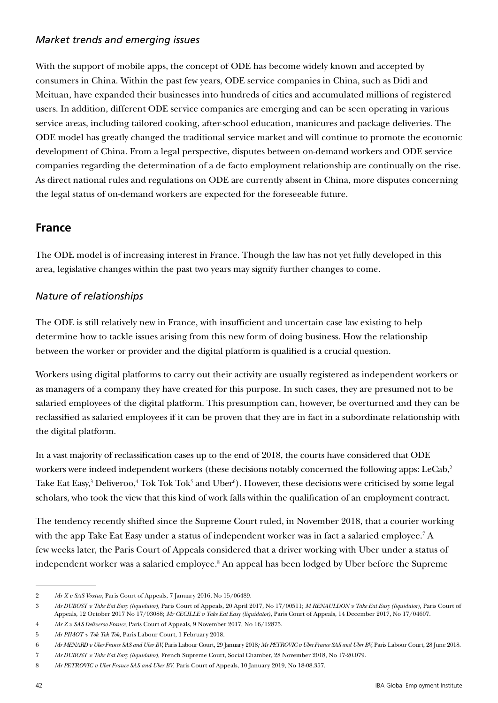### *Market trends and emerging issues*

With the support of mobile apps, the concept of ODE has become widely known and accepted by consumers in China. Within the past few years, ODE service companies in China, such as Didi and Meituan, have expanded their businesses into hundreds of cities and accumulated millions of registered users. In addition, different ODE service companies are emerging and can be seen operating in various service areas, including tailored cooking, after-school education, manicures and package deliveries. The ODE model has greatly changed the traditional service market and will continue to promote the economic development of China. From a legal perspective, disputes between on-demand workers and ODE service companies regarding the determination of a de facto employment relationship are continually on the rise. As direct national rules and regulations on ODE are currently absent in China, more disputes concerning the legal status of on-demand workers are expected for the foreseeable future.

### **France**

The ODE model is of increasing interest in France. Though the law has not yet fully developed in this area, legislative changes within the past two years may signify further changes to come.

### *Nature of relationships*

The ODE is still relatively new in France, with insufficient and uncertain case law existing to help determine how to tackle issues arising from this new form of doing business. How the relationship between the worker or provider and the digital platform is qualified is a crucial question.

Workers using digital platforms to carry out their activity are usually registered as independent workers or as managers of a company they have created for this purpose. In such cases, they are presumed not to be salaried employees of the digital platform. This presumption can, however, be overturned and they can be reclassified as salaried employees if it can be proven that they are in fact in a subordinate relationship with the digital platform.

In a vast majority of reclassification cases up to the end of 2018, the courts have considered that ODE workers were indeed independent workers (these decisions notably concerned the following apps: LeCab,<sup>2</sup> Take Eat Easy,<sup>3</sup> Deliveroo,<sup>4</sup> Tok Tok Tok<sup>5</sup> and Uber<sup>6</sup>). However, these decisions were criticised by some legal scholars, who took the view that this kind of work falls within the qualification of an employment contract.

The tendency recently shifted since the Supreme Court ruled, in November 2018, that a courier working with the app Take Eat Easy under a status of independent worker was in fact a salaried employee.<sup>7</sup> A few weeks later, the Paris Court of Appeals considered that a driver working with Uber under a status of independent worker was a salaried employee.<sup>8</sup> An appeal has been lodged by Uber before the Supreme

<sup>2</sup> *Mr X v SAS Voxtur*, Paris Court of Appeals, 7 January 2016, No 15/06489.

<sup>3</sup> *Mr DUBOST v Take Eat Easy (liquidator)*, Paris Court of Appeals, 20 April 2017, No 17/00511; *M RENAULDON v Take Eat Easy (liquidator),* Paris Court of Appeals, 12 October 2017 No 17/03088; *Mr CECILLE v Take Eat Easy (liquidator),* Paris Court of Appeals, 14 December 2017, No 17/04607.

<sup>4</sup> *Mr Z v SAS Deliveroo France*, Paris Court of Appeals, 9 November 2017, No 16/12875.

<sup>5</sup> *Mr PIMOT v Tok Tok Tok,* Paris Labour Court, 1 February 2018.

<sup>6</sup> *Mr MENARD v Uber France SAS and Uber BV,* Paris Labour Court, 29 January 2018*; Mr PETROVIC v Uber France SAS and Uber BV,* Paris Labour Court, 28 June 2018.

<sup>7</sup> *Mr DUBOST v Take Eat Easy (liquidator)*, French Supreme Court, Social Chamber, 28 November 2018, No 17-20.079.

<sup>8</sup> *Mr PETROVIC v Uber France SAS and Uber BV*, Paris Court of Appeals, 10 January 2019, No 18-08.357.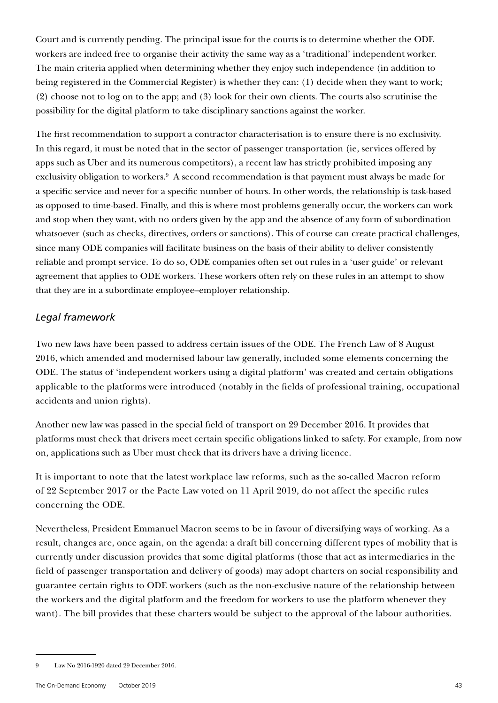Court and is currently pending. The principal issue for the courts is to determine whether the ODE workers are indeed free to organise their activity the same way as a 'traditional' independent worker. The main criteria applied when determining whether they enjoy such independence (in addition to being registered in the Commercial Register) is whether they can: (1) decide when they want to work; (2) choose not to log on to the app; and (3) look for their own clients. The courts also scrutinise the possibility for the digital platform to take disciplinary sanctions against the worker.

The first recommendation to support a contractor characterisation is to ensure there is no exclusivity. In this regard, it must be noted that in the sector of passenger transportation (ie, services offered by apps such as Uber and its numerous competitors), a recent law has strictly prohibited imposing any exclusivity obligation to workers.<sup>9</sup> A second recommendation is that payment must always be made for a specific service and never for a specific number of hours. In other words, the relationship is task-based as opposed to time-based. Finally, and this is where most problems generally occur, the workers can work and stop when they want, with no orders given by the app and the absence of any form of subordination whatsoever (such as checks, directives, orders or sanctions). This of course can create practical challenges, since many ODE companies will facilitate business on the basis of their ability to deliver consistently reliable and prompt service. To do so, ODE companies often set out rules in a 'user guide' or relevant agreement that applies to ODE workers. These workers often rely on these rules in an attempt to show that they are in a subordinate employee–employer relationship.

#### *Legal framework*

Two new laws have been passed to address certain issues of the ODE. The French Law of 8 August 2016, which amended and modernised labour law generally, included some elements concerning the ODE. The status of 'independent workers using a digital platform' was created and certain obligations applicable to the platforms were introduced (notably in the fields of professional training, occupational accidents and union rights).

Another new law was passed in the special field of transport on 29 December 2016. It provides that platforms must check that drivers meet certain specific obligations linked to safety. For example, from now on, applications such as Uber must check that its drivers have a driving licence.

It is important to note that the latest workplace law reforms, such as the so-called Macron reform of 22 September 2017 or the Pacte Law voted on 11 April 2019, do not affect the specific rules concerning the ODE.

Nevertheless, President Emmanuel Macron seems to be in favour of diversifying ways of working. As a result, changes are, once again, on the agenda: a draft bill concerning different types of mobility that is currently under discussion provides that some digital platforms (those that act as intermediaries in the field of passenger transportation and delivery of goods) may adopt charters on social responsibility and guarantee certain rights to ODE workers (such as the non-exclusive nature of the relationship between the workers and the digital platform and the freedom for workers to use the platform whenever they want). The bill provides that these charters would be subject to the approval of the labour authorities.

<sup>9</sup> Law No 2016-1920 dated 29 December 2016.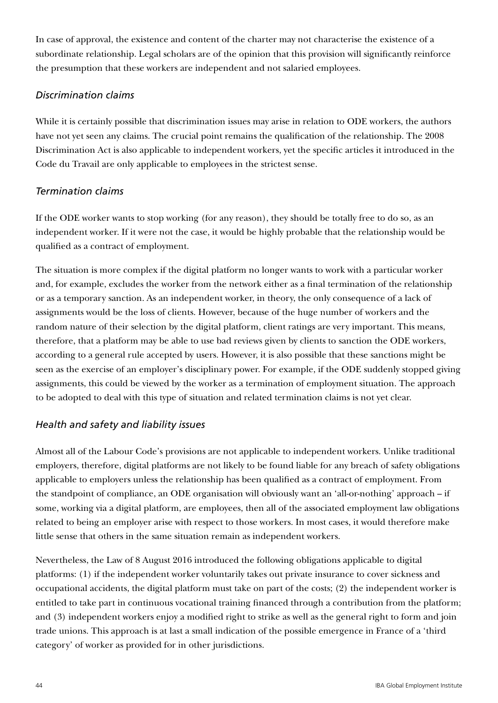In case of approval, the existence and content of the charter may not characterise the existence of a subordinate relationship. Legal scholars are of the opinion that this provision will significantly reinforce the presumption that these workers are independent and not salaried employees.

### *Discrimination claims*

While it is certainly possible that discrimination issues may arise in relation to ODE workers, the authors have not yet seen any claims. The crucial point remains the qualification of the relationship. The 2008 Discrimination Act is also applicable to independent workers, yet the specific articles it introduced in the Code du Travail are only applicable to employees in the strictest sense.

### *Termination claims*

If the ODE worker wants to stop working (for any reason), they should be totally free to do so, as an independent worker. If it were not the case, it would be highly probable that the relationship would be qualified as a contract of employment.

The situation is more complex if the digital platform no longer wants to work with a particular worker and, for example, excludes the worker from the network either as a final termination of the relationship or as a temporary sanction. As an independent worker, in theory, the only consequence of a lack of assignments would be the loss of clients. However, because of the huge number of workers and the random nature of their selection by the digital platform, client ratings are very important. This means, therefore, that a platform may be able to use bad reviews given by clients to sanction the ODE workers, according to a general rule accepted by users. However, it is also possible that these sanctions might be seen as the exercise of an employer's disciplinary power. For example, if the ODE suddenly stopped giving assignments, this could be viewed by the worker as a termination of employment situation. The approach to be adopted to deal with this type of situation and related termination claims is not yet clear.

### *Health and safety and liability issues*

Almost all of the Labour Code's provisions are not applicable to independent workers. Unlike traditional employers, therefore, digital platforms are not likely to be found liable for any breach of safety obligations applicable to employers unless the relationship has been qualified as a contract of employment. From the standpoint of compliance, an ODE organisation will obviously want an 'all-or-nothing' approach – if some, working via a digital platform, are employees, then all of the associated employment law obligations related to being an employer arise with respect to those workers. In most cases, it would therefore make little sense that others in the same situation remain as independent workers.

Nevertheless, the Law of 8 August 2016 introduced the following obligations applicable to digital platforms: (1) if the independent worker voluntarily takes out private insurance to cover sickness and occupational accidents, the digital platform must take on part of the costs; (2) the independent worker is entitled to take part in continuous vocational training financed through a contribution from the platform; and (3) independent workers enjoy a modified right to strike as well as the general right to form and join trade unions. This approach is at last a small indication of the possible emergence in France of a 'third category' of worker as provided for in other jurisdictions.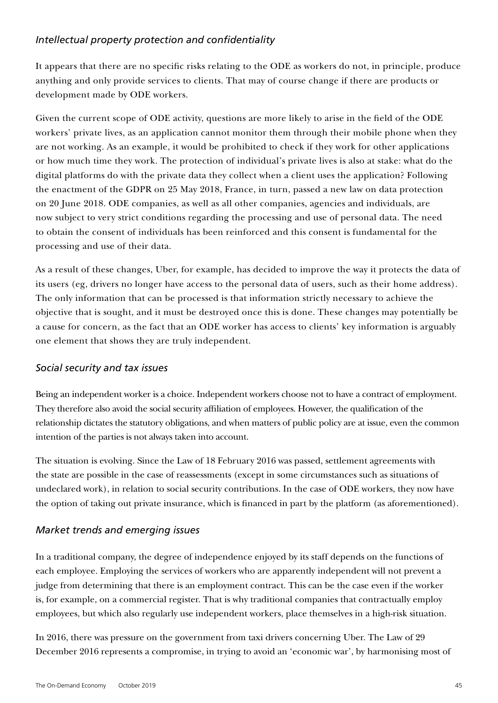### *Intellectual property protection and confidentiality*

It appears that there are no specific risks relating to the ODE as workers do not, in principle, produce anything and only provide services to clients. That may of course change if there are products or development made by ODE workers.

Given the current scope of ODE activity, questions are more likely to arise in the field of the ODE workers' private lives, as an application cannot monitor them through their mobile phone when they are not working. As an example, it would be prohibited to check if they work for other applications or how much time they work. The protection of individual's private lives is also at stake: what do the digital platforms do with the private data they collect when a client uses the application? Following the enactment of the GDPR on 25 May 2018, France, in turn, passed a new law on data protection on 20 June 2018. ODE companies, as well as all other companies, agencies and individuals, are now subject to very strict conditions regarding the processing and use of personal data. The need to obtain the consent of individuals has been reinforced and this consent is fundamental for the processing and use of their data.

As a result of these changes, Uber, for example, has decided to improve the way it protects the data of its users (eg, drivers no longer have access to the personal data of users, such as their home address). The only information that can be processed is that information strictly necessary to achieve the objective that is sought, and it must be destroyed once this is done. These changes may potentially be a cause for concern, as the fact that an ODE worker has access to clients' key information is arguably one element that shows they are truly independent.

#### *Social security and tax issues*

Being an independent worker is a choice. Independent workers choose not to have a contract of employment. They therefore also avoid the social security affiliation of employees. However, the qualification of the relationship dictates the statutory obligations, and when matters of public policy are at issue, even the common intention of the parties is not always taken into account.

The situation is evolving. Since the Law of 18 February 2016 was passed, settlement agreements with the state are possible in the case of reassessments (except in some circumstances such as situations of undeclared work), in relation to social security contributions. In the case of ODE workers, they now have the option of taking out private insurance, which is financed in part by the platform (as aforementioned).

### *Market trends and emerging issues*

In a traditional company, the degree of independence enjoyed by its staff depends on the functions of each employee. Employing the services of workers who are apparently independent will not prevent a judge from determining that there is an employment contract. This can be the case even if the worker is, for example, on a commercial register. That is why traditional companies that contractually employ employees, but which also regularly use independent workers, place themselves in a high-risk situation.

In 2016, there was pressure on the government from taxi drivers concerning Uber. The Law of 29 December 2016 represents a compromise, in trying to avoid an 'economic war', by harmonising most of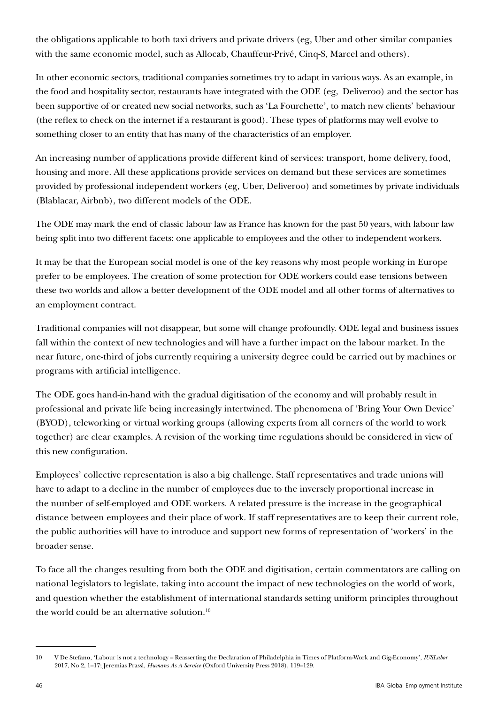the obligations applicable to both taxi drivers and private drivers (eg, Uber and other similar companies with the same economic model, such as Allocab, Chauffeur-Privé, Cinq-S, Marcel and others).

In other economic sectors, traditional companies sometimes try to adapt in various ways. As an example, in the food and hospitality sector, restaurants have integrated with the ODE (eg, Deliveroo) and the sector has been supportive of or created new social networks, such as 'La Fourchette', to match new clients' behaviour (the reflex to check on the internet if a restaurant is good). These types of platforms may well evolve to something closer to an entity that has many of the characteristics of an employer.

An increasing number of applications provide different kind of services: transport, home delivery, food, housing and more. All these applications provide services on demand but these services are sometimes provided by professional independent workers (eg, Uber, Deliveroo) and sometimes by private individuals (Blablacar, Airbnb), two different models of the ODE.

The ODE may mark the end of classic labour law as France has known for the past 50 years, with labour law being split into two different facets: one applicable to employees and the other to independent workers.

It may be that the European social model is one of the key reasons why most people working in Europe prefer to be employees. The creation of some protection for ODE workers could ease tensions between these two worlds and allow a better development of the ODE model and all other forms of alternatives to an employment contract.

Traditional companies will not disappear, but some will change profoundly. ODE legal and business issues fall within the context of new technologies and will have a further impact on the labour market. In the near future, one-third of jobs currently requiring a university degree could be carried out by machines or programs with artificial intelligence.

The ODE goes hand-in-hand with the gradual digitisation of the economy and will probably result in professional and private life being increasingly intertwined. The phenomena of 'Bring Your Own Device' (BYOD), teleworking or virtual working groups (allowing experts from all corners of the world to work together) are clear examples. A revision of the working time regulations should be considered in view of this new configuration.

Employees' collective representation is also a big challenge. Staff representatives and trade unions will have to adapt to a decline in the number of employees due to the inversely proportional increase in the number of self-employed and ODE workers. A related pressure is the increase in the geographical distance between employees and their place of work. If staff representatives are to keep their current role, the public authorities will have to introduce and support new forms of representation of 'workers' in the broader sense.

To face all the changes resulting from both the ODE and digitisation, certain commentators are calling on national legislators to legislate, taking into account the impact of new technologies on the world of work, and question whether the establishment of international standards setting uniform principles throughout the world could be an alternative solution.<sup>10</sup>

<sup>10</sup> V De Stefano, 'Labour is not a technology – Reasserting the Declaration of Philadelphia in Times of Platform-Work and Gig-Economy', *IUSLabor*  2017, No 2, 1–17; Jeremias Prassl, *Humans As A Service* (Oxford University Press 2018), 119–129.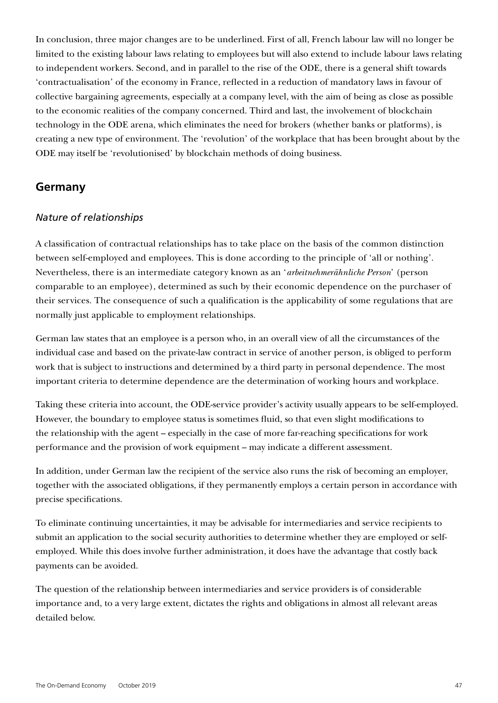In conclusion, three major changes are to be underlined. First of all, French labour law will no longer be limited to the existing labour laws relating to employees but will also extend to include labour laws relating to independent workers. Second, and in parallel to the rise of the ODE, there is a general shift towards 'contractualisation' of the economy in France, reflected in a reduction of mandatory laws in favour of collective bargaining agreements, especially at a company level, with the aim of being as close as possible to the economic realities of the company concerned. Third and last, the involvement of blockchain technology in the ODE arena, which eliminates the need for brokers (whether banks or platforms), is creating a new type of environment. The 'revolution' of the workplace that has been brought about by the ODE may itself be 'revolutionised' by blockchain methods of doing business.

#### **Germany**

#### *Nature of relationships*

A classification of contractual relationships has to take place on the basis of the common distinction between self-employed and employees. This is done according to the principle of 'all or nothing'. Nevertheless, there is an intermediate category known as an '*arbeitnehmerähnliche Person*' (person comparable to an employee), determined as such by their economic dependence on the purchaser of their services. The consequence of such a qualification is the applicability of some regulations that are normally just applicable to employment relationships.

German law states that an employee is a person who, in an overall view of all the circumstances of the individual case and based on the private-law contract in service of another person, is obliged to perform work that is subject to instructions and determined by a third party in personal dependence. The most important criteria to determine dependence are the determination of working hours and workplace.

Taking these criteria into account, the ODE-service provider's activity usually appears to be self-employed. However, the boundary to employee status is sometimes fluid, so that even slight modifications to the relationship with the agent – especially in the case of more far-reaching specifications for work performance and the provision of work equipment – may indicate a different assessment.

In addition, under German law the recipient of the service also runs the risk of becoming an employer, together with the associated obligations, if they permanently employs a certain person in accordance with precise specifications.

To eliminate continuing uncertainties, it may be advisable for intermediaries and service recipients to submit an application to the social security authorities to determine whether they are employed or selfemployed. While this does involve further administration, it does have the advantage that costly back payments can be avoided.

The question of the relationship between intermediaries and service providers is of considerable importance and, to a very large extent, dictates the rights and obligations in almost all relevant areas detailed below.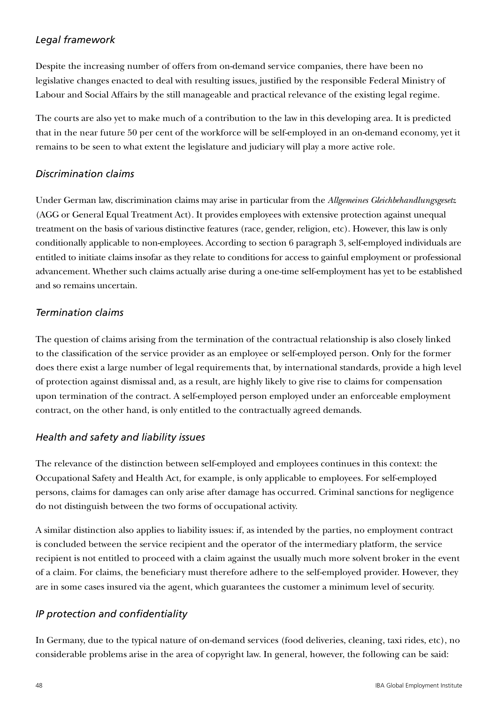### *Legal framework*

Despite the increasing number of offers from on-demand service companies, there have been no legislative changes enacted to deal with resulting issues, justified by the responsible Federal Ministry of Labour and Social Affairs by the still manageable and practical relevance of the existing legal regime.

The courts are also yet to make much of a contribution to the law in this developing area. It is predicted that in the near future 50 per cent of the workforce will be self-employed in an on-demand economy, yet it remains to be seen to what extent the legislature and judiciary will play a more active role.

### *Discrimination claims*

Under German law, discrimination claims may arise in particular from the *Allgemeines Gleichbehandlungsgesetz* (AGG or General Equal Treatment Act). It provides employees with extensive protection against unequal treatment on the basis of various distinctive features (race, gender, religion, etc). However, this law is only conditionally applicable to non-employees. According to section 6 paragraph 3, self-employed individuals are entitled to initiate claims insofar as they relate to conditions for access to gainful employment or professional advancement. Whether such claims actually arise during a one-time self-employment has yet to be established and so remains uncertain.

### *Termination claims*

The question of claims arising from the termination of the contractual relationship is also closely linked to the classification of the service provider as an employee or self-employed person. Only for the former does there exist a large number of legal requirements that, by international standards, provide a high level of protection against dismissal and, as a result, are highly likely to give rise to claims for compensation upon termination of the contract. A self-employed person employed under an enforceable employment contract, on the other hand, is only entitled to the contractually agreed demands.

### *Health and safety and liability issues*

The relevance of the distinction between self-employed and employees continues in this context: the Occupational Safety and Health Act, for example, is only applicable to employees. For self-employed persons, claims for damages can only arise after damage has occurred. Criminal sanctions for negligence do not distinguish between the two forms of occupational activity.

A similar distinction also applies to liability issues: if, as intended by the parties, no employment contract is concluded between the service recipient and the operator of the intermediary platform, the service recipient is not entitled to proceed with a claim against the usually much more solvent broker in the event of a claim. For claims, the beneficiary must therefore adhere to the self-employed provider. However, they are in some cases insured via the agent, which guarantees the customer a minimum level of security.

### *IP protection and confidentiality*

In Germany, due to the typical nature of on-demand services (food deliveries, cleaning, taxi rides, etc), no considerable problems arise in the area of copyright law. In general, however, the following can be said: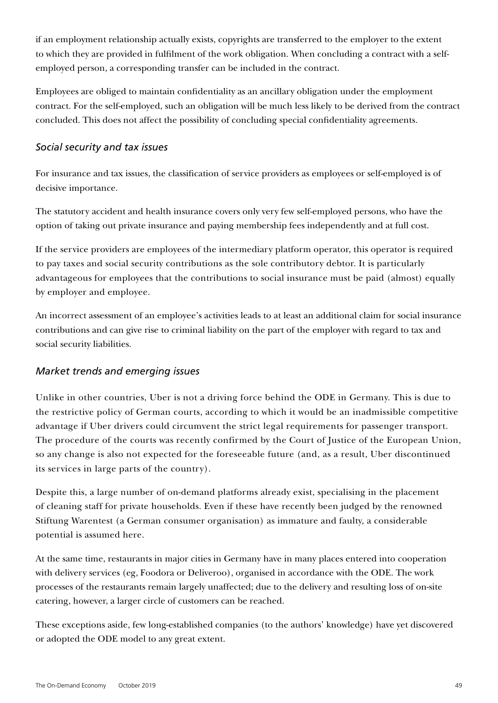if an employment relationship actually exists, copyrights are transferred to the employer to the extent to which they are provided in fulfilment of the work obligation. When concluding a contract with a selfemployed person, a corresponding transfer can be included in the contract.

Employees are obliged to maintain confidentiality as an ancillary obligation under the employment contract. For the self-employed, such an obligation will be much less likely to be derived from the contract concluded. This does not affect the possibility of concluding special confidentiality agreements.

#### *Social security and tax issues*

For insurance and tax issues, the classification of service providers as employees or self-employed is of decisive importance.

The statutory accident and health insurance covers only very few self-employed persons, who have the option of taking out private insurance and paying membership fees independently and at full cost.

If the service providers are employees of the intermediary platform operator, this operator is required to pay taxes and social security contributions as the sole contributory debtor. It is particularly advantageous for employees that the contributions to social insurance must be paid (almost) equally by employer and employee.

An incorrect assessment of an employee's activities leads to at least an additional claim for social insurance contributions and can give rise to criminal liability on the part of the employer with regard to tax and social security liabilities.

### *Market trends and emerging issues*

Unlike in other countries, Uber is not a driving force behind the ODE in Germany. This is due to the restrictive policy of German courts, according to which it would be an inadmissible competitive advantage if Uber drivers could circumvent the strict legal requirements for passenger transport. The procedure of the courts was recently confirmed by the Court of Justice of the European Union, so any change is also not expected for the foreseeable future (and, as a result, Uber discontinued its services in large parts of the country).

Despite this, a large number of on-demand platforms already exist, specialising in the placement of cleaning staff for private households. Even if these have recently been judged by the renowned Stiftung Warentest (a German consumer organisation) as immature and faulty, a considerable potential is assumed here.

At the same time, restaurants in major cities in Germany have in many places entered into cooperation with delivery services (eg, Foodora or Deliveroo), organised in accordance with the ODE. The work processes of the restaurants remain largely unaffected; due to the delivery and resulting loss of on-site catering, however, a larger circle of customers can be reached.

These exceptions aside, few long-established companies (to the authors' knowledge) have yet discovered or adopted the ODE model to any great extent.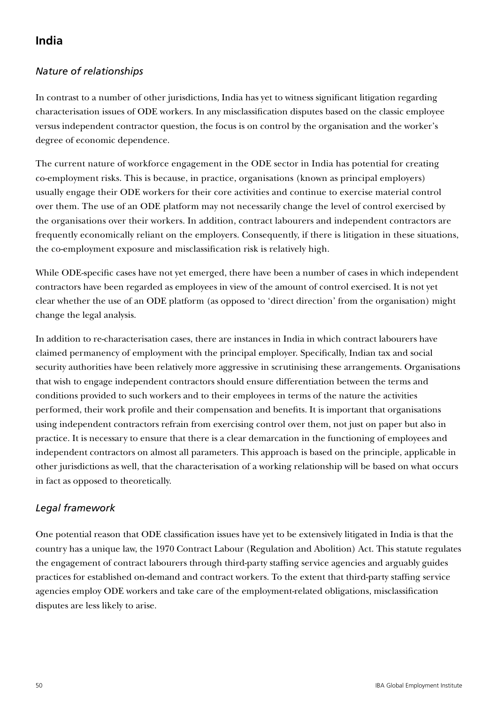# **India**

## *Nature of relationships*

In contrast to a number of other jurisdictions, India has yet to witness significant litigation regarding characterisation issues of ODE workers. In any misclassification disputes based on the classic employee versus independent contractor question, the focus is on control by the organisation and the worker's degree of economic dependence.

The current nature of workforce engagement in the ODE sector in India has potential for creating co-employment risks. This is because, in practice, organisations (known as principal employers) usually engage their ODE workers for their core activities and continue to exercise material control over them. The use of an ODE platform may not necessarily change the level of control exercised by the organisations over their workers. In addition, contract labourers and independent contractors are frequently economically reliant on the employers. Consequently, if there is litigation in these situations, the co-employment exposure and misclassification risk is relatively high.

While ODE-specific cases have not yet emerged, there have been a number of cases in which independent contractors have been regarded as employees in view of the amount of control exercised. It is not yet clear whether the use of an ODE platform (as opposed to 'direct direction' from the organisation) might change the legal analysis.

In addition to re-characterisation cases, there are instances in India in which contract labourers have claimed permanency of employment with the principal employer. Specifically, Indian tax and social security authorities have been relatively more aggressive in scrutinising these arrangements. Organisations that wish to engage independent contractors should ensure differentiation between the terms and conditions provided to such workers and to their employees in terms of the nature the activities performed, their work profile and their compensation and benefits. It is important that organisations using independent contractors refrain from exercising control over them, not just on paper but also in practice. It is necessary to ensure that there is a clear demarcation in the functioning of employees and independent contractors on almost all parameters. This approach is based on the principle, applicable in other jurisdictions as well, that the characterisation of a working relationship will be based on what occurs in fact as opposed to theoretically.

### *Legal framework*

One potential reason that ODE classification issues have yet to be extensively litigated in India is that the country has a unique law, the 1970 Contract Labour (Regulation and Abolition) Act. This statute regulates the engagement of contract labourers through third-party staffing service agencies and arguably guides practices for established on-demand and contract workers. To the extent that third-party staffing service agencies employ ODE workers and take care of the employment-related obligations, misclassification disputes are less likely to arise.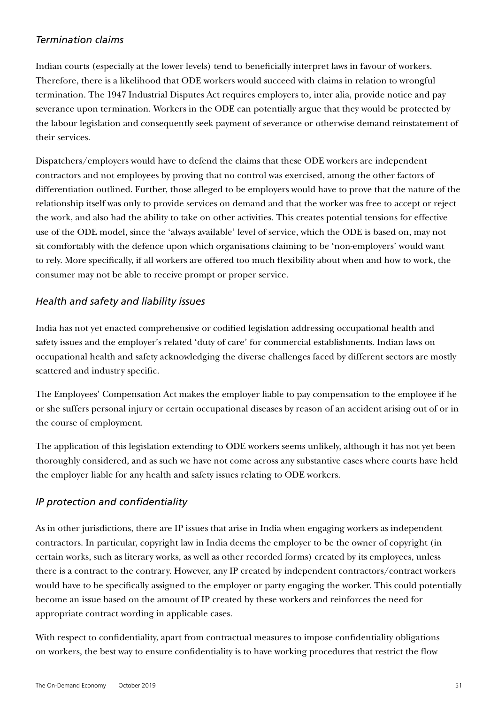#### *Termination claims*

Indian courts (especially at the lower levels) tend to beneficially interpret laws in favour of workers. Therefore, there is a likelihood that ODE workers would succeed with claims in relation to wrongful termination. The 1947 Industrial Disputes Act requires employers to, inter alia, provide notice and pay severance upon termination. Workers in the ODE can potentially argue that they would be protected by the labour legislation and consequently seek payment of severance or otherwise demand reinstatement of their services.

Dispatchers/employers would have to defend the claims that these ODE workers are independent contractors and not employees by proving that no control was exercised, among the other factors of differentiation outlined. Further, those alleged to be employers would have to prove that the nature of the relationship itself was only to provide services on demand and that the worker was free to accept or reject the work, and also had the ability to take on other activities. This creates potential tensions for effective use of the ODE model, since the 'always available' level of service, which the ODE is based on, may not sit comfortably with the defence upon which organisations claiming to be 'non-employers' would want to rely. More specifically, if all workers are offered too much flexibility about when and how to work, the consumer may not be able to receive prompt or proper service.

### *Health and safety and liability issues*

India has not yet enacted comprehensive or codified legislation addressing occupational health and safety issues and the employer's related 'duty of care' for commercial establishments. Indian laws on occupational health and safety acknowledging the diverse challenges faced by different sectors are mostly scattered and industry specific.

The Employees' Compensation Act makes the employer liable to pay compensation to the employee if he or she suffers personal injury or certain occupational diseases by reason of an accident arising out of or in the course of employment.

The application of this legislation extending to ODE workers seems unlikely, although it has not yet been thoroughly considered, and as such we have not come across any substantive cases where courts have held the employer liable for any health and safety issues relating to ODE workers.

### *IP protection and confidentiality*

As in other jurisdictions, there are IP issues that arise in India when engaging workers as independent contractors. In particular, copyright law in India deems the employer to be the owner of copyright (in certain works, such as literary works, as well as other recorded forms) created by its employees, unless there is a contract to the contrary. However, any IP created by independent contractors/contract workers would have to be specifically assigned to the employer or party engaging the worker. This could potentially become an issue based on the amount of IP created by these workers and reinforces the need for appropriate contract wording in applicable cases.

With respect to confidentiality, apart from contractual measures to impose confidentiality obligations on workers, the best way to ensure confidentiality is to have working procedures that restrict the flow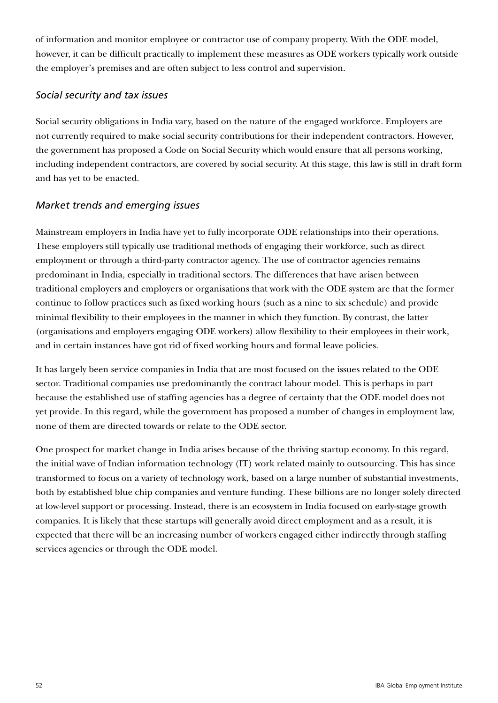of information and monitor employee or contractor use of company property. With the ODE model, however, it can be difficult practically to implement these measures as ODE workers typically work outside the employer's premises and are often subject to less control and supervision.

#### *Social security and tax issues*

Social security obligations in India vary, based on the nature of the engaged workforce. Employers are not currently required to make social security contributions for their independent contractors. However, the government has proposed a Code on Social Security which would ensure that all persons working, including independent contractors, are covered by social security. At this stage, this law is still in draft form and has yet to be enacted.

### *Market trends and emerging issues*

Mainstream employers in India have yet to fully incorporate ODE relationships into their operations. These employers still typically use traditional methods of engaging their workforce, such as direct employment or through a third-party contractor agency. The use of contractor agencies remains predominant in India, especially in traditional sectors. The differences that have arisen between traditional employers and employers or organisations that work with the ODE system are that the former continue to follow practices such as fixed working hours (such as a nine to six schedule) and provide minimal flexibility to their employees in the manner in which they function. By contrast, the latter (organisations and employers engaging ODE workers) allow flexibility to their employees in their work, and in certain instances have got rid of fixed working hours and formal leave policies.

It has largely been service companies in India that are most focused on the issues related to the ODE sector. Traditional companies use predominantly the contract labour model. This is perhaps in part because the established use of staffing agencies has a degree of certainty that the ODE model does not yet provide. In this regard, while the government has proposed a number of changes in employment law, none of them are directed towards or relate to the ODE sector.

One prospect for market change in India arises because of the thriving startup economy. In this regard, the initial wave of Indian information technology (IT) work related mainly to outsourcing. This has since transformed to focus on a variety of technology work, based on a large number of substantial investments, both by established blue chip companies and venture funding. These billions are no longer solely directed at low-level support or processing. Instead, there is an ecosystem in India focused on early-stage growth companies. It is likely that these startups will generally avoid direct employment and as a result, it is expected that there will be an increasing number of workers engaged either indirectly through staffing services agencies or through the ODE model.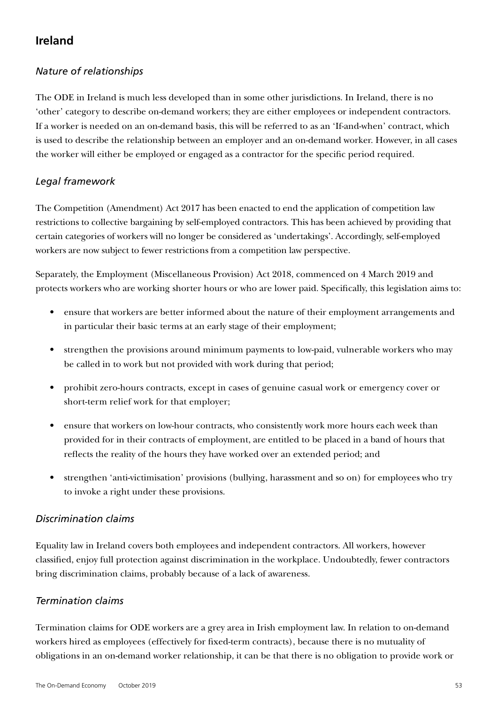# **Ireland**

### *Nature of relationships*

The ODE in Ireland is much less developed than in some other jurisdictions. In Ireland, there is no 'other' category to describe on-demand workers; they are either employees or independent contractors. If a worker is needed on an on-demand basis, this will be referred to as an 'If-and-when' contract, which is used to describe the relationship between an employer and an on-demand worker. However, in all cases the worker will either be employed or engaged as a contractor for the specific period required.

### *Legal framework*

The Competition (Amendment) Act 2017 has been enacted to end the application of competition law restrictions to collective bargaining by self-employed contractors. This has been achieved by providing that certain categories of workers will no longer be considered as 'undertakings'. Accordingly, self-employed workers are now subject to fewer restrictions from a competition law perspective.

Separately, the Employment (Miscellaneous Provision) Act 2018, commenced on 4 March 2019 and protects workers who are working shorter hours or who are lower paid. Specifically, this legislation aims to:

- ensure that workers are better informed about the nature of their employment arrangements and in particular their basic terms at an early stage of their employment;
- strengthen the provisions around minimum payments to low-paid, vulnerable workers who may be called in to work but not provided with work during that period;
- prohibit zero-hours contracts, except in cases of genuine casual work or emergency cover or short-term relief work for that employer;
- ensure that workers on low-hour contracts, who consistently work more hours each week than provided for in their contracts of employment, are entitled to be placed in a band of hours that reflects the reality of the hours they have worked over an extended period; and
- strengthen 'anti-victimisation' provisions (bullying, harassment and so on) for employees who try to invoke a right under these provisions.

#### *Discrimination claims*

Equality law in Ireland covers both employees and independent contractors. All workers, however classified, enjoy full protection against discrimination in the workplace. Undoubtedly, fewer contractors bring discrimination claims, probably because of a lack of awareness.

### *Termination claims*

Termination claims for ODE workers are a grey area in Irish employment law. In relation to on-demand workers hired as employees (effectively for fixed-term contracts), because there is no mutuality of obligations in an on-demand worker relationship, it can be that there is no obligation to provide work or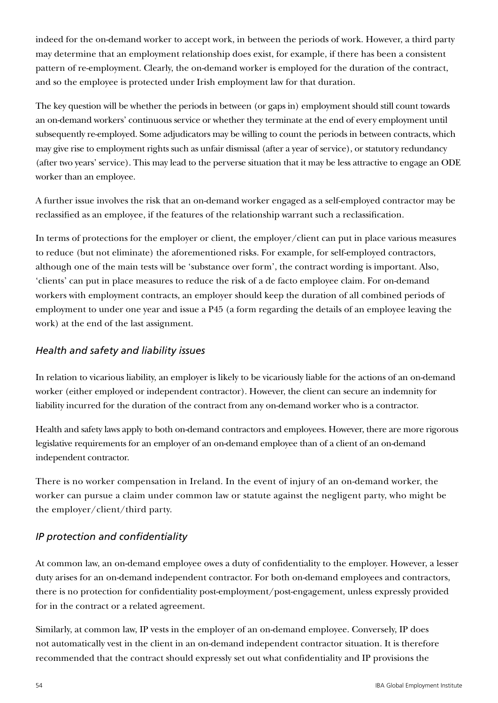indeed for the on-demand worker to accept work, in between the periods of work. However, a third party may determine that an employment relationship does exist, for example, if there has been a consistent pattern of re-employment. Clearly, the on-demand worker is employed for the duration of the contract, and so the employee is protected under Irish employment law for that duration.

The key question will be whether the periods in between (or gaps in) employment should still count towards an on-demand workers' continuous service or whether they terminate at the end of every employment until subsequently re-employed. Some adjudicators may be willing to count the periods in between contracts, which may give rise to employment rights such as unfair dismissal (after a year of service), or statutory redundancy (after two years' service). This may lead to the perverse situation that it may be less attractive to engage an ODE worker than an employee.

A further issue involves the risk that an on-demand worker engaged as a self-employed contractor may be reclassified as an employee, if the features of the relationship warrant such a reclassification.

In terms of protections for the employer or client, the employer/client can put in place various measures to reduce (but not eliminate) the aforementioned risks. For example, for self-employed contractors, although one of the main tests will be 'substance over form', the contract wording is important. Also, 'clients' can put in place measures to reduce the risk of a de facto employee claim. For on-demand workers with employment contracts, an employer should keep the duration of all combined periods of employment to under one year and issue a P45 (a form regarding the details of an employee leaving the work) at the end of the last assignment.

### *Health and safety and liability issues*

In relation to vicarious liability, an employer is likely to be vicariously liable for the actions of an on-demand worker (either employed or independent contractor). However, the client can secure an indemnity for liability incurred for the duration of the contract from any on-demand worker who is a contractor.

Health and safety laws apply to both on-demand contractors and employees. However, there are more rigorous legislative requirements for an employer of an on-demand employee than of a client of an on-demand independent contractor.

There is no worker compensation in Ireland. In the event of injury of an on-demand worker, the worker can pursue a claim under common law or statute against the negligent party, who might be the employer/client/third party.

### *IP protection and confidentiality*

At common law, an on-demand employee owes a duty of confidentiality to the employer. However, a lesser duty arises for an on-demand independent contractor. For both on-demand employees and contractors, there is no protection for confidentiality post-employment/post-engagement, unless expressly provided for in the contract or a related agreement.

Similarly, at common law, IP vests in the employer of an on-demand employee. Conversely, IP does not automatically vest in the client in an on-demand independent contractor situation. It is therefore recommended that the contract should expressly set out what confidentiality and IP provisions the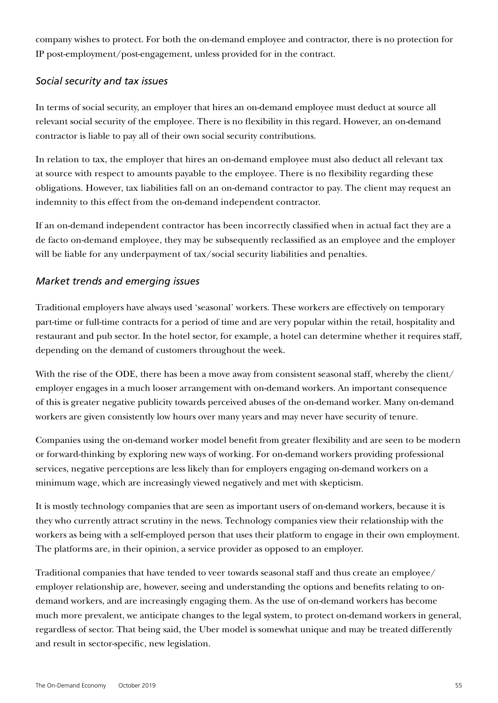company wishes to protect. For both the on-demand employee and contractor, there is no protection for IP post-employment/post-engagement, unless provided for in the contract.

#### *Social security and tax issues*

In terms of social security, an employer that hires an on-demand employee must deduct at source all relevant social security of the employee. There is no flexibility in this regard. However, an on-demand contractor is liable to pay all of their own social security contributions.

In relation to tax, the employer that hires an on-demand employee must also deduct all relevant tax at source with respect to amounts payable to the employee. There is no flexibility regarding these obligations. However, tax liabilities fall on an on-demand contractor to pay. The client may request an indemnity to this effect from the on-demand independent contractor.

If an on-demand independent contractor has been incorrectly classified when in actual fact they are a de facto on-demand employee, they may be subsequently reclassified as an employee and the employer will be liable for any underpayment of tax/social security liabilities and penalties.

### *Market trends and emerging issues*

Traditional employers have always used 'seasonal' workers. These workers are effectively on temporary part-time or full-time contracts for a period of time and are very popular within the retail, hospitality and restaurant and pub sector. In the hotel sector, for example, a hotel can determine whether it requires staff, depending on the demand of customers throughout the week.

With the rise of the ODE, there has been a move away from consistent seasonal staff, whereby the client/ employer engages in a much looser arrangement with on-demand workers. An important consequence of this is greater negative publicity towards perceived abuses of the on-demand worker. Many on-demand workers are given consistently low hours over many years and may never have security of tenure.

Companies using the on-demand worker model benefit from greater flexibility and are seen to be modern or forward-thinking by exploring new ways of working. For on-demand workers providing professional services, negative perceptions are less likely than for employers engaging on-demand workers on a minimum wage, which are increasingly viewed negatively and met with skepticism.

It is mostly technology companies that are seen as important users of on-demand workers, because it is they who currently attract scrutiny in the news. Technology companies view their relationship with the workers as being with a self-employed person that uses their platform to engage in their own employment. The platforms are, in their opinion, a service provider as opposed to an employer.

Traditional companies that have tended to veer towards seasonal staff and thus create an employee/ employer relationship are, however, seeing and understanding the options and benefits relating to ondemand workers, and are increasingly engaging them. As the use of on-demand workers has become much more prevalent, we anticipate changes to the legal system, to protect on-demand workers in general, regardless of sector. That being said, the Uber model is somewhat unique and may be treated differently and result in sector-specific, new legislation.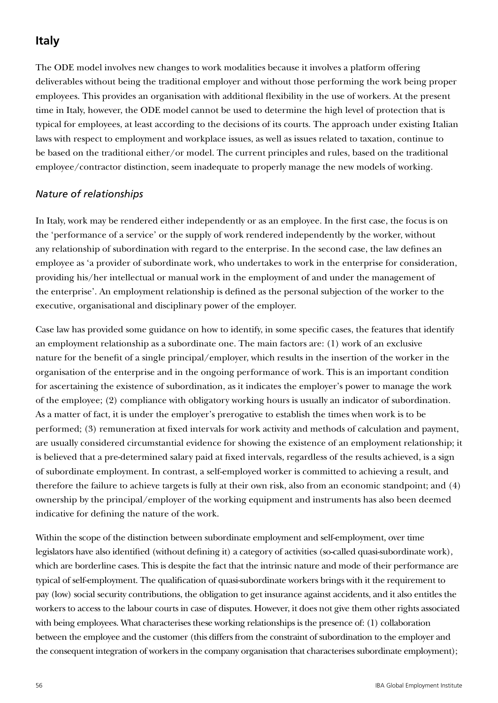# **Italy**

The ODE model involves new changes to work modalities because it involves a platform offering deliverables without being the traditional employer and without those performing the work being proper employees. This provides an organisation with additional flexibility in the use of workers. At the present time in Italy, however, the ODE model cannot be used to determine the high level of protection that is typical for employees, at least according to the decisions of its courts. The approach under existing Italian laws with respect to employment and workplace issues, as well as issues related to taxation, continue to be based on the traditional either/or model. The current principles and rules, based on the traditional employee/contractor distinction, seem inadequate to properly manage the new models of working.

#### *Nature of relationships*

In Italy, work may be rendered either independently or as an employee. In the first case, the focus is on the 'performance of a service' or the supply of work rendered independently by the worker, without any relationship of subordination with regard to the enterprise. In the second case, the law defines an employee as 'a provider of subordinate work, who undertakes to work in the enterprise for consideration, providing his/her intellectual or manual work in the employment of and under the management of the enterprise'. An employment relationship is defined as the personal subjection of the worker to the executive, organisational and disciplinary power of the employer.

Case law has provided some guidance on how to identify, in some specific cases, the features that identify an employment relationship as a subordinate one. The main factors are: (1) work of an exclusive nature for the benefit of a single principal/employer, which results in the insertion of the worker in the organisation of the enterprise and in the ongoing performance of work. This is an important condition for ascertaining the existence of subordination, as it indicates the employer's power to manage the work of the employee; (2) compliance with obligatory working hours is usually an indicator of subordination. As a matter of fact, it is under the employer's prerogative to establish the times when work is to be performed; (3) remuneration at fixed intervals for work activity and methods of calculation and payment, are usually considered circumstantial evidence for showing the existence of an employment relationship; it is believed that a pre-determined salary paid at fixed intervals, regardless of the results achieved, is a sign of subordinate employment. In contrast, a self-employed worker is committed to achieving a result, and therefore the failure to achieve targets is fully at their own risk, also from an economic standpoint; and (4) ownership by the principal/employer of the working equipment and instruments has also been deemed indicative for defining the nature of the work.

Within the scope of the distinction between subordinate employment and self-employment, over time legislators have also identified (without defining it) a category of activities (so-called quasi-subordinate work), which are borderline cases. This is despite the fact that the intrinsic nature and mode of their performance are typical of self-employment. The qualification of quasi-subordinate workers brings with it the requirement to pay (low) social security contributions, the obligation to get insurance against accidents, and it also entitles the workers to access to the labour courts in case of disputes. However, it does not give them other rights associated with being employees. What characterises these working relationships is the presence of: (1) collaboration between the employee and the customer (this differs from the constraint of subordination to the employer and the consequent integration of workers in the company organisation that characterises subordinate employment);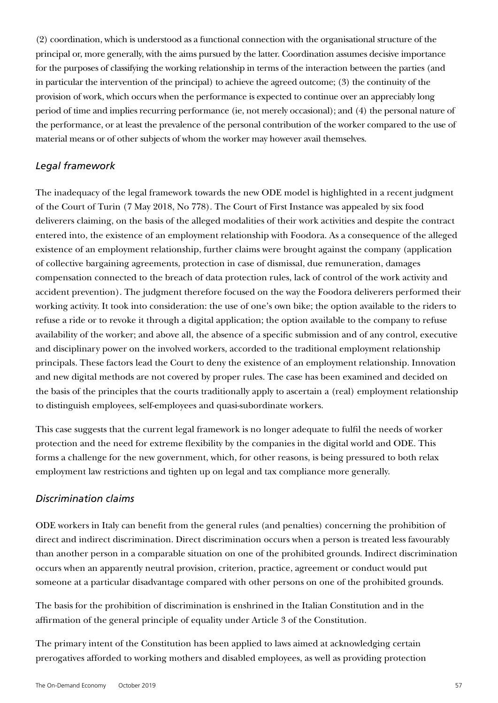(2) coordination, which is understood as a functional connection with the organisational structure of the principal or, more generally, with the aims pursued by the latter. Coordination assumes decisive importance for the purposes of classifying the working relationship in terms of the interaction between the parties (and in particular the intervention of the principal) to achieve the agreed outcome; (3) the continuity of the provision of work, which occurs when the performance is expected to continue over an appreciably long period of time and implies recurring performance (ie, not merely occasional); and (4) the personal nature of the performance, or at least the prevalence of the personal contribution of the worker compared to the use of material means or of other subjects of whom the worker may however avail themselves.

#### *Legal framework*

The inadequacy of the legal framework towards the new ODE model is highlighted in a recent judgment of the Court of Turin (7 May 2018, No 778). The Court of First Instance was appealed by six food deliverers claiming, on the basis of the alleged modalities of their work activities and despite the contract entered into, the existence of an employment relationship with Foodora. As a consequence of the alleged existence of an employment relationship, further claims were brought against the company (application of collective bargaining agreements, protection in case of dismissal, due remuneration, damages compensation connected to the breach of data protection rules, lack of control of the work activity and accident prevention). The judgment therefore focused on the way the Foodora deliverers performed their working activity. It took into consideration: the use of one's own bike; the option available to the riders to refuse a ride or to revoke it through a digital application; the option available to the company to refuse availability of the worker; and above all, the absence of a specific submission and of any control, executive and disciplinary power on the involved workers, accorded to the traditional employment relationship principals. These factors lead the Court to deny the existence of an employment relationship. Innovation and new digital methods are not covered by proper rules. The case has been examined and decided on the basis of the principles that the courts traditionally apply to ascertain a (real) employment relationship to distinguish employees, self-employees and quasi-subordinate workers.

This case suggests that the current legal framework is no longer adequate to fulfil the needs of worker protection and the need for extreme flexibility by the companies in the digital world and ODE. This forms a challenge for the new government, which, for other reasons, is being pressured to both relax employment law restrictions and tighten up on legal and tax compliance more generally.

#### *Discrimination claims*

ODE workers in Italy can benefit from the general rules (and penalties) concerning the prohibition of direct and indirect discrimination. Direct discrimination occurs when a person is treated less favourably than another person in a comparable situation on one of the prohibited grounds. Indirect discrimination occurs when an apparently neutral provision, criterion, practice, agreement or conduct would put someone at a particular disadvantage compared with other persons on one of the prohibited grounds.

The basis for the prohibition of discrimination is enshrined in the Italian Constitution and in the affirmation of the general principle of equality under Article 3 of the Constitution.

The primary intent of the Constitution has been applied to laws aimed at acknowledging certain prerogatives afforded to working mothers and disabled employees, as well as providing protection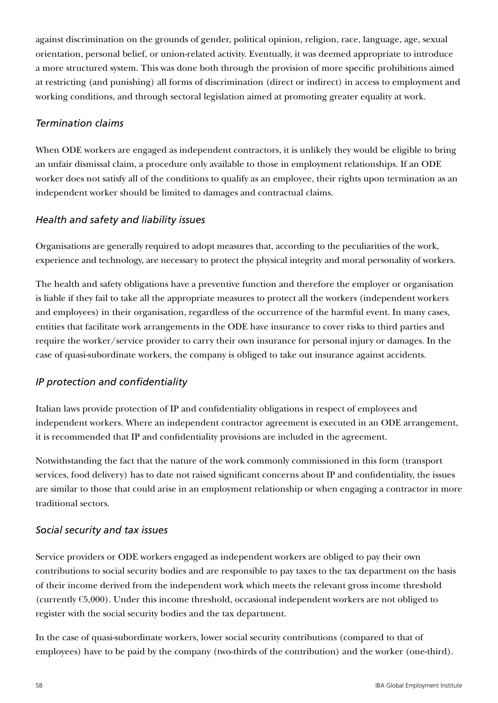against discrimination on the grounds of gender, political opinion, religion, race, language, age, sexual orientation, personal belief, or union-related activity. Eventually, it was deemed appropriate to introduce a more structured system. This was done both through the provision of more specific prohibitions aimed at restricting (and punishing) all forms of discrimination (direct or indirect) in access to employment and working conditions, and through sectoral legislation aimed at promoting greater equality at work.

### *Termination claims*

When ODE workers are engaged as independent contractors, it is unlikely they would be eligible to bring an unfair dismissal claim, a procedure only available to those in employment relationships. If an ODE worker does not satisfy all of the conditions to qualify as an employee, their rights upon termination as an independent worker should be limited to damages and contractual claims.

### *Health and safety and liability issues*

Organisations are generally required to adopt measures that, according to the peculiarities of the work, experience and technology, are necessary to protect the physical integrity and moral personality of workers.

The health and safety obligations have a preventive function and therefore the employer or organisation is liable if they fail to take all the appropriate measures to protect all the workers (independent workers and employees) in their organisation, regardless of the occurrence of the harmful event. In many cases, entities that facilitate work arrangements in the ODE have insurance to cover risks to third parties and require the worker/service provider to carry their own insurance for personal injury or damages. In the case of quasi-subordinate workers, the company is obliged to take out insurance against accidents.

### *IP protection and confidentiality*

Italian laws provide protection of IP and confidentiality obligations in respect of employees and independent workers. Where an independent contractor agreement is executed in an ODE arrangement, it is recommended that IP and confidentiality provisions are included in the agreement.

Notwithstanding the fact that the nature of the work commonly commissioned in this form (transport services, food delivery) has to date not raised significant concerns about IP and confidentiality, the issues are similar to those that could arise in an employment relationship or when engaging a contractor in more traditional sectors.

### *Social security and tax issues*

Service providers or ODE workers engaged as independent workers are obliged to pay their own contributions to social security bodies and are responsible to pay taxes to the tax department on the basis of their income derived from the independent work which meets the relevant gross income threshold (currently  $65,000$ ). Under this income threshold, occasional independent workers are not obliged to register with the social security bodies and the tax department.

In the case of quasi-subordinate workers, lower social security contributions (compared to that of employees) have to be paid by the company (two-thirds of the contribution) and the worker (one-third).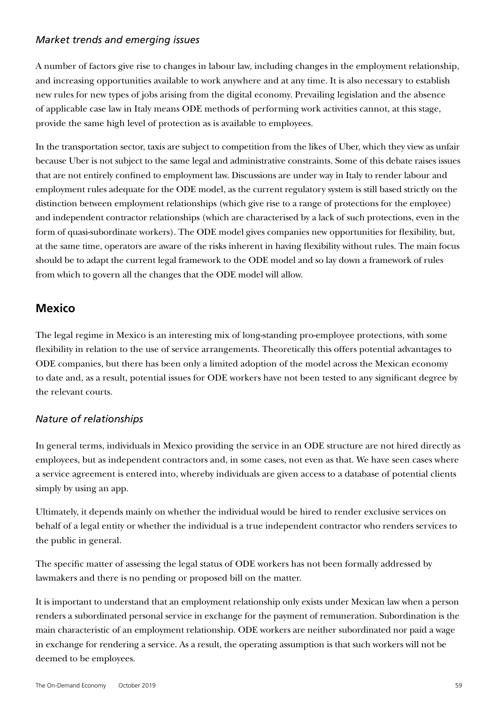#### *Market trends and emerging issues*

A number of factors give rise to changes in labour law, including changes in the employment relationship, and increasing opportunities available to work anywhere and at any time. It is also necessary to establish new rules for new types of jobs arising from the digital economy. Prevailing legislation and the absence of applicable case law in Italy means ODE methods of performing work activities cannot, at this stage, provide the same high level of protection as is available to employees.

In the transportation sector, taxis are subject to competition from the likes of Uber, which they view as unfair because Uber is not subject to the same legal and administrative constraints. Some of this debate raises issues that are not entirely confined to employment law. Discussions are under way in Italy to render labour and employment rules adequate for the ODE model, as the current regulatory system is still based strictly on the distinction between employment relationships (which give rise to a range of protections for the employee) and independent contractor relationships (which are characterised by a lack of such protections, even in the form of quasi-subordinate workers). The ODE model gives companies new opportunities for flexibility, but, at the same time, operators are aware of the risks inherent in having flexibility without rules. The main focus should be to adapt the current legal framework to the ODE model and so lay down a framework of rules from which to govern all the changes that the ODE model will allow.

## **Mexico**

The legal regime in Mexico is an interesting mix of long-standing pro-employee protections, with some flexibility in relation to the use of service arrangements. Theoretically this offers potential advantages to ODE companies, but there has been only a limited adoption of the model across the Mexican economy to date and, as a result, potential issues for ODE workers have not been tested to any significant degree by the relevant courts.

### *Nature of relationships*

In general terms, individuals in Mexico providing the service in an ODE structure are not hired directly as employees, but as independent contractors and, in some cases, not even as that. We have seen cases where a service agreement is entered into, whereby individuals are given access to a database of potential clients simply by using an app.

Ultimately, it depends mainly on whether the individual would be hired to render exclusive services on behalf of a legal entity or whether the individual is a true independent contractor who renders services to the public in general.

The specific matter of assessing the legal status of ODE workers has not been formally addressed by lawmakers and there is no pending or proposed bill on the matter.

It is important to understand that an employment relationship only exists under Mexican law when a person renders a subordinated personal service in exchange for the payment of remuneration. Subordination is the main characteristic of an employment relationship. ODE workers are neither subordinated nor paid a wage in exchange for rendering a service. As a result, the operating assumption is that such workers will not be deemed to be employees.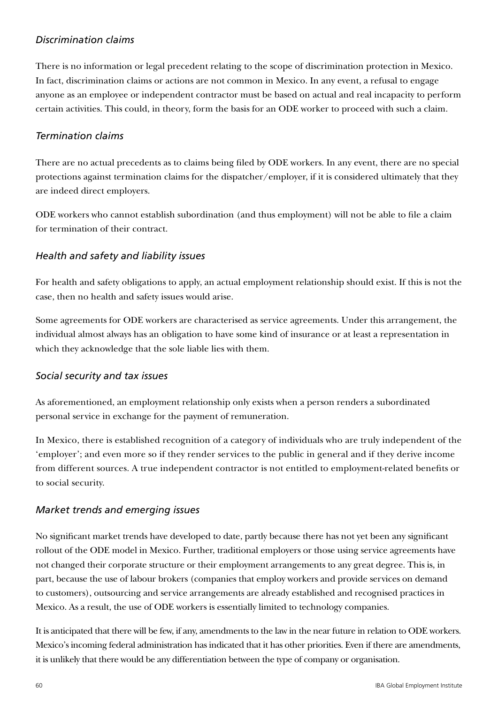### *Discrimination claims*

There is no information or legal precedent relating to the scope of discrimination protection in Mexico. In fact, discrimination claims or actions are not common in Mexico. In any event, a refusal to engage anyone as an employee or independent contractor must be based on actual and real incapacity to perform certain activities. This could, in theory, form the basis for an ODE worker to proceed with such a claim.

#### *Termination claims*

There are no actual precedents as to claims being filed by ODE workers. In any event, there are no special protections against termination claims for the dispatcher/employer, if it is considered ultimately that they are indeed direct employers.

ODE workers who cannot establish subordination (and thus employment) will not be able to file a claim for termination of their contract.

#### *Health and safety and liability issues*

For health and safety obligations to apply, an actual employment relationship should exist. If this is not the case, then no health and safety issues would arise.

Some agreements for ODE workers are characterised as service agreements. Under this arrangement, the individual almost always has an obligation to have some kind of insurance or at least a representation in which they acknowledge that the sole liable lies with them.

#### *Social security and tax issues*

As aforementioned, an employment relationship only exists when a person renders a subordinated personal service in exchange for the payment of remuneration.

In Mexico, there is established recognition of a category of individuals who are truly independent of the 'employer'; and even more so if they render services to the public in general and if they derive income from different sources. A true independent contractor is not entitled to employment-related benefits or to social security.

### *Market trends and emerging issues*

No significant market trends have developed to date, partly because there has not yet been any significant rollout of the ODE model in Mexico. Further, traditional employers or those using service agreements have not changed their corporate structure or their employment arrangements to any great degree. This is, in part, because the use of labour brokers (companies that employ workers and provide services on demand to customers), outsourcing and service arrangements are already established and recognised practices in Mexico. As a result, the use of ODE workers is essentially limited to technology companies.

It is anticipated that there will be few, if any, amendments to the law in the near future in relation to ODE workers. Mexico's incoming federal administration has indicated that it has other priorities. Even if there are amendments, it is unlikely that there would be any differentiation between the type of company or organisation.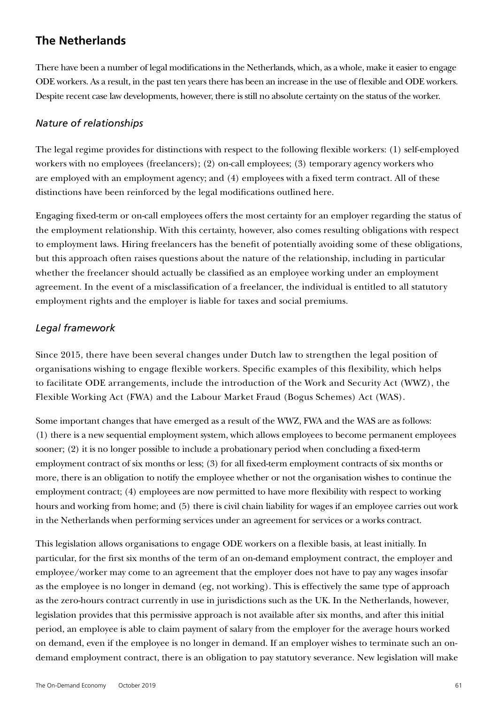## **The Netherlands**

There have been a number of legal modifications in the Netherlands, which, as a whole, make it easier to engage ODE workers. As a result, in the past ten years there has been an increase in the use of flexible and ODE workers. Despite recent case law developments, however, there is still no absolute certainty on the status of the worker.

#### *Nature of relationships*

The legal regime provides for distinctions with respect to the following flexible workers: (1) self-employed workers with no employees (freelancers); (2) on-call employees; (3) temporary agency workers who are employed with an employment agency; and (4) employees with a fixed term contract. All of these distinctions have been reinforced by the legal modifications outlined here.

Engaging fixed-term or on-call employees offers the most certainty for an employer regarding the status of the employment relationship. With this certainty, however, also comes resulting obligations with respect to employment laws. Hiring freelancers has the benefit of potentially avoiding some of these obligations, but this approach often raises questions about the nature of the relationship, including in particular whether the freelancer should actually be classified as an employee working under an employment agreement. In the event of a misclassification of a freelancer, the individual is entitled to all statutory employment rights and the employer is liable for taxes and social premiums.

#### *Legal framework*

Since 2015, there have been several changes under Dutch law to strengthen the legal position of organisations wishing to engage flexible workers. Specific examples of this flexibility, which helps to facilitate ODE arrangements, include the introduction of the Work and Security Act (WWZ), the Flexible Working Act (FWA) and the Labour Market Fraud (Bogus Schemes) Act (WAS).

Some important changes that have emerged as a result of the WWZ, FWA and the WAS are as follows: (1) there is a new sequential employment system, which allows employees to become permanent employees sooner; (2) it is no longer possible to include a probationary period when concluding a fixed-term employment contract of six months or less; (3) for all fixed-term employment contracts of six months or more, there is an obligation to notify the employee whether or not the organisation wishes to continue the employment contract; (4) employees are now permitted to have more flexibility with respect to working hours and working from home; and (5) there is civil chain liability for wages if an employee carries out work in the Netherlands when performing services under an agreement for services or a works contract.

This legislation allows organisations to engage ODE workers on a flexible basis, at least initially. In particular, for the first six months of the term of an on-demand employment contract, the employer and employee/worker may come to an agreement that the employer does not have to pay any wages insofar as the employee is no longer in demand (eg, not working). This is effectively the same type of approach as the zero-hours contract currently in use in jurisdictions such as the UK. In the Netherlands, however, legislation provides that this permissive approach is not available after six months, and after this initial period, an employee is able to claim payment of salary from the employer for the average hours worked on demand, even if the employee is no longer in demand. If an employer wishes to terminate such an ondemand employment contract, there is an obligation to pay statutory severance. New legislation will make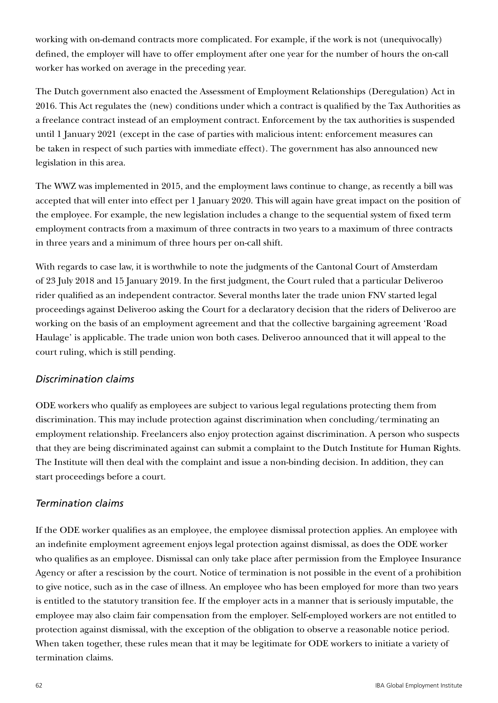working with on-demand contracts more complicated. For example, if the work is not (unequivocally) defined, the employer will have to offer employment after one year for the number of hours the on-call worker has worked on average in the preceding year.

The Dutch government also enacted the Assessment of Employment Relationships (Deregulation) Act in 2016. This Act regulates the (new) conditions under which a contract is qualified by the Tax Authorities as a freelance contract instead of an employment contract. Enforcement by the tax authorities is suspended until 1 January 2021 (except in the case of parties with malicious intent: enforcement measures can be taken in respect of such parties with immediate effect). The government has also announced new legislation in this area.

The WWZ was implemented in 2015, and the employment laws continue to change, as recently a bill was accepted that will enter into effect per 1 January 2020. This will again have great impact on the position of the employee. For example, the new legislation includes a change to the sequential system of fixed term employment contracts from a maximum of three contracts in two years to a maximum of three contracts in three years and a minimum of three hours per on-call shift.

With regards to case law, it is worthwhile to note the judgments of the Cantonal Court of Amsterdam of 23 July 2018 and 15 January 2019. In the first judgment, the Court ruled that a particular Deliveroo rider qualified as an independent contractor. Several months later the trade union FNV started legal proceedings against Deliveroo asking the Court for a declaratory decision that the riders of Deliveroo are working on the basis of an employment agreement and that the collective bargaining agreement 'Road Haulage' is applicable. The trade union won both cases. Deliveroo announced that it will appeal to the court ruling, which is still pending.

### *Discrimination claims*

ODE workers who qualify as employees are subject to various legal regulations protecting them from discrimination. This may include protection against discrimination when concluding/terminating an employment relationship. Freelancers also enjoy protection against discrimination. A person who suspects that they are being discriminated against can submit a complaint to the Dutch Institute for Human Rights. The Institute will then deal with the complaint and issue a non-binding decision. In addition, they can start proceedings before a court.

#### *Termination claims*

If the ODE worker qualifies as an employee, the employee dismissal protection applies. An employee with an indefinite employment agreement enjoys legal protection against dismissal, as does the ODE worker who qualifies as an employee. Dismissal can only take place after permission from the Employee Insurance Agency or after a rescission by the court. Notice of termination is not possible in the event of a prohibition to give notice, such as in the case of illness. An employee who has been employed for more than two years is entitled to the statutory transition fee. If the employer acts in a manner that is seriously imputable, the employee may also claim fair compensation from the employer. Self-employed workers are not entitled to protection against dismissal, with the exception of the obligation to observe a reasonable notice period. When taken together, these rules mean that it may be legitimate for ODE workers to initiate a variety of termination claims.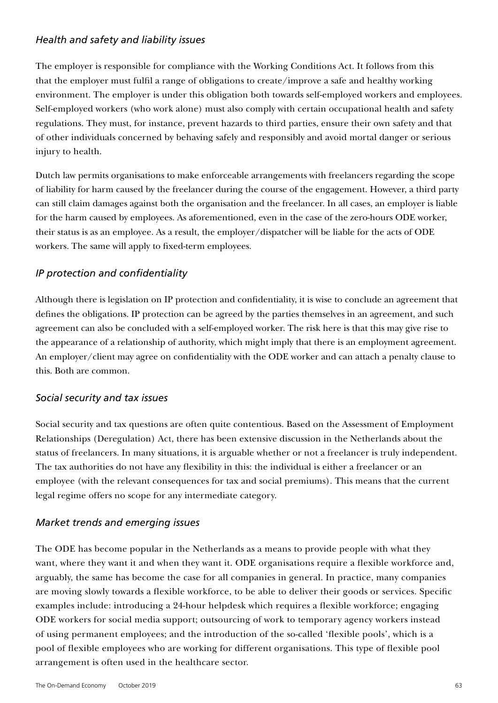#### *Health and safety and liability issues*

The employer is responsible for compliance with the Working Conditions Act. It follows from this that the employer must fulfil a range of obligations to create/improve a safe and healthy working environment. The employer is under this obligation both towards self-employed workers and employees. Self-employed workers (who work alone) must also comply with certain occupational health and safety regulations. They must, for instance, prevent hazards to third parties, ensure their own safety and that of other individuals concerned by behaving safely and responsibly and avoid mortal danger or serious injury to health.

Dutch law permits organisations to make enforceable arrangements with freelancers regarding the scope of liability for harm caused by the freelancer during the course of the engagement. However, a third party can still claim damages against both the organisation and the freelancer. In all cases, an employer is liable for the harm caused by employees. As aforementioned, even in the case of the zero-hours ODE worker, their status is as an employee. As a result, the employer/dispatcher will be liable for the acts of ODE workers. The same will apply to fixed-term employees.

### *IP protection and confidentiality*

Although there is legislation on IP protection and confidentiality, it is wise to conclude an agreement that defines the obligations. IP protection can be agreed by the parties themselves in an agreement, and such agreement can also be concluded with a self-employed worker. The risk here is that this may give rise to the appearance of a relationship of authority, which might imply that there is an employment agreement. An employer/client may agree on confidentiality with the ODE worker and can attach a penalty clause to this. Both are common.

#### *Social security and tax issues*

Social security and tax questions are often quite contentious. Based on the Assessment of Employment Relationships (Deregulation) Act, there has been extensive discussion in the Netherlands about the status of freelancers. In many situations, it is arguable whether or not a freelancer is truly independent. The tax authorities do not have any flexibility in this: the individual is either a freelancer or an employee (with the relevant consequences for tax and social premiums). This means that the current legal regime offers no scope for any intermediate category.

### *Market trends and emerging issues*

The ODE has become popular in the Netherlands as a means to provide people with what they want, where they want it and when they want it. ODE organisations require a flexible workforce and, arguably, the same has become the case for all companies in general. In practice, many companies are moving slowly towards a flexible workforce, to be able to deliver their goods or services. Specific examples include: introducing a 24-hour helpdesk which requires a flexible workforce; engaging ODE workers for social media support; outsourcing of work to temporary agency workers instead of using permanent employees; and the introduction of the so-called 'flexible pools', which is a pool of flexible employees who are working for different organisations. This type of flexible pool arrangement is often used in the healthcare sector.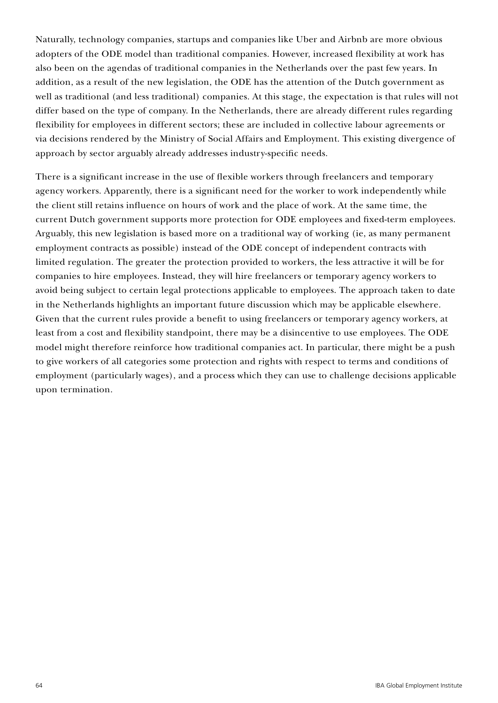Naturally, technology companies, startups and companies like Uber and Airbnb are more obvious adopters of the ODE model than traditional companies. However, increased flexibility at work has also been on the agendas of traditional companies in the Netherlands over the past few years. In addition, as a result of the new legislation, the ODE has the attention of the Dutch government as well as traditional (and less traditional) companies. At this stage, the expectation is that rules will not differ based on the type of company. In the Netherlands, there are already different rules regarding flexibility for employees in different sectors; these are included in collective labour agreements or via decisions rendered by the Ministry of Social Affairs and Employment. This existing divergence of approach by sector arguably already addresses industry-specific needs.

There is a significant increase in the use of flexible workers through freelancers and temporary agency workers. Apparently, there is a significant need for the worker to work independently while the client still retains influence on hours of work and the place of work. At the same time, the current Dutch government supports more protection for ODE employees and fixed-term employees. Arguably, this new legislation is based more on a traditional way of working (ie, as many permanent employment contracts as possible) instead of the ODE concept of independent contracts with limited regulation. The greater the protection provided to workers, the less attractive it will be for companies to hire employees. Instead, they will hire freelancers or temporary agency workers to avoid being subject to certain legal protections applicable to employees. The approach taken to date in the Netherlands highlights an important future discussion which may be applicable elsewhere. Given that the current rules provide a benefit to using freelancers or temporary agency workers, at least from a cost and flexibility standpoint, there may be a disincentive to use employees. The ODE model might therefore reinforce how traditional companies act. In particular, there might be a push to give workers of all categories some protection and rights with respect to terms and conditions of employment (particularly wages), and a process which they can use to challenge decisions applicable upon termination.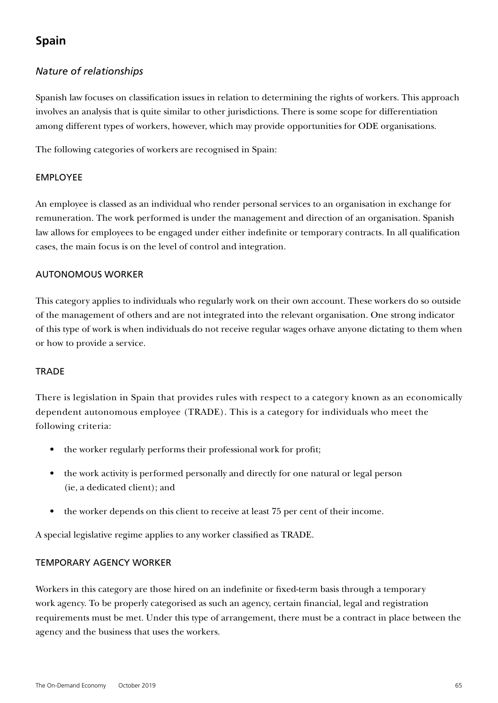# **Spain**

### *Nature of relationships*

Spanish law focuses on classification issues in relation to determining the rights of workers. This approach involves an analysis that is quite similar to other jurisdictions. There is some scope for differentiation among different types of workers, however, which may provide opportunities for ODE organisations.

The following categories of workers are recognised in Spain:

#### EMPLOYEE

An employee is classed as an individual who render personal services to an organisation in exchange for remuneration. The work performed is under the management and direction of an organisation. Spanish law allows for employees to be engaged under either indefinite or temporary contracts. In all qualification cases, the main focus is on the level of control and integration.

#### AUTONOMOUS WORKER

This category applies to individuals who regularly work on their own account. These workers do so outside of the management of others and are not integrated into the relevant organisation. One strong indicator of this type of work is when individuals do not receive regular wages orhave anyone dictating to them when or how to provide a service.

#### **TRADE**

There is legislation in Spain that provides rules with respect to a category known as an economically dependent autonomous employee (TRADE). This is a category for individuals who meet the following criteria:

- the worker regularly performs their professional work for profit;
- the work activity is performed personally and directly for one natural or legal person (ie, a dedicated client); and
- the worker depends on this client to receive at least 75 per cent of their income.

A special legislative regime applies to any worker classified as TRADE.

#### TEMPORARY AGENCY WORKER

Workers in this category are those hired on an indefinite or fixed-term basis through a temporary work agency. To be properly categorised as such an agency, certain financial, legal and registration requirements must be met. Under this type of arrangement, there must be a contract in place between the agency and the business that uses the workers.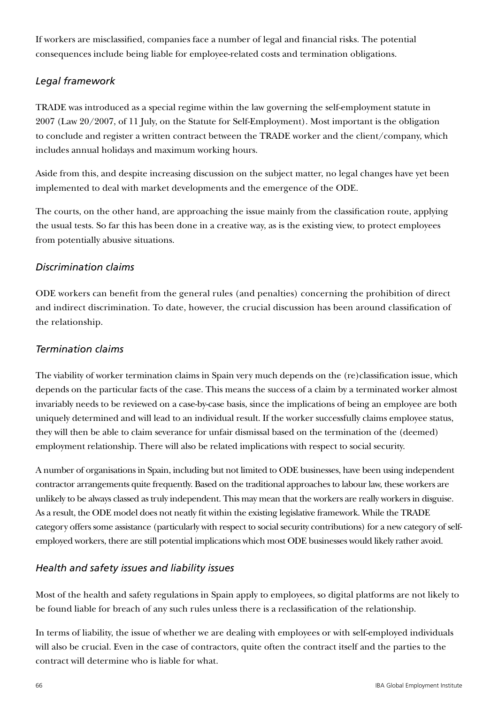If workers are misclassified, companies face a number of legal and financial risks. The potential consequences include being liable for employee-related costs and termination obligations.

### *Legal framework*

TRADE was introduced as a special regime within the law governing the self-employment statute in 2007 (Law 20/2007, of 11 July, on the Statute for Self-Employment). Most important is the obligation to conclude and register a written contract between the TRADE worker and the client/company, which includes annual holidays and maximum working hours.

Aside from this, and despite increasing discussion on the subject matter, no legal changes have yet been implemented to deal with market developments and the emergence of the ODE.

The courts, on the other hand, are approaching the issue mainly from the classification route, applying the usual tests. So far this has been done in a creative way, as is the existing view, to protect employees from potentially abusive situations.

#### *Discrimination claims*

ODE workers can benefit from the general rules (and penalties) concerning the prohibition of direct and indirect discrimination. To date, however, the crucial discussion has been around classification of the relationship.

#### *Termination claims*

The viability of worker termination claims in Spain very much depends on the (re)classification issue, which depends on the particular facts of the case. This means the success of a claim by a terminated worker almost invariably needs to be reviewed on a case-by-case basis, since the implications of being an employee are both uniquely determined and will lead to an individual result. If the worker successfully claims employee status, they will then be able to claim severance for unfair dismissal based on the termination of the (deemed) employment relationship. There will also be related implications with respect to social security.

A number of organisations in Spain, including but not limited to ODE businesses, have been using independent contractor arrangements quite frequently. Based on the traditional approaches to labour law, these workers are unlikely to be always classed as truly independent. This may mean that the workers are really workers in disguise. As a result, the ODE model does not neatly fit within the existing legislative framework. While the TRADE category offers some assistance (particularly with respect to social security contributions) for a new category of selfemployed workers, there are still potential implications which most ODE businesses would likely rather avoid.

### *Health and safety issues and liability issues*

Most of the health and safety regulations in Spain apply to employees, so digital platforms are not likely to be found liable for breach of any such rules unless there is a reclassification of the relationship.

In terms of liability, the issue of whether we are dealing with employees or with self-employed individuals will also be crucial. Even in the case of contractors, quite often the contract itself and the parties to the contract will determine who is liable for what.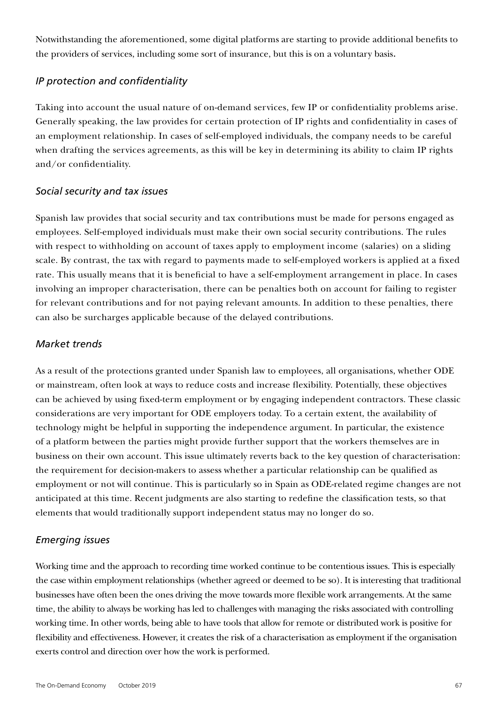Notwithstanding the aforementioned, some digital platforms are starting to provide additional benefits to the providers of services, including some sort of insurance, but this is on a voluntary basis*.*

#### *IP protection and confidentiality*

Taking into account the usual nature of on-demand services, few IP or confidentiality problems arise. Generally speaking, the law provides for certain protection of IP rights and confidentiality in cases of an employment relationship. In cases of self-employed individuals, the company needs to be careful when drafting the services agreements, as this will be key in determining its ability to claim IP rights and/or confidentiality.

#### *Social security and tax issues*

Spanish law provides that social security and tax contributions must be made for persons engaged as employees. Self-employed individuals must make their own social security contributions. The rules with respect to withholding on account of taxes apply to employment income (salaries) on a sliding scale. By contrast, the tax with regard to payments made to self-employed workers is applied at a fixed rate. This usually means that it is beneficial to have a self-employment arrangement in place. In cases involving an improper characterisation, there can be penalties both on account for failing to register for relevant contributions and for not paying relevant amounts. In addition to these penalties, there can also be surcharges applicable because of the delayed contributions.

### *Market trends*

As a result of the protections granted under Spanish law to employees, all organisations, whether ODE or mainstream, often look at ways to reduce costs and increase flexibility. Potentially, these objectives can be achieved by using fixed-term employment or by engaging independent contractors. These classic considerations are very important for ODE employers today. To a certain extent, the availability of technology might be helpful in supporting the independence argument. In particular, the existence of a platform between the parties might provide further support that the workers themselves are in business on their own account. This issue ultimately reverts back to the key question of characterisation: the requirement for decision-makers to assess whether a particular relationship can be qualified as employment or not will continue. This is particularly so in Spain as ODE-related regime changes are not anticipated at this time. Recent judgments are also starting to redefine the classification tests, so that elements that would traditionally support independent status may no longer do so.

### *Emerging issues*

Working time and the approach to recording time worked continue to be contentious issues. This is especially the case within employment relationships (whether agreed or deemed to be so). It is interesting that traditional businesses have often been the ones driving the move towards more flexible work arrangements. At the same time, the ability to always be working has led to challenges with managing the risks associated with controlling working time. In other words, being able to have tools that allow for remote or distributed work is positive for flexibility and effectiveness. However, it creates the risk of a characterisation as employment if the organisation exerts control and direction over how the work is performed.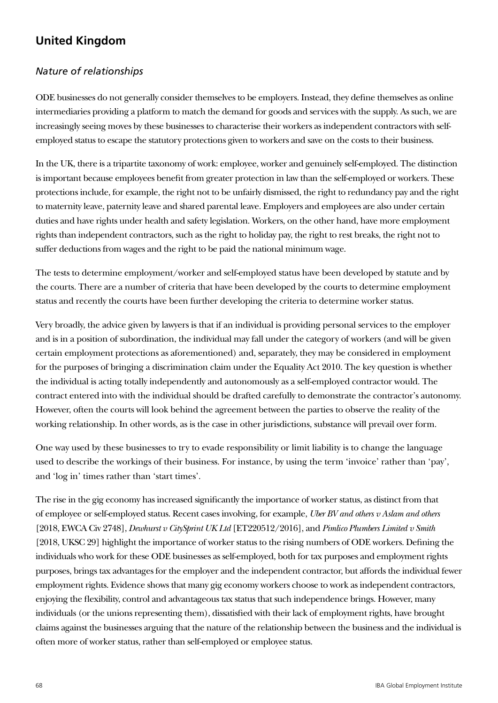# **United Kingdom**

### *Nature of relationships*

ODE businesses do not generally consider themselves to be employers. Instead, they define themselves as online intermediaries providing a platform to match the demand for goods and services with the supply. As such, we are increasingly seeing moves by these businesses to characterise their workers as independent contractors with selfemployed status to escape the statutory protections given to workers and save on the costs to their business.

In the UK, there is a tripartite taxonomy of work: employee, worker and genuinely self-employed. The distinction is important because employees benefit from greater protection in law than the self-employed or workers. These protections include, for example, the right not to be unfairly dismissed, the right to redundancy pay and the right to maternity leave, paternity leave and shared parental leave. Employers and employees are also under certain duties and have rights under health and safety legislation. Workers, on the other hand, have more employment rights than independent contractors, such as the right to holiday pay, the right to rest breaks, the right not to suffer deductions from wages and the right to be paid the national minimum wage.

The tests to determine employment/worker and self-employed status have been developed by statute and by the courts. There are a number of criteria that have been developed by the courts to determine employment status and recently the courts have been further developing the criteria to determine worker status.

Very broadly, the advice given by lawyers is that if an individual is providing personal services to the employer and is in a position of subordination, the individual may fall under the category of workers (and will be given certain employment protections as aforementioned) and, separately, they may be considered in employment for the purposes of bringing a discrimination claim under the Equality Act 2010. The key question is whether the individual is acting totally independently and autonomously as a self-employed contractor would. The contract entered into with the individual should be drafted carefully to demonstrate the contractor's autonomy. However, often the courts will look behind the agreement between the parties to observe the reality of the working relationship. In other words, as is the case in other jurisdictions, substance will prevail over form.

One way used by these businesses to try to evade responsibility or limit liability is to change the language used to describe the workings of their business. For instance, by using the term 'invoice' rather than 'pay', and 'log in' times rather than 'start times'.

The rise in the gig economy has increased significantly the importance of worker status, as distinct from that of employee or self-employed status. Recent cases involving, for example, *Uber BV and others v Aslam and others* [2018, EWCA Civ 2748], *Dewhurst v CitySprint UK Ltd* [ET220512/2016], and *Pimlico Plumbers Limited v Smith* [2018, UKSC 29] highlight the importance of worker status to the rising numbers of ODE workers. Defining the individuals who work for these ODE businesses as self-employed, both for tax purposes and employment rights purposes, brings tax advantages for the employer and the independent contractor, but affords the individual fewer employment rights. Evidence shows that many gig economy workers choose to work as independent contractors, enjoying the flexibility, control and advantageous tax status that such independence brings. However, many individuals (or the unions representing them), dissatisfied with their lack of employment rights, have brought claims against the businesses arguing that the nature of the relationship between the business and the individual is often more of worker status, rather than self-employed or employee status.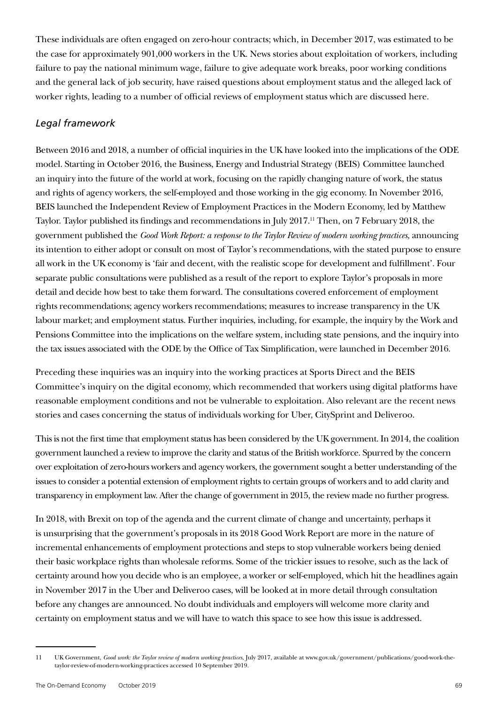These individuals are often engaged on zero-hour contracts; which, in December 2017, was estimated to be the case for approximately 901,000 workers in the UK. News stories about exploitation of workers, including failure to pay the national minimum wage, failure to give adequate work breaks, poor working conditions and the general lack of job security, have raised questions about employment status and the alleged lack of worker rights, leading to a number of official reviews of employment status which are discussed here.

### *Legal framework*

Between 2016 and 2018, a number of official inquiries in the UK have looked into the implications of the ODE model. Starting in October 2016, the Business, Energy and Industrial Strategy (BEIS) Committee launched an inquiry into the future of the world at work, focusing on the rapidly changing nature of work, the status and rights of agency workers, the self-employed and those working in the gig economy. In November 2016, BEIS launched the Independent Review of Employment Practices in the Modern Economy, led by Matthew Taylor. Taylor published its findings and recommendations in July 2017.<sup>11</sup> Then, on 7 February 2018, the government published the *Good Work Report: a response to the Taylor Review of modern working practices,* announcing its intention to either adopt or consult on most of Taylor's recommendations, with the stated purpose to ensure all work in the UK economy is 'fair and decent, with the realistic scope for development and fulfillment'. Four separate public consultations were published as a result of the report to explore Taylor's proposals in more detail and decide how best to take them forward. The consultations covered enforcement of employment rights recommendations; agency workers recommendations; measures to increase transparency in the UK labour market; and employment status. Further inquiries, including, for example, the inquiry by the Work and Pensions Committee into the implications on the welfare system, including state pensions, and the inquiry into the tax issues associated with the ODE by the Office of Tax Simplification, were launched in December 2016.

Preceding these inquiries was an inquiry into the working practices at Sports Direct and the BEIS Committee's inquiry on the digital economy, which recommended that workers using digital platforms have reasonable employment conditions and not be vulnerable to exploitation. Also relevant are the recent news stories and cases concerning the status of individuals working for Uber, CitySprint and Deliveroo.

This is not the first time that employment status has been considered by the UK government. In 2014, the coalition government launched a review to improve the clarity and status of the British workforce. Spurred by the concern over exploitation of zero-hours workers and agency workers, the government sought a better understanding of the issues to consider a potential extension of employment rights to certain groups of workers and to add clarity and transparency in employment law. After the change of government in 2015, the review made no further progress.

In 2018, with Brexit on top of the agenda and the current climate of change and uncertainty, perhaps it is unsurprising that the government's proposals in its 2018 Good Work Report are more in the nature of incremental enhancements of employment protections and steps to stop vulnerable workers being denied their basic workplace rights than wholesale reforms. Some of the trickier issues to resolve, such as the lack of certainty around how you decide who is an employee, a worker or self-employed, which hit the headlines again in November 2017 in the Uber and Deliveroo cases, will be looked at in more detail through consultation before any changes are announced. No doubt individuals and employers will welcome more clarity and certainty on employment status and we will have to watch this space to see how this issue is addressed.

<sup>11</sup> UK Government, *Good work: the Taylor review of modern working practices*, July 2017, available at www.gov.uk/government/publications/good-work-thetaylor-review-of-modern-working-practices accessed 10 September 2019.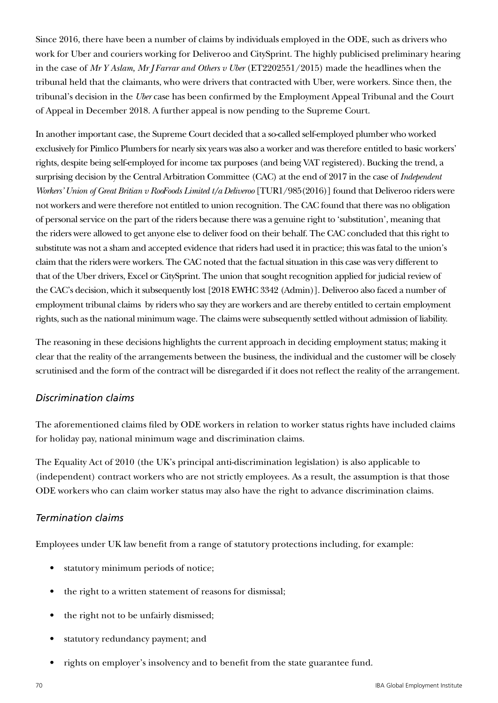Since 2016, there have been a number of claims by individuals employed in the ODE, such as drivers who work for Uber and couriers working for Deliveroo and CitySprint. The highly publicised preliminary hearing in the case of *Mr Y Aslam, Mr J Farrar and Others v Uber* (ET2202551/2015) made the headlines when the tribunal held that the claimants, who were drivers that contracted with Uber, were workers. Since then, the tribunal's decision in the *Uber* case has been confirmed by the Employment Appeal Tribunal and the Court of Appeal in December 2018. A further appeal is now pending to the Supreme Court.

In another important case, the Supreme Court decided that a so-called self-employed plumber who worked exclusively for Pimlico Plumbers for nearly six years was also a worker and was therefore entitled to basic workers' rights, despite being self-employed for income tax purposes (and being VAT registered). Bucking the trend, a surprising decision by the Central Arbitration Committee (CAC) at the end of 2017 in the case of *Independent Workers' Union of Great Britian v RooFoods Limited t/a Deliveroo* [TUR1/985(2016)] found that Deliveroo riders were not workers and were therefore not entitled to union recognition. The CAC found that there was no obligation of personal service on the part of the riders because there was a genuine right to 'substitution', meaning that the riders were allowed to get anyone else to deliver food on their behalf. The CAC concluded that this right to substitute was not a sham and accepted evidence that riders had used it in practice; this was fatal to the union's claim that the riders were workers. The CAC noted that the factual situation in this case was very different to that of the Uber drivers, Excel or CitySprint. The union that sought recognition applied for judicial review of the CAC's decision, which it subsequently lost [2018 EWHC 3342 (Admin)]. Deliveroo also faced a number of employment tribunal claims by riders who say they are workers and are thereby entitled to certain employment rights, such as the national minimum wage. The claims were subsequently settled without admission of liability.

The reasoning in these decisions highlights the current approach in deciding employment status; making it clear that the reality of the arrangements between the business, the individual and the customer will be closely scrutinised and the form of the contract will be disregarded if it does not reflect the reality of the arrangement.

#### *Discrimination claims*

The aforementioned claims filed by ODE workers in relation to worker status rights have included claims for holiday pay, national minimum wage and discrimination claims.

The Equality Act of 2010 (the UK's principal anti-discrimination legislation) is also applicable to (independent) contract workers who are not strictly employees. As a result, the assumption is that those ODE workers who can claim worker status may also have the right to advance discrimination claims.

#### *Termination claims*

Employees under UK law benefit from a range of statutory protections including, for example:

- statutory minimum periods of notice;
- the right to a written statement of reasons for dismissal;
- the right not to be unfairly dismissed;
- statutory redundancy payment; and
- rights on employer's insolvency and to benefit from the state guarantee fund.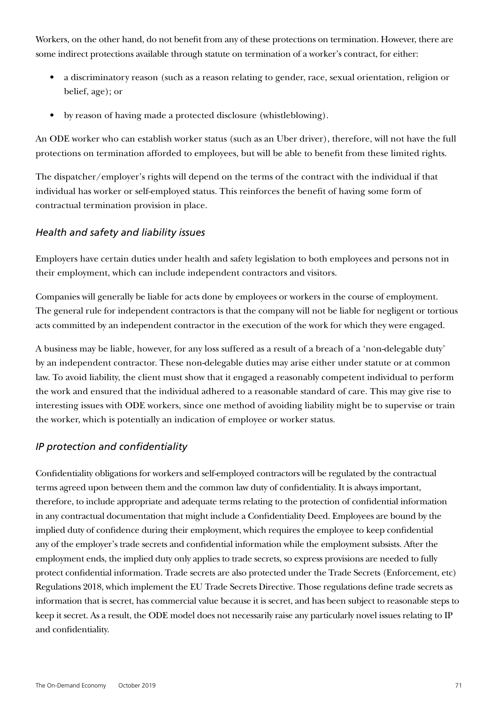Workers, on the other hand, do not benefit from any of these protections on termination. However, there are some indirect protections available through statute on termination of a worker's contract, for either:

- a discriminatory reason (such as a reason relating to gender, race, sexual orientation, religion or belief, age); or
- by reason of having made a protected disclosure (whistleblowing).

An ODE worker who can establish worker status (such as an Uber driver), therefore, will not have the full protections on termination afforded to employees, but will be able to benefit from these limited rights.

The dispatcher/employer's rights will depend on the terms of the contract with the individual if that individual has worker or self-employed status. This reinforces the benefit of having some form of contractual termination provision in place.

### *Health and safety and liability issues*

Employers have certain duties under health and safety legislation to both employees and persons not in their employment, which can include independent contractors and visitors.

Companies will generally be liable for acts done by employees or workers in the course of employment. The general rule for independent contractors is that the company will not be liable for negligent or tortious acts committed by an independent contractor in the execution of the work for which they were engaged.

A business may be liable, however, for any loss suffered as a result of a breach of a 'non-delegable duty' by an independent contractor. These non-delegable duties may arise either under statute or at common law. To avoid liability, the client must show that it engaged a reasonably competent individual to perform the work and ensured that the individual adhered to a reasonable standard of care. This may give rise to interesting issues with ODE workers, since one method of avoiding liability might be to supervise or train the worker, which is potentially an indication of employee or worker status.

### *IP protection and confidentiality*

Confidentiality obligations for workers and self-employed contractors will be regulated by the contractual terms agreed upon between them and the common law duty of confidentiality. It is always important, therefore, to include appropriate and adequate terms relating to the protection of confidential information in any contractual documentation that might include a Confidentiality Deed. Employees are bound by the implied duty of confidence during their employment, which requires the employee to keep confidential any of the employer's trade secrets and confidential information while the employment subsists. After the employment ends, the implied duty only applies to trade secrets, so express provisions are needed to fully protect confidential information. Trade secrets are also protected under the Trade Secrets (Enforcement, etc) Regulations 2018, which implement the EU Trade Secrets Directive. Those regulations define trade secrets as information that is secret, has commercial value because it is secret, and has been subject to reasonable steps to keep it secret. As a result, the ODE model does not necessarily raise any particularly novel issues relating to IP and confidentiality.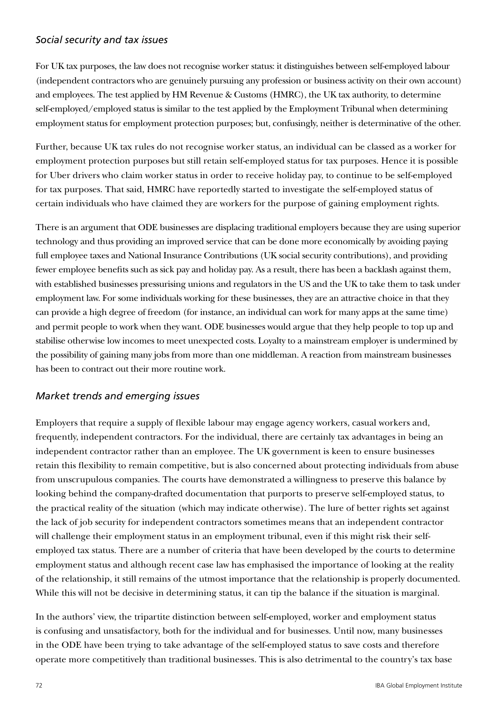#### *Social security and tax issues*

For UK tax purposes, the law does not recognise worker status: it distinguishes between self-employed labour (independent contractors who are genuinely pursuing any profession or business activity on their own account) and employees. The test applied by HM Revenue & Customs (HMRC), the UK tax authority, to determine self-employed/employed status is similar to the test applied by the Employment Tribunal when determining employment status for employment protection purposes; but, confusingly, neither is determinative of the other.

Further, because UK tax rules do not recognise worker status, an individual can be classed as a worker for employment protection purposes but still retain self-employed status for tax purposes. Hence it is possible for Uber drivers who claim worker status in order to receive holiday pay, to continue to be self-employed for tax purposes. That said, HMRC have reportedly started to investigate the self-employed status of certain individuals who have claimed they are workers for the purpose of gaining employment rights.

There is an argument that ODE businesses are displacing traditional employers because they are using superior technology and thus providing an improved service that can be done more economically by avoiding paying full employee taxes and National Insurance Contributions (UK social security contributions), and providing fewer employee benefits such as sick pay and holiday pay. As a result, there has been a backlash against them, with established businesses pressurising unions and regulators in the US and the UK to take them to task under employment law. For some individuals working for these businesses, they are an attractive choice in that they can provide a high degree of freedom (for instance, an individual can work for many apps at the same time) and permit people to work when they want. ODE businesses would argue that they help people to top up and stabilise otherwise low incomes to meet unexpected costs. Loyalty to a mainstream employer is undermined by the possibility of gaining many jobs from more than one middleman. A reaction from mainstream businesses has been to contract out their more routine work.

### *Market trends and emerging issues*

Employers that require a supply of flexible labour may engage agency workers, casual workers and, frequently, independent contractors. For the individual, there are certainly tax advantages in being an independent contractor rather than an employee. The UK government is keen to ensure businesses retain this flexibility to remain competitive, but is also concerned about protecting individuals from abuse from unscrupulous companies. The courts have demonstrated a willingness to preserve this balance by looking behind the company-drafted documentation that purports to preserve self-employed status, to the practical reality of the situation (which may indicate otherwise). The lure of better rights set against the lack of job security for independent contractors sometimes means that an independent contractor will challenge their employment status in an employment tribunal, even if this might risk their selfemployed tax status. There are a number of criteria that have been developed by the courts to determine employment status and although recent case law has emphasised the importance of looking at the reality of the relationship, it still remains of the utmost importance that the relationship is properly documented. While this will not be decisive in determining status, it can tip the balance if the situation is marginal.

In the authors' view, the tripartite distinction between self-employed, worker and employment status is confusing and unsatisfactory, both for the individual and for businesses. Until now, many businesses in the ODE have been trying to take advantage of the self-employed status to save costs and therefore operate more competitively than traditional businesses. This is also detrimental to the country's tax base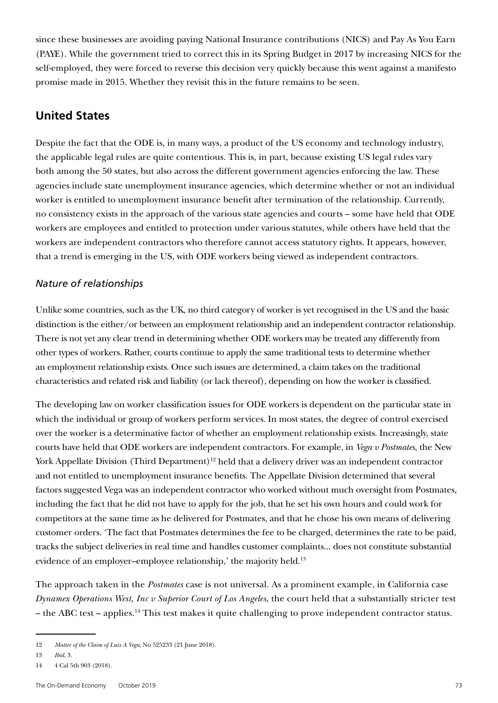since these businesses are avoiding paying National Insurance contributions (NICS) and Pay As You Earn (PAYE). While the government tried to correct this in its Spring Budget in 2017 by increasing NICS for the self-employed, they were forced to reverse this decision very quickly because this went against a manifesto promise made in 2015. Whether they revisit this in the future remains to be seen.

# **United States**

Despite the fact that the ODE is, in many ways, a product of the US economy and technology industry, the applicable legal rules are quite contentious. This is, in part, because existing US legal rules vary both among the 50 states, but also across the different government agencies enforcing the law. These agencies include state unemployment insurance agencies, which determine whether or not an individual worker is entitled to unemployment insurance benefit after termination of the relationship. Currently, no consistency exists in the approach of the various state agencies and courts – some have held that ODE workers are employees and entitled to protection under various statutes, while others have held that the workers are independent contractors who therefore cannot access statutory rights. It appears, however, that a trend is emerging in the US, with ODE workers being viewed as independent contractors.

# *Nature of relationships*

Unlike some countries, such as the UK, no third category of worker is yet recognised in the US and the basic distinction is the either/or between an employment relationship and an independent contractor relationship. There is not yet any clear trend in determining whether ODE workers may be treated any differently from other types of workers. Rather, courts continue to apply the same traditional tests to determine whether an employment relationship exists. Once such issues are determined, a claim takes on the traditional characteristics and related risk and liability (or lack thereof), depending on how the worker is classified.

The developing law on worker classification issues for ODE workers is dependent on the particular state in which the individual or group of workers perform services. In most states, the degree of control exercised over the worker is a determinative factor of whether an employment relationship exists. Increasingly, state courts have held that ODE workers are independent contractors. For example, in *Vega v Postmates*, the New York Appellate Division (Third Department)<sup>12</sup> held that a delivery driver was an independent contractor and not entitled to unemployment insurance benefits. The Appellate Division determined that several factors suggested Vega was an independent contractor who worked without much oversight from Postmates, including the fact that he did not have to apply for the job, that he set his own hours and could work for competitors at the same time as he delivered for Postmates, and that he chose his own means of delivering customer orders. 'The fact that Postmates determines the fee to be charged, determines the rate to be paid, tracks the subject deliveries in real time and handles customer complaints... does not constitute substantial evidence of an employer-employee relationship,' the majority held.<sup>13</sup>

The approach taken in the *Postmates* case is not universal. As a prominent example, in California case *Dynamex Operations West, Inc v Superior Court of Los Angeles*, the court held that a substantially stricter test – the ABC test – applies.14 This test makes it quite challenging to prove independent contractor status.

<sup>12</sup> *Matter of the Claim of Luis A Vega*, No 525233 (21 June 2018).

<sup>13</sup> *Ibid*, 3.

<sup>14</sup> 4 Cal 5th 903 (2018).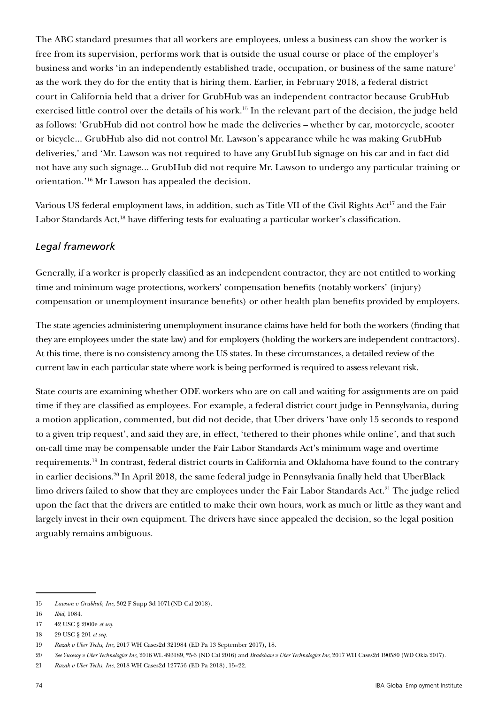The ABC standard presumes that all workers are employees, unless a business can show the worker is free from its supervision, performs work that is outside the usual course or place of the employer's business and works 'in an independently established trade, occupation, or business of the same nature' as the work they do for the entity that is hiring them. Earlier, in February 2018, a federal district court in California held that a driver for GrubHub was an independent contractor because GrubHub exercised little control over the details of his work.15 In the relevant part of the decision, the judge held as follows: 'GrubHub did not control how he made the deliveries – whether by car, motorcycle, scooter or bicycle... GrubHub also did not control Mr. Lawson's appearance while he was making GrubHub deliveries,' and 'Mr. Lawson was not required to have any GrubHub signage on his car and in fact did not have any such signage... GrubHub did not require Mr. Lawson to undergo any particular training or orientation.'16 Mr Lawson has appealed the decision.

Various US federal employment laws, in addition, such as Title VII of the Civil Rights Act<sup>17</sup> and the Fair Labor Standards Act,<sup>18</sup> have differing tests for evaluating a particular worker's classification.

# *Legal framework*

Generally, if a worker is properly classified as an independent contractor, they are not entitled to working time and minimum wage protections, workers' compensation benefits (notably workers' (injury) compensation or unemployment insurance benefits) or other health plan benefits provided by employers.

The state agencies administering unemployment insurance claims have held for both the workers (finding that they are employees under the state law) and for employers (holding the workers are independent contractors). At this time, there is no consistency among the US states. In these circumstances, a detailed review of the current law in each particular state where work is being performed is required to assess relevant risk.

State courts are examining whether ODE workers who are on call and waiting for assignments are on paid time if they are classified as employees. For example, a federal district court judge in Pennsylvania, during a motion application, commented, but did not decide, that Uber drivers 'have only 15 seconds to respond to a given trip request', and said they are, in effect, 'tethered to their phones while online', and that such on-call time may be compensable under the Fair Labor Standards Act's minimum wage and overtime requirements.19 In contrast, federal district courts in California and Oklahoma have found to the contrary in earlier decisions.<sup>20</sup> In April 2018, the same federal judge in Pennsylvania finally held that UberBlack limo drivers failed to show that they are employees under the Fair Labor Standards Act.<sup>21</sup> The judge relied upon the fact that the drivers are entitled to make their own hours, work as much or little as they want and largely invest in their own equipment. The drivers have since appealed the decision, so the legal position arguably remains ambiguous.

<sup>15</sup> *Lawson v Grubhub, Inc*, 302 F Supp 3d 1071(ND Cal 2018).

<sup>16</sup> *Ibid*, 1084.

<sup>17</sup> 42 USC § 2000e *et seq*.

<sup>18</sup> 29 USC § 201 *et seq*.

<sup>19</sup> *Razak v Uber Techs, Inc*, 2017 WH Cases2d 321984 (ED Pa 13 September 2017), 18.

<sup>20</sup> *See Yucesoy v Uber Technologies Inc,* 2016 WL 493189, \*5-6 (ND Cal 2016) and *Bradshaw v Uber Technologies Inc*, 2017 WH Cases2d 190580 (WD Okla 2017).

<sup>21</sup> *Razak v Uber Techs, Inc*, 2018 WH Cases2d 127756 (ED Pa 2018), 15–22.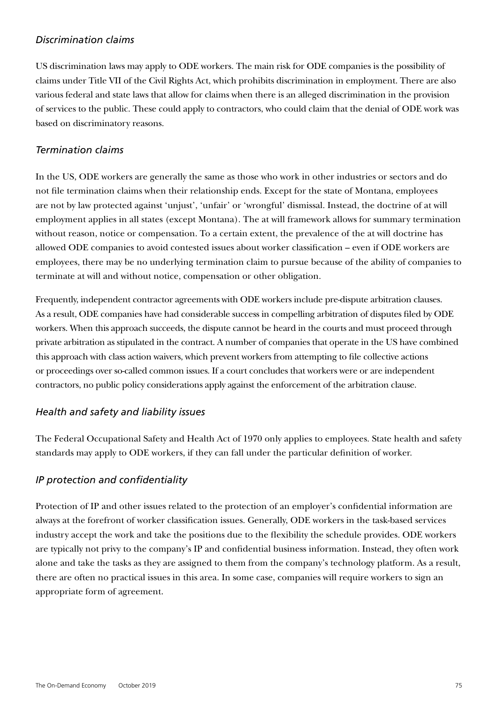## *Discrimination claims*

US discrimination laws may apply to ODE workers. The main risk for ODE companies is the possibility of claims under Title VII of the Civil Rights Act, which prohibits discrimination in employment. There are also various federal and state laws that allow for claims when there is an alleged discrimination in the provision of services to the public. These could apply to contractors, who could claim that the denial of ODE work was based on discriminatory reasons.

## *Termination claims*

In the US, ODE workers are generally the same as those who work in other industries or sectors and do not file termination claims when their relationship ends. Except for the state of Montana, employees are not by law protected against 'unjust', 'unfair' or 'wrongful' dismissal. Instead, the doctrine of at will employment applies in all states (except Montana). The at will framework allows for summary termination without reason, notice or compensation. To a certain extent, the prevalence of the at will doctrine has allowed ODE companies to avoid contested issues about worker classification – even if ODE workers are employees, there may be no underlying termination claim to pursue because of the ability of companies to terminate at will and without notice, compensation or other obligation.

Frequently, independent contractor agreements with ODE workers include pre-dispute arbitration clauses. As a result, ODE companies have had considerable success in compelling arbitration of disputes filed by ODE workers. When this approach succeeds, the dispute cannot be heard in the courts and must proceed through private arbitration as stipulated in the contract. A number of companies that operate in the US have combined this approach with class action waivers, which prevent workers from attempting to file collective actions or proceedings over so-called common issues. If a court concludes that workers were or are independent contractors, no public policy considerations apply against the enforcement of the arbitration clause.

# *Health and safety and liability issues*

The Federal Occupational Safety and Health Act of 1970 only applies to employees. State health and safety standards may apply to ODE workers, if they can fall under the particular definition of worker.

# *IP protection and confidentiality*

Protection of IP and other issues related to the protection of an employer's confidential information are always at the forefront of worker classification issues. Generally, ODE workers in the task-based services industry accept the work and take the positions due to the flexibility the schedule provides. ODE workers are typically not privy to the company's IP and confidential business information. Instead, they often work alone and take the tasks as they are assigned to them from the company's technology platform. As a result, there are often no practical issues in this area. In some case, companies will require workers to sign an appropriate form of agreement.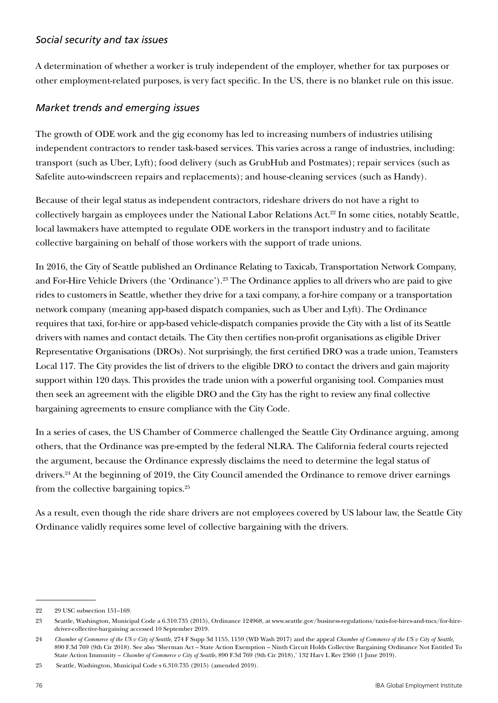## *Social security and tax issues*

A determination of whether a worker is truly independent of the employer, whether for tax purposes or other employment-related purposes, is very fact specific. In the US, there is no blanket rule on this issue.

## *Market trends and emerging issues*

The growth of ODE work and the gig economy has led to increasing numbers of industries utilising independent contractors to render task-based services. This varies across a range of industries, including: transport (such as Uber, Lyft); food delivery (such as GrubHub and Postmates); repair services (such as Safelite auto-windscreen repairs and replacements); and house-cleaning services (such as Handy).

Because of their legal status as independent contractors, rideshare drivers do not have a right to collectively bargain as employees under the National Labor Relations Act.22 In some cities, notably Seattle, local lawmakers have attempted to regulate ODE workers in the transport industry and to facilitate collective bargaining on behalf of those workers with the support of trade unions.

In 2016, the City of Seattle published an Ordinance Relating to Taxicab, Transportation Network Company, and For-Hire Vehicle Drivers (the 'Ordinance').23 The Ordinance applies to all drivers who are paid to give rides to customers in Seattle, whether they drive for a taxi company, a for-hire company or a transportation network company (meaning app-based dispatch companies, such as Uber and Lyft). The Ordinance requires that taxi, for-hire or app-based vehicle-dispatch companies provide the City with a list of its Seattle drivers with names and contact details. The City then certifies non-profit organisations as eligible Driver Representative Organisations (DROs). Not surprisingly, the first certified DRO was a trade union, Teamsters Local 117. The City provides the list of drivers to the eligible DRO to contact the drivers and gain majority support within 120 days. This provides the trade union with a powerful organising tool. Companies must then seek an agreement with the eligible DRO and the City has the right to review any final collective bargaining agreements to ensure compliance with the City Code.

In a series of cases, the US Chamber of Commerce challenged the Seattle City Ordinance arguing, among others, that the Ordinance was pre-empted by the federal NLRA. The California federal courts rejected the argument, because the Ordinance expressly disclaims the need to determine the legal status of drivers.24 At the beginning of 2019, the City Council amended the Ordinance to remove driver earnings from the collective bargaining topics.25

As a result, even though the ride share drivers are not employees covered by US labour law, the Seattle City Ordinance validly requires some level of collective bargaining with the drivers.

<sup>22</sup> 29 USC subsection 151–169.

<sup>23</sup> Seattle, Washington, Municipal Code a 6.310.735 (2015), Ordinance 124968, at www.seattle.gov/business-regulations/taxis-for-hires-and-tncs/for-hiredriver-collective-bargaining accessed 10 September 2019.

<sup>24</sup> *Chamber of Commerce of the US v City of Seattle*, 274 F Supp 3d 1155, 1159 (WD Wash 2017) and the appeal *Chamber of Commerce of the US v City of Seattle*, 890 F.3d 769 (9th Cir 2018). See also 'Sherman Act – State Action Exemption – Ninth Circuit Holds Collective Bargaining Ordinance Not Entitled To State Action Immunity – *Chamber of Commerce v City of Seattle*, 890 F.3d 769 (9th Cir 2018),' 132 Harv L Rev 2360 (1 June 2019).

<sup>25</sup> Seattle, Washington, Municipal Code s 6.310.735 (2015) (amended 2019).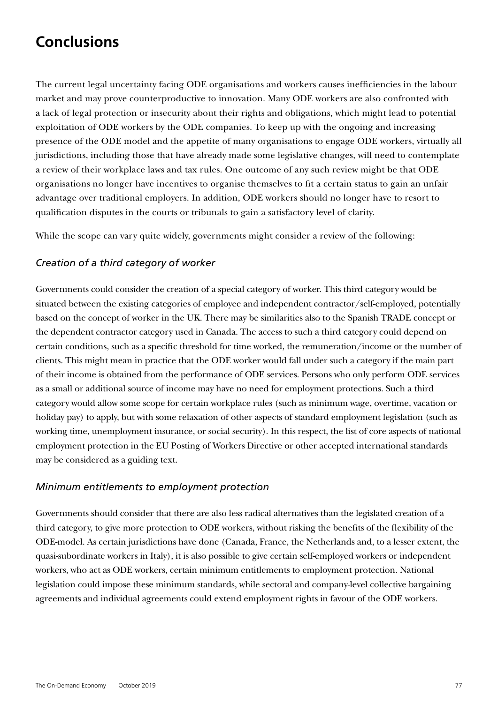# **Conclusions**

The current legal uncertainty facing ODE organisations and workers causes inefficiencies in the labour market and may prove counterproductive to innovation. Many ODE workers are also confronted with a lack of legal protection or insecurity about their rights and obligations, which might lead to potential exploitation of ODE workers by the ODE companies. To keep up with the ongoing and increasing presence of the ODE model and the appetite of many organisations to engage ODE workers, virtually all jurisdictions, including those that have already made some legislative changes, will need to contemplate a review of their workplace laws and tax rules. One outcome of any such review might be that ODE organisations no longer have incentives to organise themselves to fit a certain status to gain an unfair advantage over traditional employers. In addition, ODE workers should no longer have to resort to qualification disputes in the courts or tribunals to gain a satisfactory level of clarity.

While the scope can vary quite widely, governments might consider a review of the following:

## *Creation of a third category of worker*

Governments could consider the creation of a special category of worker. This third category would be situated between the existing categories of employee and independent contractor/self-employed, potentially based on the concept of worker in the UK. There may be similarities also to the Spanish TRADE concept or the dependent contractor category used in Canada. The access to such a third category could depend on certain conditions, such as a specific threshold for time worked, the remuneration/income or the number of clients. This might mean in practice that the ODE worker would fall under such a category if the main part of their income is obtained from the performance of ODE services. Persons who only perform ODE services as a small or additional source of income may have no need for employment protections. Such a third category would allow some scope for certain workplace rules (such as minimum wage, overtime, vacation or holiday pay) to apply, but with some relaxation of other aspects of standard employment legislation (such as working time, unemployment insurance, or social security). In this respect, the list of core aspects of national employment protection in the EU Posting of Workers Directive or other accepted international standards may be considered as a guiding text.

## *Minimum entitlements to employment protection*

Governments should consider that there are also less radical alternatives than the legislated creation of a third category, to give more protection to ODE workers, without risking the benefits of the flexibility of the ODE-model. As certain jurisdictions have done (Canada, France, the Netherlands and, to a lesser extent, the quasi-subordinate workers in Italy), it is also possible to give certain self-employed workers or independent workers, who act as ODE workers, certain minimum entitlements to employment protection. National legislation could impose these minimum standards, while sectoral and company-level collective bargaining agreements and individual agreements could extend employment rights in favour of the ODE workers.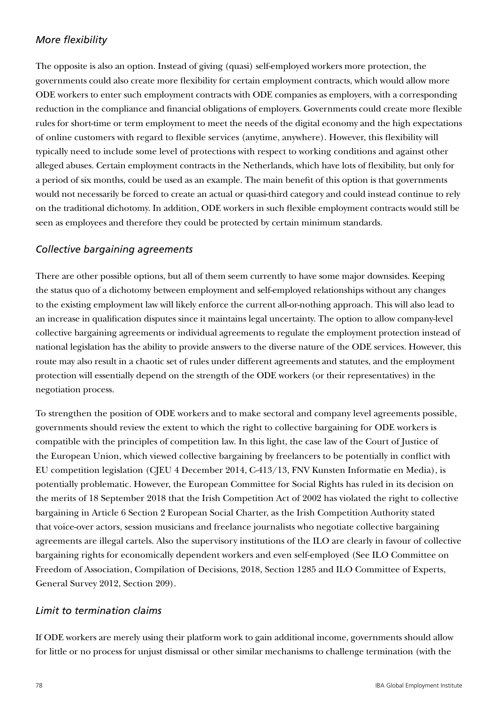# *More flexibility*

The opposite is also an option. Instead of giving (quasi) self-employed workers more protection, the governments could also create more flexibility for certain employment contracts, which would allow more ODE workers to enter such employment contracts with ODE companies as employers, with a corresponding reduction in the compliance and financial obligations of employers. Governments could create more flexible rules for short-time or term employment to meet the needs of the digital economy and the high expectations of online customers with regard to flexible services (anytime, anywhere). However, this flexibility will typically need to include some level of protections with respect to working conditions and against other alleged abuses. Certain employment contracts in the Netherlands, which have lots of flexibility, but only for a period of six months, could be used as an example. The main benefit of this option is that governments would not necessarily be forced to create an actual or quasi-third category and could instead continue to rely on the traditional dichotomy. In addition, ODE workers in such flexible employment contracts would still be seen as employees and therefore they could be protected by certain minimum standards.

## *Collective bargaining agreements*

There are other possible options, but all of them seem currently to have some major downsides. Keeping the status quo of a dichotomy between employment and self-employed relationships without any changes to the existing employment law will likely enforce the current all-or-nothing approach. This will also lead to an increase in qualification disputes since it maintains legal uncertainty. The option to allow company-level collective bargaining agreements or individual agreements to regulate the employment protection instead of national legislation has the ability to provide answers to the diverse nature of the ODE services. However, this route may also result in a chaotic set of rules under different agreements and statutes, and the employment protection will essentially depend on the strength of the ODE workers (or their representatives) in the negotiation process.

To strengthen the position of ODE workers and to make sectoral and company level agreements possible, governments should review the extent to which the right to collective bargaining for ODE workers is compatible with the principles of competition law. In this light, the case law of the Court of Justice of the European Union, which viewed collective bargaining by freelancers to be potentially in conflict with EU competition legislation (CJEU 4 December 2014, C-413/13, FNV Kunsten Informatie en Media), is potentially problematic. However, the European Committee for Social Rights has ruled in its decision on the merits of 18 September 2018 that the Irish Competition Act of 2002 has violated the right to collective bargaining in Article 6 Section 2 European Social Charter, as the Irish Competition Authority stated that voice-over actors, session musicians and freelance journalists who negotiate collective bargaining agreements are illegal cartels. Also the supervisory institutions of the ILO are clearly in favour of collective bargaining rights for economically dependent workers and even self-employed (See ILO Committee on Freedom of Association, Compilation of Decisions, 2018, Section 1285 and ILO Committee of Experts, General Survey 2012, Section 209).

## *Limit to termination claims*

If ODE workers are merely using their platform work to gain additional income, governments should allow for little or no process for unjust dismissal or other similar mechanisms to challenge termination (with the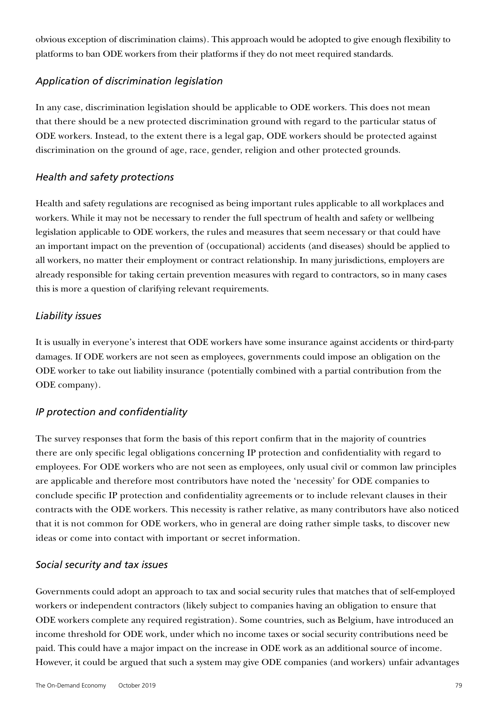obvious exception of discrimination claims). This approach would be adopted to give enough flexibility to platforms to ban ODE workers from their platforms if they do not meet required standards.

# *Application of discrimination legislation*

In any case, discrimination legislation should be applicable to ODE workers. This does not mean that there should be a new protected discrimination ground with regard to the particular status of ODE workers. Instead, to the extent there is a legal gap, ODE workers should be protected against discrimination on the ground of age, race, gender, religion and other protected grounds.

## *Health and safety protections*

Health and safety regulations are recognised as being important rules applicable to all workplaces and workers. While it may not be necessary to render the full spectrum of health and safety or wellbeing legislation applicable to ODE workers, the rules and measures that seem necessary or that could have an important impact on the prevention of (occupational) accidents (and diseases) should be applied to all workers, no matter their employment or contract relationship. In many jurisdictions, employers are already responsible for taking certain prevention measures with regard to contractors, so in many cases this is more a question of clarifying relevant requirements.

## *Liability issues*

It is usually in everyone's interest that ODE workers have some insurance against accidents or third-party damages. If ODE workers are not seen as employees, governments could impose an obligation on the ODE worker to take out liability insurance (potentially combined with a partial contribution from the ODE company).

# *IP protection and confidentiality*

The survey responses that form the basis of this report confirm that in the majority of countries there are only specific legal obligations concerning IP protection and confidentiality with regard to employees. For ODE workers who are not seen as employees, only usual civil or common law principles are applicable and therefore most contributors have noted the 'necessity' for ODE companies to conclude specific IP protection and confidentiality agreements or to include relevant clauses in their contracts with the ODE workers. This necessity is rather relative, as many contributors have also noticed that it is not common for ODE workers, who in general are doing rather simple tasks, to discover new ideas or come into contact with important or secret information.

## *Social security and tax issues*

Governments could adopt an approach to tax and social security rules that matches that of self-employed workers or independent contractors (likely subject to companies having an obligation to ensure that ODE workers complete any required registration). Some countries, such as Belgium, have introduced an income threshold for ODE work, under which no income taxes or social security contributions need be paid. This could have a major impact on the increase in ODE work as an additional source of income. However, it could be argued that such a system may give ODE companies (and workers) unfair advantages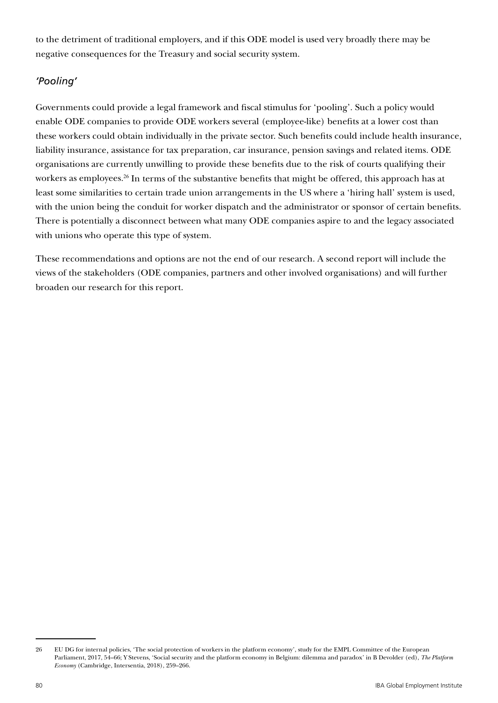to the detriment of traditional employers, and if this ODE model is used very broadly there may be negative consequences for the Treasury and social security system.

# *'Pooling'*

Governments could provide a legal framework and fiscal stimulus for 'pooling'. Such a policy would enable ODE companies to provide ODE workers several (employee-like) benefits at a lower cost than these workers could obtain individually in the private sector. Such benefits could include health insurance, liability insurance, assistance for tax preparation, car insurance, pension savings and related items. ODE organisations are currently unwilling to provide these benefits due to the risk of courts qualifying their workers as employees.<sup>26</sup> In terms of the substantive benefits that might be offered, this approach has at least some similarities to certain trade union arrangements in the US where a 'hiring hall' system is used, with the union being the conduit for worker dispatch and the administrator or sponsor of certain benefits. There is potentially a disconnect between what many ODE companies aspire to and the legacy associated with unions who operate this type of system.

These recommendations and options are not the end of our research. A second report will include the views of the stakeholders (ODE companies, partners and other involved organisations) and will further broaden our research for this report.

<sup>26</sup> EU DG for internal policies, 'The social protection of workers in the platform economy', study for the EMPL Committee of the European Parliament, 2017, 54–66; Y Stevens, 'Social security and the platform economy in Belgium: dilemma and paradox' in B Devolder (ed), *The Platform Economy* (Cambridge, Intersentia, 2018), 259–266.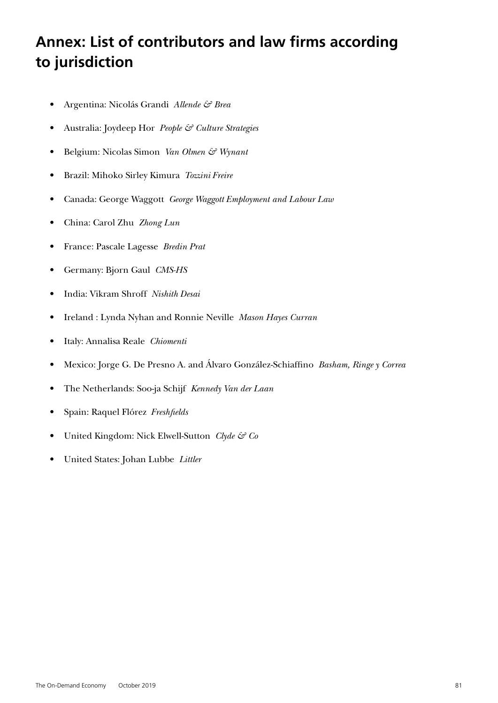# **Annex: List of contributors and law firms according to jurisdiction**

- Argentina: Nicolás Grandi *Allende & Brea*
- Australia: Joydeep Hor *People & Culture Strategies*
- Belgium: Nicolas Simon *Van Olmen & Wynant*
- Brazil: Mihoko Sirley Kimura *Tozzini Freire*
- Canada: George Waggott *George Waggott Employment and Labour Law*
- China: Carol Zhu *Zhong Lun*
- France: Pascale Lagesse *Bredin Prat*
- Germany: Bjorn Gaul *CMS-HS*
- India: Vikram Shroff *Nishith Desai*
- Ireland : Lynda Nyhan and Ronnie Neville *Mason Hayes Curran*
- Italy: Annalisa Reale *Chiomenti*
- Mexico: Jorge G. De Presno A. and Álvaro González-Schiaffino *Basham, Ringe y Correa*
- The Netherlands: Soo-ja Schijf *Kennedy Van der Laan*
- Spain: Raquel Flórez *Freshfields*
- United Kingdom: Nick Elwell-Sutton *Clyde & Co*
- United States: Johan Lubbe *Littler*